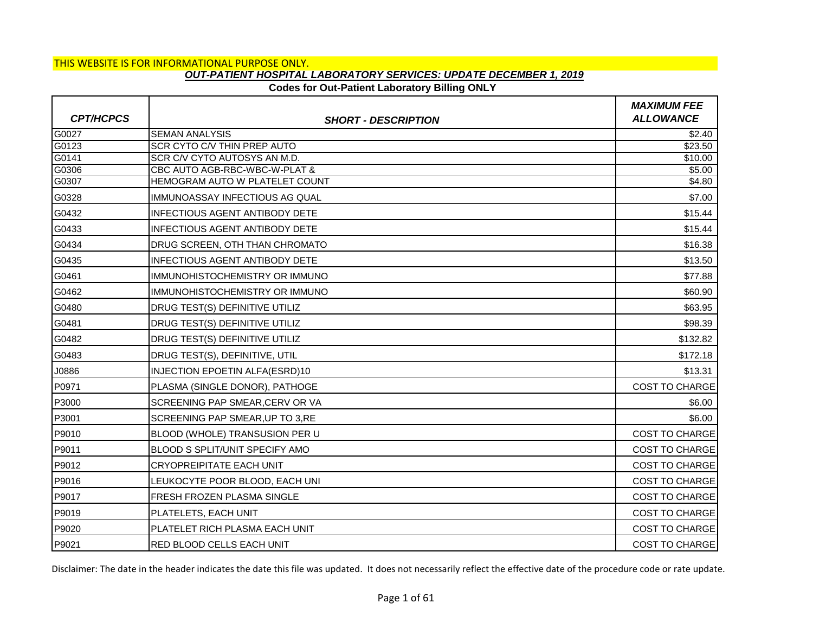# **Codes for Out-Patient Laboratory Billing ONLY**

|                  |                                                      | <b>MAXIMUM FEE</b>    |
|------------------|------------------------------------------------------|-----------------------|
| <b>CPT/HCPCS</b> | <b>SHORT - DESCRIPTION</b>                           | <b>ALLOWANCE</b>      |
| G0027<br>G0123   | <b>SEMAN ANALYSIS</b><br>SCR CYTO C/V THIN PREP AUTO | \$2.40<br>\$23.50     |
| G0141            | SCR C/V CYTO AUTOSYS AN M.D.                         | \$10.00               |
| G0306            | CBC AUTO AGB-RBC-WBC-W-PLAT &                        | \$5.00                |
| G0307            | HEMOGRAM AUTO W PLATELET COUNT                       | \$4.80                |
| G0328            | IMMUNOASSAY INFECTIOUS AG QUAL                       | \$7.00                |
| G0432            | INFECTIOUS AGENT ANTIBODY DETE                       | \$15.44               |
| G0433            | <b>INFECTIOUS AGENT ANTIBODY DETE</b>                | \$15.44               |
| G0434            | <b>DRUG SCREEN, OTH THAN CHROMATO</b>                | \$16.38               |
| G0435            | <b>INFECTIOUS AGENT ANTIBODY DETE</b>                | \$13.50               |
| G0461            | IMMUNOHISTOCHEMISTRY OR IMMUNO                       | \$77.88               |
| G0462            | IIMMUNOHISTOCHEMISTRY OR IMMUNO                      | \$60.90               |
| G0480            | DRUG TEST(S) DEFINITIVE UTILIZ                       | \$63.95               |
| G0481            | <b>DRUG TEST(S) DEFINITIVE UTILIZ</b>                | \$98.39               |
| G0482            | <b>DRUG TEST(S) DEFINITIVE UTILIZ</b>                | \$132.82              |
| G0483            | DRUG TEST(S), DEFINITIVE, UTIL                       | \$172.18              |
| J0886            | INJECTION EPOETIN ALFA(ESRD)10                       | \$13.31               |
| P0971            | PLASMA (SINGLE DONOR), PATHOGE                       | <b>COST TO CHARGE</b> |
| P3000            | SCREENING PAP SMEAR, CERV OR VA                      | \$6.00                |
| P3001            | SCREENING PAP SMEAR, UP TO 3, RE                     | \$6.00                |
| P9010            | BLOOD (WHOLE) TRANSUSION PER U                       | <b>COST TO CHARGE</b> |
| P9011            | BLOOD S SPLIT/UNIT SPECIFY AMO                       | <b>COST TO CHARGE</b> |
| P9012            | <b>CRYOPREIPITATE EACH UNIT</b>                      | <b>COST TO CHARGE</b> |
| P9016            | LEUKOCYTE POOR BLOOD, EACH UNI                       | <b>COST TO CHARGE</b> |
| P9017            | FRESH FROZEN PLASMA SINGLE                           | <b>COST TO CHARGE</b> |
| P9019            | PLATELETS, EACH UNIT                                 | <b>COST TO CHARGE</b> |
| P9020            | PLATELET RICH PLASMA EACH UNIT                       | <b>COST TO CHARGE</b> |
| P9021            | RED BLOOD CELLS EACH UNIT                            | <b>COST TO CHARGE</b> |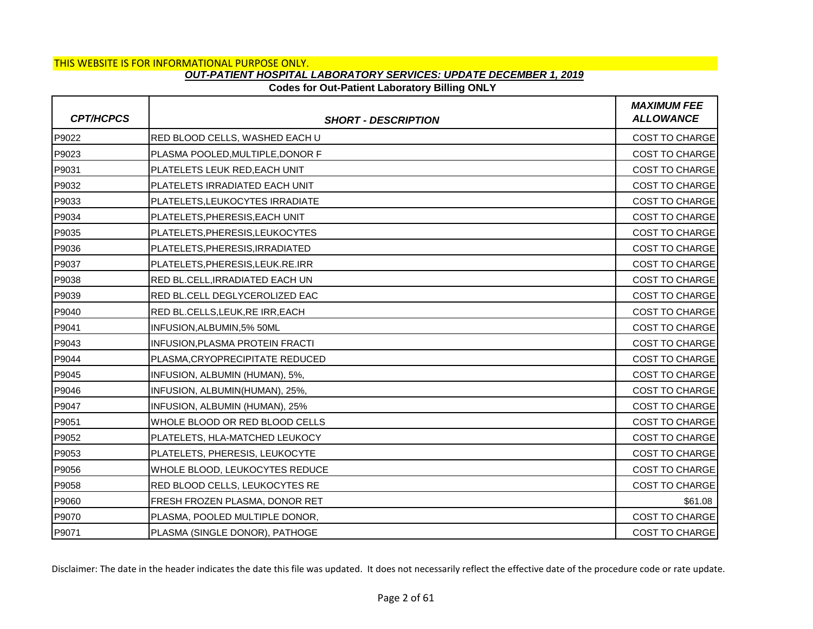### **Codes for Out-Patient Laboratory Billing ONLY**

| <b>CPT/HCPCS</b> | <b>SHORT - DESCRIPTION</b>       | <b>MAXIMUM FEE</b><br><b>ALLOWANCE</b> |
|------------------|----------------------------------|----------------------------------------|
| P9022            | RED BLOOD CELLS, WASHED EACH U   | COST TO CHARGE                         |
| P9023            | PLASMA POOLED, MULTIPLE, DONOR F | <b>COST TO CHARGE</b>                  |
| P9031            | PLATELETS LEUK RED, EACH UNIT    | <b>COST TO CHARGE</b>                  |
| P9032            | PLATELETS IRRADIATED EACH UNIT   | <b>COST TO CHARGE</b>                  |
| P9033            | PLATELETS, LEUKOCYTES IRRADIATE  | <b>COST TO CHARGE</b>                  |
| P9034            | PLATELETS, PHERESIS, EACH UNIT   | <b>COST TO CHARGE</b>                  |
| P9035            | PLATELETS, PHERESIS, LEUKOCYTES  | <b>COST TO CHARGE</b>                  |
| P9036            | PLATELETS, PHERESIS, IRRADIATED  | <b>COST TO CHARGE</b>                  |
| P9037            | PLATELETS, PHERESIS, LEUK.RE.IRR | <b>COST TO CHARGE</b>                  |
| P9038            | RED BL.CELL, IRRADIATED EACH UN  | <b>COST TO CHARGE</b>                  |
| P9039            | RED BL.CELL DEGLYCEROLIZED EAC   | COST TO CHARGE                         |
| P9040            | RED BL.CELLS, LEUK, RE IRR, EACH | <b>COST TO CHARGE</b>                  |
| P9041            | INFUSION, ALBUMIN, 5% 50ML       | <b>COST TO CHARGE</b>                  |
| P9043            | INFUSION, PLASMA PROTEIN FRACTI  | COST TO CHARGE                         |
| P9044            | PLASMA, CRYOPRECIPITATE REDUCED  | <b>COST TO CHARGE</b>                  |
| P9045            | INFUSION, ALBUMIN (HUMAN), 5%,   | <b>COST TO CHARGE</b>                  |
| P9046            | INFUSION, ALBUMIN(HUMAN), 25%,   | COST TO CHARGE                         |
| P9047            | INFUSION, ALBUMIN (HUMAN), 25%   | <b>COST TO CHARGE</b>                  |
| P9051            | WHOLE BLOOD OR RED BLOOD CELLS   | <b>COST TO CHARGE</b>                  |
| P9052            | PLATELETS, HLA-MATCHED LEUKOCY   | COST TO CHARGE                         |
| P9053            | PLATELETS, PHERESIS, LEUKOCYTE   | <b>COST TO CHARGE</b>                  |
| P9056            | WHOLE BLOOD, LEUKOCYTES REDUCE   | <b>COST TO CHARGE</b>                  |
| P9058            | RED BLOOD CELLS, LEUKOCYTES RE   | COST TO CHARGE                         |
| P9060            | FRESH FROZEN PLASMA, DONOR RET   | \$61.08                                |
| P9070            | PLASMA, POOLED MULTIPLE DONOR,   | <b>COST TO CHARGE</b>                  |
| P9071            | PLASMA (SINGLE DONOR), PATHOGE   | <b>COST TO CHARGE</b>                  |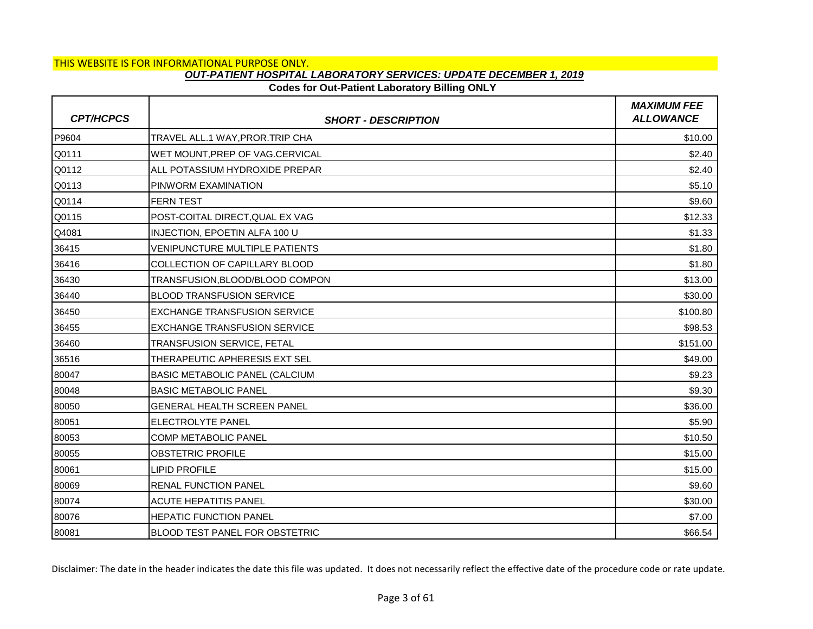# **Codes for Out-Patient Laboratory Billing ONLY**

| <b>CPT/HCPCS</b> | <b>SHORT - DESCRIPTION</b>            | <b>MAXIMUM FEE</b><br><b>ALLOWANCE</b> |
|------------------|---------------------------------------|----------------------------------------|
| P9604            | TRAVEL ALL.1 WAY, PROR. TRIP CHA      | \$10.00                                |
| Q0111            | WET MOUNT, PREP OF VAG.CERVICAL       | \$2.40                                 |
| Q0112            | ALL POTASSIUM HYDROXIDE PREPAR        | \$2.40                                 |
| Q0113            | PINWORM EXAMINATION                   | \$5.10                                 |
| Q0114            | <b>FERN TEST</b>                      | \$9.60                                 |
| Q0115            | POST-COITAL DIRECT, QUAL EX VAG       | \$12.33                                |
| Q4081            | INJECTION, EPOETIN ALFA 100 U         | \$1.33                                 |
| 36415            | VENIPUNCTURE MULTIPLE PATIENTS        | \$1.80                                 |
| 36416            | COLLECTION OF CAPILLARY BLOOD         | \$1.80                                 |
| 36430            | TRANSFUSION, BLOOD/BLOOD COMPON       | \$13.00                                |
| 36440            | <b>BLOOD TRANSFUSION SERVICE</b>      | \$30.00                                |
| 36450            | <b>EXCHANGE TRANSFUSION SERVICE</b>   | \$100.80                               |
| 36455            | <b>EXCHANGE TRANSFUSION SERVICE</b>   | \$98.53                                |
| 36460            | TRANSFUSION SERVICE, FETAL            | \$151.00                               |
| 36516            | <b>THERAPEUTIC APHERESIS EXT SEL</b>  | \$49.00                                |
| 80047            | <b>BASIC METABOLIC PANEL (CALCIUM</b> | \$9.23                                 |
| 80048            | <b>BASIC METABOLIC PANEL</b>          | \$9.30                                 |
| 80050            | <b>GENERAL HEALTH SCREEN PANEL</b>    | \$36.00                                |
| 80051            | ELECTROLYTE PANEL                     | \$5.90                                 |
| 80053            | <b>COMP METABOLIC PANEL</b>           | \$10.50                                |
| 80055            | <b>OBSTETRIC PROFILE</b>              | \$15.00                                |
| 80061            | <b>LIPID PROFILE</b>                  | \$15.00                                |
| 80069            | <b>RENAL FUNCTION PANEL</b>           | \$9.60                                 |
| 80074            | <b>ACUTE HEPATITIS PANEL</b>          | \$30.00                                |
| 80076            | <b>HEPATIC FUNCTION PANEL</b>         | \$7.00                                 |
| 80081            | BLOOD TEST PANEL FOR OBSTETRIC        | \$66.54                                |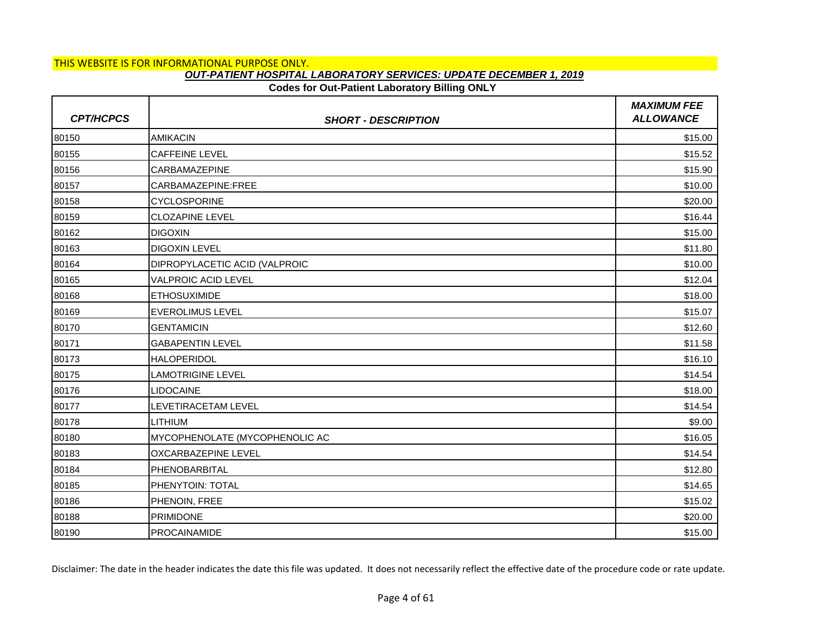### **Codes for Out-Patient Laboratory Billing ONLY**

| <b>CPT/HCPCS</b> | <b>SHORT - DESCRIPTION</b>           | <b>MAXIMUM FEE</b><br><b>ALLOWANCE</b> |
|------------------|--------------------------------------|----------------------------------------|
| 80150            | <b>AMIKACIN</b>                      | \$15.00                                |
| 80155            | <b>CAFFEINE LEVEL</b>                | \$15.52                                |
| 80156            | <b>CARBAMAZEPINE</b>                 | \$15.90                                |
| 80157            | CARBAMAZEPINE:FREE                   | \$10.00                                |
| 80158            | <b>CYCLOSPORINE</b>                  | \$20.00                                |
| 80159            | <b>CLOZAPINE LEVEL</b>               | \$16.44                                |
| 80162            | <b>DIGOXIN</b>                       | \$15.00                                |
| 80163            | <b>DIGOXIN LEVEL</b>                 | \$11.80                                |
| 80164            | <b>DIPROPYLACETIC ACID (VALPROIC</b> | \$10.00                                |
| 80165            | <b>VALPROIC ACID LEVEL</b>           | \$12.04                                |
| 80168            | <b>ETHOSUXIMIDE</b>                  | \$18.00                                |
| 80169            | <b>EVEROLIMUS LEVEL</b>              | \$15.07                                |
| 80170            | <b>GENTAMICIN</b>                    | \$12.60                                |
| 80171            | <b>GABAPENTIN LEVEL</b>              | \$11.58                                |
| 80173            | <b>HALOPERIDOL</b>                   | \$16.10                                |
| 80175            | <b>LAMOTRIGINE LEVEL</b>             | \$14.54                                |
| 80176            | LIDOCAINE                            | \$18.00                                |
| 80177            | LEVETIRACETAM LEVEL                  | \$14.54                                |
| 80178            | <b>LITHIUM</b>                       | \$9.00                                 |
| 80180            | MYCOPHENOLATE (MYCOPHENOLIC AC       | \$16.05                                |
| 80183            | OXCARBAZEPINE LEVEL                  | \$14.54                                |
| 80184            | PHENOBARBITAL                        | \$12.80                                |
| 80185            | PHENYTOIN: TOTAL                     | \$14.65                                |
| 80186            | PHENOIN, FREE                        | \$15.02                                |
| 80188            | <b>PRIMIDONE</b>                     | \$20.00                                |
| 80190            | <b>PROCAINAMIDE</b>                  | \$15.00                                |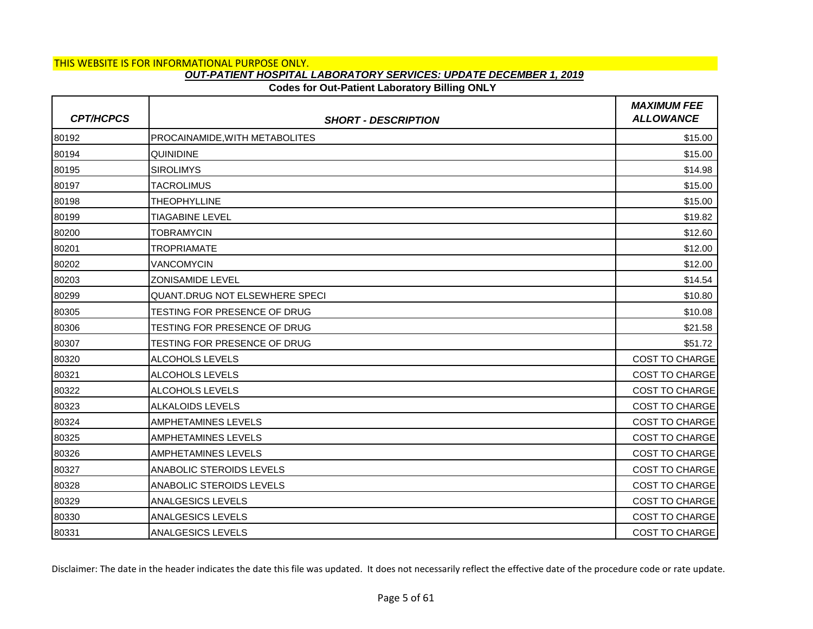### **Codes for Out-Patient Laboratory Billing ONLY**

| <b>CPT/HCPCS</b> | <b>SHORT - DESCRIPTION</b>     | <b>MAXIMUM FEE</b><br><b>ALLOWANCE</b> |
|------------------|--------------------------------|----------------------------------------|
| 80192            | PROCAINAMIDE, WITH METABOLITES | \$15.00                                |
| 80194            | <b>QUINIDINE</b>               | \$15.00                                |
| 80195            | <b>SIROLIMYS</b>               | \$14.98                                |
| 80197            | <b>TACROLIMUS</b>              | \$15.00                                |
| 80198            | <b>THEOPHYLLINE</b>            | \$15.00                                |
| 80199            | <b>TIAGABINE LEVEL</b>         | \$19.82                                |
| 80200            | <b>TOBRAMYCIN</b>              | \$12.60                                |
| 80201            | <b>TROPRIAMATE</b>             | \$12.00                                |
| 80202            | <b>VANCOMYCIN</b>              | \$12.00                                |
| 80203            | <b>ZONISAMIDE LEVEL</b>        | \$14.54                                |
| 80299            | QUANT.DRUG NOT ELSEWHERE SPECI | \$10.80                                |
| 80305            | TESTING FOR PRESENCE OF DRUG   | \$10.08                                |
| 80306            | TESTING FOR PRESENCE OF DRUG   | \$21.58                                |
| 80307            | TESTING FOR PRESENCE OF DRUG   | \$51.72                                |
| 80320            | <b>ALCOHOLS LEVELS</b>         | <b>COST TO CHARGE</b>                  |
| 80321            | ALCOHOLS LEVELS                | <b>COST TO CHARGE</b>                  |
| 80322            | ALCOHOLS LEVELS                | COST TO CHARGE                         |
| 80323            | <b>ALKALOIDS LEVELS</b>        | <b>COST TO CHARGE</b>                  |
| 80324            | AMPHETAMINES LEVELS            | <b>COST TO CHARGE</b>                  |
| 80325            | <b>AMPHETAMINES LEVELS</b>     | <b>COST TO CHARGE</b>                  |
| 80326            | <b>AMPHETAMINES LEVELS</b>     | <b>COST TO CHARGE</b>                  |
| 80327            | ANABOLIC STEROIDS LEVELS       | <b>COST TO CHARGE</b>                  |
| 80328            | ANABOLIC STEROIDS LEVELS       | <b>COST TO CHARGE</b>                  |
| 80329            | <b>ANALGESICS LEVELS</b>       | COST TO CHARGE                         |
| 80330            | <b>ANALGESICS LEVELS</b>       | <b>COST TO CHARGE</b>                  |
| 80331            | <b>ANALGESICS LEVELS</b>       | <b>COST TO CHARGE</b>                  |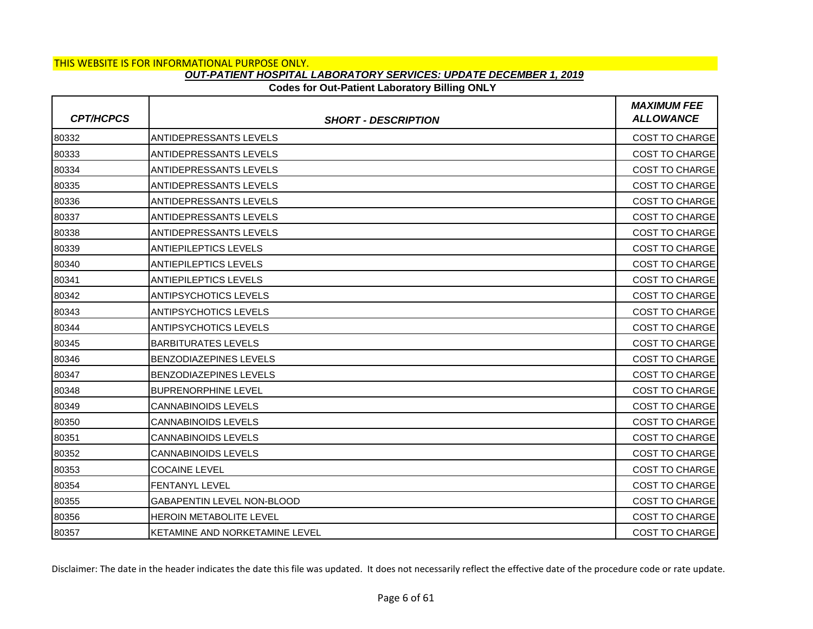### **Codes for Out-Patient Laboratory Billing ONLY**

| <b>CPT/HCPCS</b> | <b>SHORT - DESCRIPTION</b>        | <b>MAXIMUM FEE</b><br><b>ALLOWANCE</b> |
|------------------|-----------------------------------|----------------------------------------|
| 80332            | <b>ANTIDEPRESSANTS LEVELS</b>     | <b>COST TO CHARGE</b>                  |
| 80333            | <b>ANTIDEPRESSANTS LEVELS</b>     | <b>COST TO CHARGE</b>                  |
| 80334            | <b>ANTIDEPRESSANTS LEVELS</b>     | COST TO CHARGE                         |
| 80335            | <b>ANTIDEPRESSANTS LEVELS</b>     | <b>COST TO CHARGE</b>                  |
| 80336            | <b>ANTIDEPRESSANTS LEVELS</b>     | <b>COST TO CHARGE</b>                  |
| 80337            | <b>ANTIDEPRESSANTS LEVELS</b>     | COST TO CHARGE                         |
| 80338            | <b>ANTIDEPRESSANTS LEVELS</b>     | <b>COST TO CHARGE</b>                  |
| 80339            | <b>ANTIEPILEPTICS LEVELS</b>      | <b>COST TO CHARGE</b>                  |
| 80340            | <b>ANTIEPILEPTICS LEVELS</b>      | <b>COST TO CHARGE</b>                  |
| 80341            | <b>ANTIEPILEPTICS LEVELS</b>      | <b>COST TO CHARGE</b>                  |
| 80342            | <b>ANTIPSYCHOTICS LEVELS</b>      | COST TO CHARGE                         |
| 80343            | <b>ANTIPSYCHOTICS LEVELS</b>      | <b>COST TO CHARGE</b>                  |
| 80344            | <b>ANTIPSYCHOTICS LEVELS</b>      | COST TO CHARGE                         |
| 80345            | <b>BARBITURATES LEVELS</b>        | COST TO CHARGE                         |
| 80346            | <b>BENZODIAZEPINES LEVELS</b>     | <b>COST TO CHARGE</b>                  |
| 80347            | <b>BENZODIAZEPINES LEVELS</b>     | <b>COST TO CHARGE</b>                  |
| 80348            | <b>BUPRENORPHINE LEVEL</b>        | COST TO CHARGE                         |
| 80349            | <b>CANNABINOIDS LEVELS</b>        | <b>COST TO CHARGE</b>                  |
| 80350            | <b>CANNABINOIDS LEVELS</b>        | <b>COST TO CHARGE</b>                  |
| 80351            | <b>CANNABINOIDS LEVELS</b>        | <b>COST TO CHARGE</b>                  |
| 80352            | <b>CANNABINOIDS LEVELS</b>        | <b>COST TO CHARGE</b>                  |
| 80353            | <b>COCAINE LEVEL</b>              | <b>COST TO CHARGE</b>                  |
| 80354            | <b>FENTANYL LEVEL</b>             | <b>COST TO CHARGE</b>                  |
| 80355            | <b>GABAPENTIN LEVEL NON-BLOOD</b> | <b>COST TO CHARGE</b>                  |
| 80356            | <b>HEROIN METABOLITE LEVEL</b>    | <b>COST TO CHARGE</b>                  |
| 80357            | KETAMINE AND NORKETAMINE LEVEL    | <b>COST TO CHARGE</b>                  |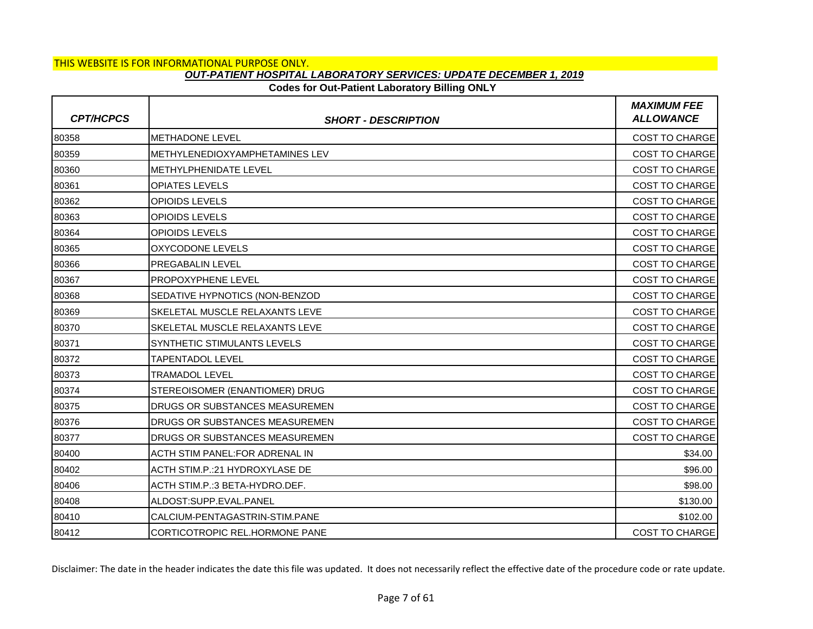### **Codes for Out-Patient Laboratory Billing ONLY**

| <b>CPT/HCPCS</b> | <b>SHORT - DESCRIPTION</b>            | <b>MAXIMUM FEE</b><br><b>ALLOWANCE</b> |
|------------------|---------------------------------------|----------------------------------------|
| 80358            | <b>METHADONE LEVEL</b>                | <b>COST TO CHARGE</b>                  |
| 80359            | METHYLENEDIOXYAMPHETAMINES LEV        | <b>COST TO CHARGE</b>                  |
| 80360            | <b>IMETHYLPHENIDATE LEVEL</b>         | <b>COST TO CHARGE</b>                  |
| 80361            | <b>OPIATES LEVELS</b>                 | <b>COST TO CHARGE</b>                  |
| 80362            | OPIOIDS LEVELS                        | <b>COST TO CHARGE</b>                  |
| 80363            | <b>OPIOIDS LEVELS</b>                 | <b>COST TO CHARGE</b>                  |
| 80364            | <b>OPIOIDS LEVELS</b>                 | <b>COST TO CHARGE</b>                  |
| 80365            | OXYCODONE LEVELS                      | COST TO CHARGE                         |
| 80366            | <b>PREGABALIN LEVEL</b>               | <b>COST TO CHARGE</b>                  |
| 80367            | <b>PROPOXYPHENE LEVEL</b>             | <b>COST TO CHARGE</b>                  |
| 80368            | SEDATIVE HYPNOTICS (NON-BENZOD        | <b>COST TO CHARGE</b>                  |
| 80369            | SKELETAL MUSCLE RELAXANTS LEVE        | <b>COST TO CHARGE</b>                  |
| 80370            | <b>SKELETAL MUSCLE RELAXANTS LEVE</b> | <b>COST TO CHARGE</b>                  |
| 80371            | SYNTHETIC STIMULANTS LEVELS           | COST TO CHARGE                         |
| 80372            | <b>TAPENTADOL LEVEL</b>               | <b>COST TO CHARGE</b>                  |
| 80373            | <b>TRAMADOL LEVEL</b>                 | <b>COST TO CHARGE</b>                  |
| 80374            | STEREOISOMER (ENANTIOMER) DRUG        | COST TO CHARGE                         |
| 80375            | DRUGS OR SUBSTANCES MEASUREMEN        | <b>COST TO CHARGE</b>                  |
| 80376            | DRUGS OR SUBSTANCES MEASUREMEN        | <b>COST TO CHARGE</b>                  |
| 80377            | DRUGS OR SUBSTANCES MEASUREMEN        | COST TO CHARGE                         |
| 80400            | ACTH STIM PANEL:FOR ADRENAL IN        | \$34.00                                |
| 80402            | ACTH STIM.P.:21 HYDROXYLASE DE        | \$96.00                                |
| 80406            | ACTH STIM.P.: 3 BETA-HYDRO.DEF.       | \$98.00                                |
| 80408            | ALDOST:SUPP.EVAL.PANEL                | \$130.00                               |
| 80410            | CALCIUM-PENTAGASTRIN-STIM.PANE        | \$102.00                               |
| 80412            | CORTICOTROPIC REL.HORMONE PANE        | <b>COST TO CHARGE</b>                  |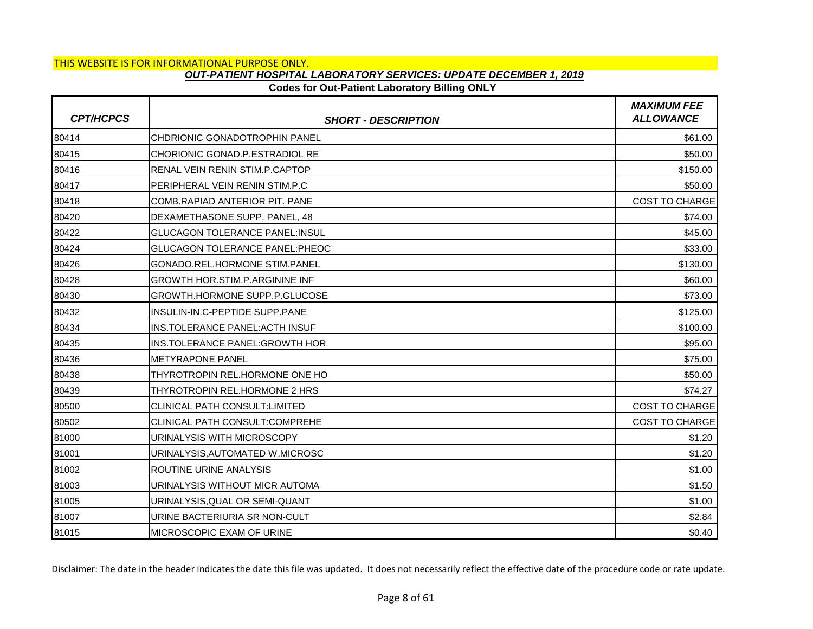# **Codes for Out-Patient Laboratory Billing ONLY**

| <b>CPT/HCPCS</b> | <b>SHORT - DESCRIPTION</b>             | <b>MAXIMUM FEE</b><br><b>ALLOWANCE</b> |
|------------------|----------------------------------------|----------------------------------------|
| 80414            | <b>CHDRIONIC GONADOTROPHIN PANEL</b>   | \$61.00                                |
| 80415            | CHORIONIC GONAD.P.ESTRADIOL RE         | \$50.00                                |
| 80416            | RENAL VEIN RENIN STIM.P.CAPTOP         | \$150.00                               |
| 80417            | PERIPHERAL VEIN RENIN STIM.P.C         | \$50.00                                |
| 80418            | COMB.RAPIAD ANTERIOR PIT. PANE         | <b>COST TO CHARGE</b>                  |
| 80420            | DEXAMETHASONE SUPP, PANEL, 48          | \$74.00                                |
| 80422            | <b>GLUCAGON TOLERANCE PANEL:INSUL</b>  | \$45.00                                |
| 80424            | <b>GLUCAGON TOLERANCE PANEL: PHEOC</b> | \$33.00                                |
| 80426            | <b>GONADO.REL.HORMONE STIM.PANEL</b>   | \$130.00                               |
| 80428            | <b>GROWTH HOR.STIM.P.ARGININE INF</b>  | \$60.00                                |
| 80430            | GROWTH.HORMONE SUPP.P.GLUCOSE          | \$73.00                                |
| 80432            | INSULIN-IN.C-PEPTIDE SUPP.PANE         | \$125.00                               |
| 80434            | <b>INS.TOLERANCE PANEL: ACTH INSUF</b> | \$100.00                               |
| 80435            | INS.TOLERANCE PANEL: GROWTH HOR        | \$95.00                                |
| 80436            | <b>METYRAPONE PANEL</b>                | \$75.00                                |
| 80438            | THYROTROPIN REL.HORMONE ONE HO         | \$50.00                                |
| 80439            | THYROTROPIN REL.HORMONE 2 HRS          | \$74.27                                |
| 80500            | <b>CLINICAL PATH CONSULT:LIMITED</b>   | <b>COST TO CHARGE</b>                  |
| 80502            | <b>CLINICAL PATH CONSULT:COMPREHE</b>  | <b>COST TO CHARGE</b>                  |
| 81000            | URINALYSIS WITH MICROSCOPY             | \$1.20                                 |
| 81001            | URINALYSIS, AUTOMATED W.MICROSC        | \$1.20                                 |
| 81002            | ROUTINE URINE ANALYSIS                 | \$1.00                                 |
| 81003            | URINALYSIS WITHOUT MICR AUTOMA         | \$1.50                                 |
| 81005            | URINALYSIS, QUAL OR SEMI-QUANT         | \$1.00                                 |
| 81007            | URINE BACTERIURIA SR NON-CULT          | \$2.84                                 |
| 81015            | MICROSCOPIC EXAM OF URINE              | \$0.40                                 |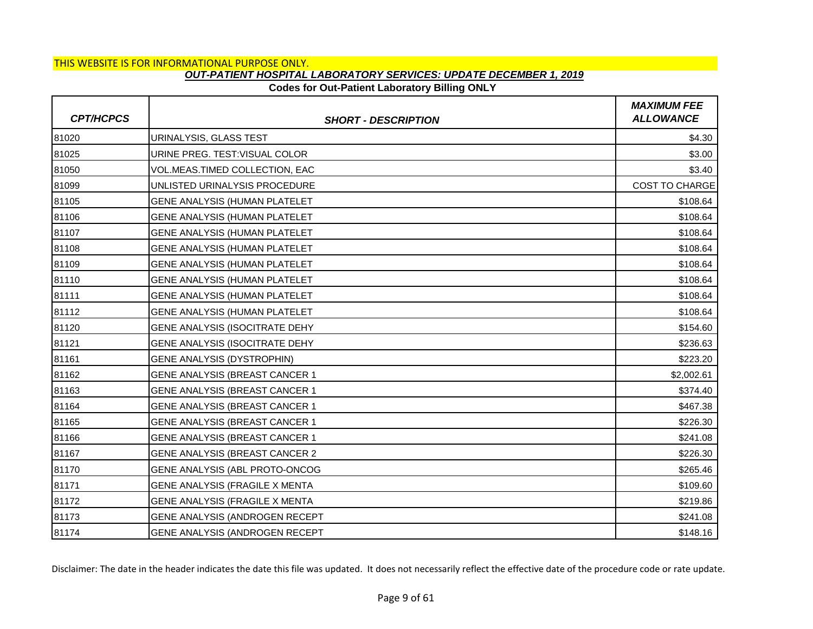### **Codes for Out-Patient Laboratory Billing ONLY**

| <b>CPT/HCPCS</b> | <b>SHORT - DESCRIPTION</b>            | <b>MAXIMUM FEE</b><br><b>ALLOWANCE</b> |
|------------------|---------------------------------------|----------------------------------------|
| 81020            | URINALYSIS, GLASS TEST                | \$4.30                                 |
| 81025            | URINE PREG. TEST: VISUAL COLOR        | \$3.00                                 |
| 81050            | VOL.MEAS.TIMED COLLECTION, EAC        | \$3.40                                 |
| 81099            | UNLISTED URINALYSIS PROCEDURE         | <b>COST TO CHARGE</b>                  |
| 81105            | GENE ANALYSIS (HUMAN PLATELET         | \$108.64                               |
| 81106            | GENE ANALYSIS (HUMAN PLATELET         | \$108.64                               |
| 81107            | GENE ANALYSIS (HUMAN PLATELET         | \$108.64                               |
| 81108            | GENE ANALYSIS (HUMAN PLATELET         | \$108.64                               |
| 81109            | <b>GENE ANALYSIS (HUMAN PLATELET</b>  | \$108.64                               |
| 81110            | GENE ANALYSIS (HUMAN PLATELET         | \$108.64                               |
| 81111            | GENE ANALYSIS (HUMAN PLATELET         | \$108.64                               |
| 81112            | <b>GENE ANALYSIS (HUMAN PLATELET</b>  | \$108.64                               |
| 81120            | GENE ANALYSIS (ISOCITRATE DEHY        | \$154.60                               |
| 81121            | GENE ANALYSIS (ISOCITRATE DEHY        | \$236.63                               |
| 81161            | <b>GENE ANALYSIS (DYSTROPHIN)</b>     | \$223.20                               |
| 81162            | GENE ANALYSIS (BREAST CANCER 1        | \$2,002.61                             |
| 81163            | GENE ANALYSIS (BREAST CANCER 1        | \$374.40                               |
| 81164            | GENE ANALYSIS (BREAST CANCER 1        | \$467.38                               |
| 81165            | GENE ANALYSIS (BREAST CANCER 1        | \$226.30                               |
| 81166            | GENE ANALYSIS (BREAST CANCER 1        | \$241.08                               |
| 81167            | <b>GENE ANALYSIS (BREAST CANCER 2</b> | \$226.30                               |
| 81170            | GENE ANALYSIS (ABL PROTO-ONCOG        | \$265.46                               |
| 81171            | GENE ANALYSIS (FRAGILE X MENTA        | \$109.60                               |
| 81172            | GENE ANALYSIS (FRAGILE X MENTA        | \$219.86                               |
| 81173            | GENE ANALYSIS (ANDROGEN RECEPT        | \$241.08                               |
| 81174            | GENE ANALYSIS (ANDROGEN RECEPT        | \$148.16                               |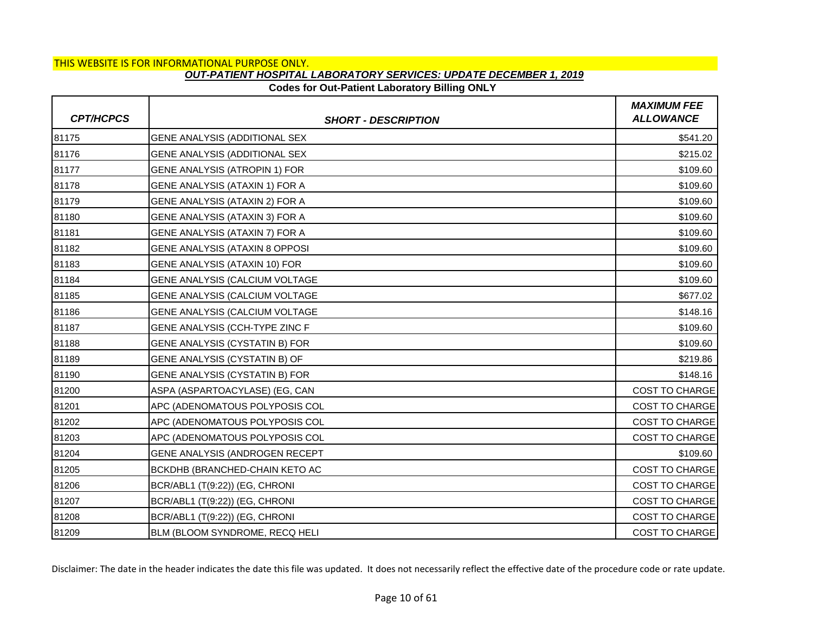### **Codes for Out-Patient Laboratory Billing ONLY**

| <b>CPT/HCPCS</b> | <b>SHORT - DESCRIPTION</b>     | <b>MAXIMUM FEE</b><br><b>ALLOWANCE</b> |
|------------------|--------------------------------|----------------------------------------|
| 81175            | GENE ANALYSIS (ADDITIONAL SEX  | \$541.20                               |
| 81176            | GENE ANALYSIS (ADDITIONAL SEX  | \$215.02                               |
| 81177            | GENE ANALYSIS (ATROPIN 1) FOR  | \$109.60                               |
| 81178            | GENE ANALYSIS (ATAXIN 1) FOR A | \$109.60                               |
| 81179            | GENE ANALYSIS (ATAXIN 2) FOR A | \$109.60                               |
| 81180            | GENE ANALYSIS (ATAXIN 3) FOR A | \$109.60                               |
| 81181            | GENE ANALYSIS (ATAXIN 7) FOR A | \$109.60                               |
| 81182            | GENE ANALYSIS (ATAXIN 8 OPPOSI | \$109.60                               |
| 81183            | GENE ANALYSIS (ATAXIN 10) FOR  | \$109.60                               |
| 81184            | GENE ANALYSIS (CALCIUM VOLTAGE | \$109.60                               |
| 81185            | GENE ANALYSIS (CALCIUM VOLTAGE | \$677.02                               |
| 81186            | GENE ANALYSIS (CALCIUM VOLTAGE | \$148.16                               |
| 81187            | GENE ANALYSIS (CCH-TYPE ZINC F | \$109.60                               |
| 81188            | GENE ANALYSIS (CYSTATIN B) FOR | \$109.60                               |
| 81189            | GENE ANALYSIS (CYSTATIN B) OF  | \$219.86                               |
| 81190            | GENE ANALYSIS (CYSTATIN B) FOR | \$148.16                               |
| 81200            | ASPA (ASPARTOACYLASE) (EG, CAN | <b>COST TO CHARGE</b>                  |
| 81201            | APC (ADENOMATOUS POLYPOSIS COL | <b>COST TO CHARGE</b>                  |
| 81202            | APC (ADENOMATOUS POLYPOSIS COL | <b>COST TO CHARGE</b>                  |
| 81203            | APC (ADENOMATOUS POLYPOSIS COL | <b>COST TO CHARGE</b>                  |
| 81204            | GENE ANALYSIS (ANDROGEN RECEPT | \$109.60                               |
| 81205            | BCKDHB (BRANCHED-CHAIN KETO AC | COST TO CHARGE                         |
| 81206            | BCR/ABL1 (T(9:22)) (EG, CHRONI | COST TO CHARGE                         |
| 81207            | BCR/ABL1 (T(9:22)) (EG, CHRONI | <b>COST TO CHARGE</b>                  |
| 81208            | BCR/ABL1 (T(9:22)) (EG, CHRONI | <b>COST TO CHARGE</b>                  |
| 81209            | BLM (BLOOM SYNDROME, RECQ HELI | <b>COST TO CHARGE</b>                  |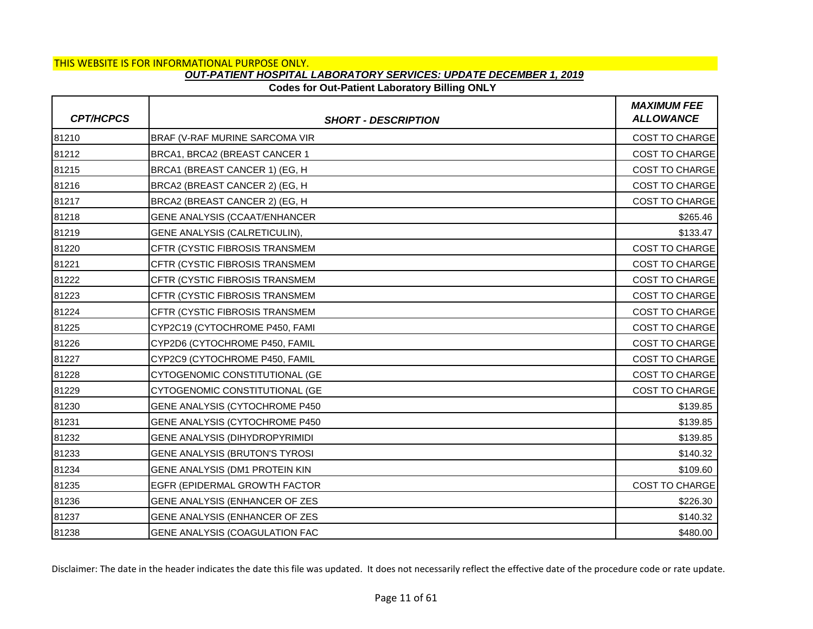# **Codes for Out-Patient Laboratory Billing ONLY**

| <b>CPT/HCPCS</b> | <b>SHORT - DESCRIPTION</b>            | <b>MAXIMUM FEE</b><br><b>ALLOWANCE</b> |
|------------------|---------------------------------------|----------------------------------------|
| 81210            | BRAF (V-RAF MURINE SARCOMA VIR        | <b>COST TO CHARGE</b>                  |
| 81212            | BRCA1, BRCA2 (BREAST CANCER 1         | COST TO CHARGE                         |
| 81215            | BRCA1 (BREAST CANCER 1) (EG, H        | <b>COST TO CHARGE</b>                  |
| 81216            | BRCA2 (BREAST CANCER 2) (EG, H        | <b>COST TO CHARGE</b>                  |
| 81217            | BRCA2 (BREAST CANCER 2) (EG, H        | COST TO CHARGE                         |
| 81218            | GENE ANALYSIS (CCAAT/ENHANCER         | \$265.46                               |
| 81219            | GENE ANALYSIS (CALRETICULIN),         | \$133.47                               |
| 81220            | CFTR (CYSTIC FIBROSIS TRANSMEM        | COST TO CHARGE                         |
| 81221            | CFTR (CYSTIC FIBROSIS TRANSMEM        | <b>COST TO CHARGE</b>                  |
| 81222            | CFTR (CYSTIC FIBROSIS TRANSMEM        | <b>COST TO CHARGE</b>                  |
| 81223            | CFTR (CYSTIC FIBROSIS TRANSMEM        | COST TO CHARGE                         |
| 81224            | CFTR (CYSTIC FIBROSIS TRANSMEM        | <b>COST TO CHARGE</b>                  |
| 81225            | CYP2C19 (CYTOCHROME P450, FAMI        | <b>COST TO CHARGE</b>                  |
| 81226            | CYP2D6 (CYTOCHROME P450, FAMIL        | COST TO CHARGE                         |
| 81227            | CYP2C9 (CYTOCHROME P450, FAMIL        | <b>COST TO CHARGE</b>                  |
| 81228            | CYTOGENOMIC CONSTITUTIONAL (GE        | <b>COST TO CHARGE</b>                  |
| 81229            | CYTOGENOMIC CONSTITUTIONAL (GE        | COST TO CHARGE                         |
| 81230            | GENE ANALYSIS (CYTOCHROME P450        | \$139.85                               |
| 81231            | GENE ANALYSIS (CYTOCHROME P450        | \$139.85                               |
| 81232            | GENE ANALYSIS (DIHYDROPYRIMIDI        | \$139.85                               |
| 81233            | <b>GENE ANALYSIS (BRUTON'S TYROSI</b> | \$140.32                               |
| 81234            | GENE ANALYSIS (DM1 PROTEIN KIN        | \$109.60                               |
| 81235            | EGFR (EPIDERMAL GROWTH FACTOR         | COST TO CHARGE                         |
| 81236            | GENE ANALYSIS (ENHANCER OF ZES        | \$226.30                               |
| 81237            | GENE ANALYSIS (ENHANCER OF ZES        | \$140.32                               |
| 81238            | GENE ANALYSIS (COAGULATION FAC        | \$480.00                               |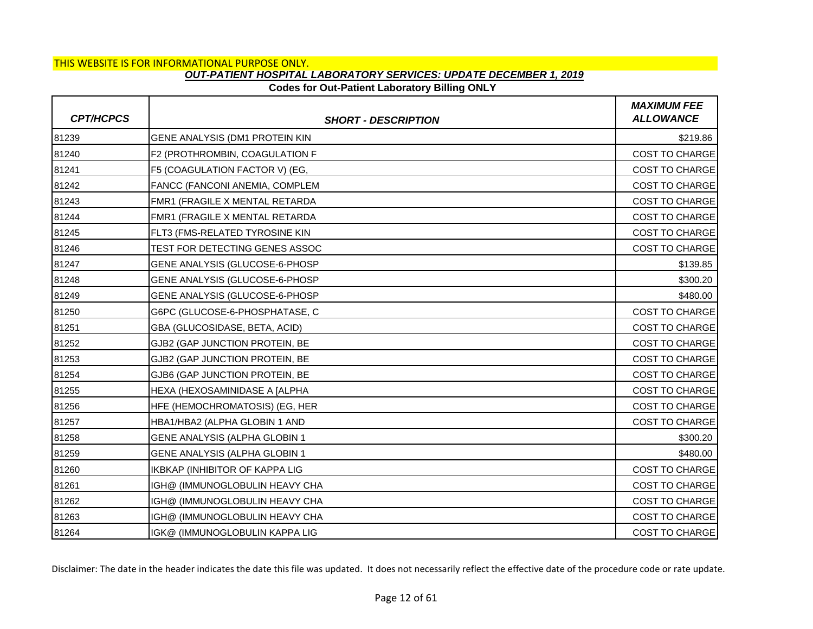### **Codes for Out-Patient Laboratory Billing ONLY**

| <b>CPT/HCPCS</b> | <b>SHORT - DESCRIPTION</b>            | <b>MAXIMUM FEE</b><br><b>ALLOWANCE</b> |
|------------------|---------------------------------------|----------------------------------------|
| 81239            | GENE ANALYSIS (DM1 PROTEIN KIN        | \$219.86                               |
| 81240            | F2 (PROTHROMBIN, COAGULATION F        | COST TO CHARGE                         |
| 81241            | F5 (COAGULATION FACTOR V) (EG,        | <b>COST TO CHARGE</b>                  |
| 81242            | FANCC (FANCONI ANEMIA, COMPLEM        | <b>COST TO CHARGE</b>                  |
| 81243            | FMR1 (FRAGILE X MENTAL RETARDA        | <b>COST TO CHARGE</b>                  |
| 81244            | FMR1 (FRAGILE X MENTAL RETARDA        | <b>COST TO CHARGE</b>                  |
| 81245            | FLT3 (FMS-RELATED TYROSINE KIN        | COST TO CHARGE                         |
| 81246            | TEST FOR DETECTING GENES ASSOC        | <b>COST TO CHARGE</b>                  |
| 81247            | GENE ANALYSIS (GLUCOSE-6-PHOSP        | \$139.85                               |
| 81248            | GENE ANALYSIS (GLUCOSE-6-PHOSP        | \$300.20                               |
| 81249            | GENE ANALYSIS (GLUCOSE-6-PHOSP        | \$480.00                               |
| 81250            | G6PC (GLUCOSE-6-PHOSPHATASE, C        | <b>COST TO CHARGE</b>                  |
| 81251            | GBA (GLUCOSIDASE, BETA, ACID)         | <b>COST TO CHARGE</b>                  |
| 81252            | GJB2 (GAP JUNCTION PROTEIN, BE        | COST TO CHARGE                         |
| 81253            | GJB2 (GAP JUNCTION PROTEIN, BE        | <b>COST TO CHARGE</b>                  |
| 81254            | GJB6 (GAP JUNCTION PROTEIN, BE        | <b>COST TO CHARGE</b>                  |
| 81255            | HEXA (HEXOSAMINIDASE A [ALPHA         | <b>COST TO CHARGE</b>                  |
| 81256            | HFE (HEMOCHROMATOSIS) (EG, HER        | <b>COST TO CHARGE</b>                  |
| 81257            | HBA1/HBA2 (ALPHA GLOBIN 1 AND         | <b>COST TO CHARGE</b>                  |
| 81258            | GENE ANALYSIS (ALPHA GLOBIN 1         | \$300.20                               |
| 81259            | GENE ANALYSIS (ALPHA GLOBIN 1         | \$480.00                               |
| 81260            | <b>IKBKAP (INHIBITOR OF KAPPA LIG</b> | COST TO CHARGE                         |
| 81261            | IGH@ (IMMUNOGLOBULIN HEAVY CHA        | <b>COST TO CHARGE</b>                  |
| 81262            | IGH@ (IMMUNOGLOBULIN HEAVY CHA        | <b>COST TO CHARGE</b>                  |
| 81263            | IGH@ (IMMUNOGLOBULIN HEAVY CHA        | <b>COST TO CHARGE</b>                  |
| 81264            | IGK@ (IMMUNOGLOBULIN KAPPA LIG        | <b>COST TO CHARGE</b>                  |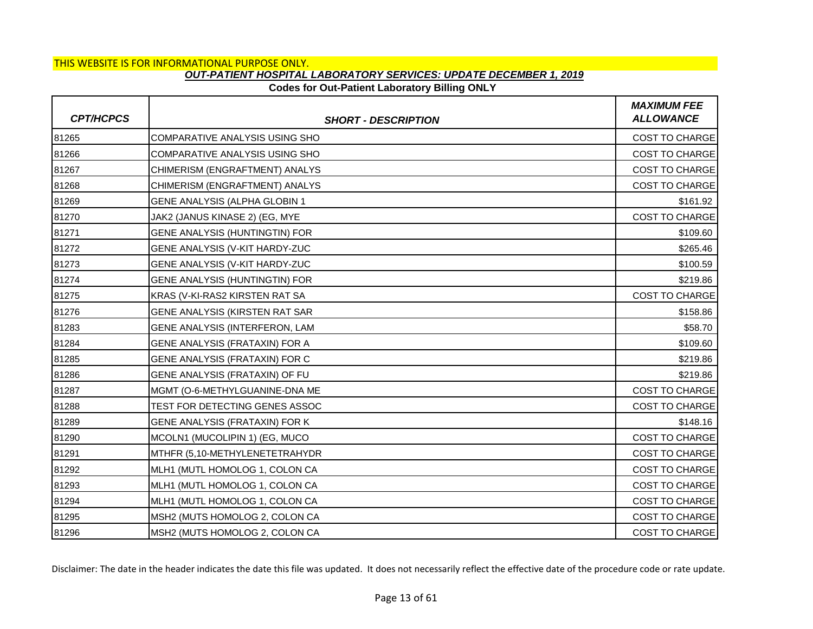# **Codes for Out-Patient Laboratory Billing ONLY**

| <b>CPT/HCPCS</b> | <b>SHORT - DESCRIPTION</b>     | <b>MAXIMUM FEE</b><br><b>ALLOWANCE</b> |
|------------------|--------------------------------|----------------------------------------|
| 81265            | COMPARATIVE ANALYSIS USING SHO | COST TO CHARGE                         |
| 81266            | COMPARATIVE ANALYSIS USING SHO | COST TO CHARGE                         |
| 81267            | CHIMERISM (ENGRAFTMENT) ANALYS | <b>COST TO CHARGE</b>                  |
| 81268            | CHIMERISM (ENGRAFTMENT) ANALYS | <b>COST TO CHARGE</b>                  |
| 81269            | GENE ANALYSIS (ALPHA GLOBIN 1  | \$161.92                               |
| 81270            | JAK2 (JANUS KINASE 2) (EG, MYE | <b>COST TO CHARGE</b>                  |
| 81271            | GENE ANALYSIS (HUNTINGTIN) FOR | \$109.60                               |
| 81272            | GENE ANALYSIS (V-KIT HARDY-ZUC | \$265.46                               |
| 81273            | GENE ANALYSIS (V-KIT HARDY-ZUC | \$100.59                               |
| 81274            | GENE ANALYSIS (HUNTINGTIN) FOR | \$219.86                               |
| 81275            | KRAS (V-KI-RAS2 KIRSTEN RAT SA | COST TO CHARGE                         |
| 81276            | GENE ANALYSIS (KIRSTEN RAT SAR | \$158.86                               |
| 81283            | GENE ANALYSIS (INTERFERON, LAM | \$58.70                                |
| 81284            | GENE ANALYSIS (FRATAXIN) FOR A | \$109.60                               |
| 81285            | GENE ANALYSIS (FRATAXIN) FOR C | \$219.86                               |
| 81286            | GENE ANALYSIS (FRATAXIN) OF FU | \$219.86                               |
| 81287            | MGMT (O-6-METHYLGUANINE-DNA ME | COST TO CHARGE                         |
| 81288            | TEST FOR DETECTING GENES ASSOC | <b>COST TO CHARGE</b>                  |
| 81289            | GENE ANALYSIS (FRATAXIN) FOR K | \$148.16                               |
| 81290            | MCOLN1 (MUCOLIPIN 1) (EG, MUCO | COST TO CHARGE                         |
| 81291            | MTHFR (5,10-METHYLENETETRAHYDR | COST TO CHARGE                         |
| 81292            | MLH1 (MUTL HOMOLOG 1, COLON CA | <b>COST TO CHARGE</b>                  |
| 81293            | MLH1 (MUTL HOMOLOG 1, COLON CA | COST TO CHARGE                         |
| 81294            | MLH1 (MUTL HOMOLOG 1, COLON CA | <b>COST TO CHARGE</b>                  |
| 81295            | MSH2 (MUTS HOMOLOG 2, COLON CA | COST TO CHARGE                         |
| 81296            | MSH2 (MUTS HOMOLOG 2, COLON CA | <b>COST TO CHARGE</b>                  |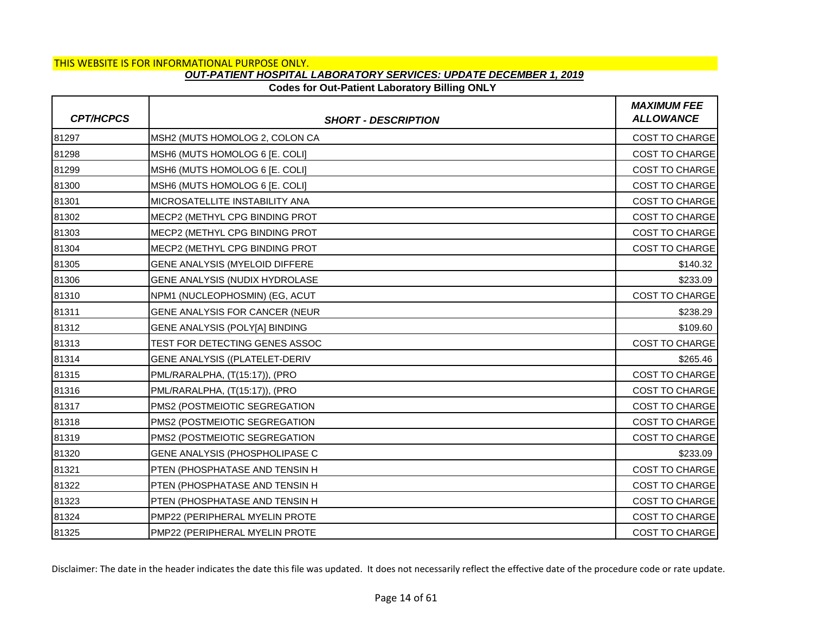# **Codes for Out-Patient Laboratory Billing ONLY**

| <b>CPT/HCPCS</b> | <b>SHORT - DESCRIPTION</b>     | <b>MAXIMUM FEE</b><br><b>ALLOWANCE</b> |
|------------------|--------------------------------|----------------------------------------|
| 81297            | MSH2 (MUTS HOMOLOG 2, COLON CA | COST TO CHARGE                         |
| 81298            | MSH6 (MUTS HOMOLOG 6 [E. COLI] | COST TO CHARGE                         |
| 81299            | MSH6 (MUTS HOMOLOG 6 [E. COLI] | <b>COST TO CHARGE</b>                  |
| 81300            | MSH6 (MUTS HOMOLOG 6 [E. COLI] | <b>COST TO CHARGE</b>                  |
| 81301            | MICROSATELLITE INSTABILITY ANA | COST TO CHARGE                         |
| 81302            | MECP2 (METHYL CPG BINDING PROT | <b>COST TO CHARGE</b>                  |
| 81303            | MECP2 (METHYL CPG BINDING PROT | <b>COST TO CHARGE</b>                  |
| 81304            | MECP2 (METHYL CPG BINDING PROT | COST TO CHARGE                         |
| 81305            | GENE ANALYSIS (MYELOID DIFFERE | \$140.32                               |
| 81306            | GENE ANALYSIS (NUDIX HYDROLASE | \$233.09                               |
| 81310            | NPM1 (NUCLEOPHOSMIN) (EG, ACUT | COST TO CHARGE                         |
| 81311            | GENE ANALYSIS FOR CANCER (NEUR | \$238.29                               |
| 81312            | GENE ANALYSIS (POLY[A] BINDING | \$109.60                               |
| 81313            | TEST FOR DETECTING GENES ASSOC | COST TO CHARGE                         |
| 81314            | GENE ANALYSIS ((PLATELET-DERIV | \$265.46                               |
| 81315            | PML/RARALPHA, (T(15:17)), (PRO | COST TO CHARGE                         |
| 81316            | PML/RARALPHA, (T(15:17)), (PRO | COST TO CHARGE                         |
| 81317            | PMS2 (POSTMEIOTIC SEGREGATION  | <b>COST TO CHARGE</b>                  |
| 81318            | PMS2 (POSTMEIOTIC SEGREGATION  | <b>COST TO CHARGE</b>                  |
| 81319            | PMS2 (POSTMEIOTIC SEGREGATION  | COST TO CHARGE                         |
| 81320            | GENE ANALYSIS (PHOSPHOLIPASE C | \$233.09                               |
| 81321            | PTEN (PHOSPHATASE AND TENSIN H | COST TO CHARGE                         |
| 81322            | PTEN (PHOSPHATASE AND TENSIN H | <b>COST TO CHARGE</b>                  |
| 81323            | PTEN (PHOSPHATASE AND TENSIN H | COST TO CHARGE                         |
| 81324            | PMP22 (PERIPHERAL MYELIN PROTE | COST TO CHARGE                         |
| 81325            | PMP22 (PERIPHERAL MYELIN PROTE | <b>COST TO CHARGE</b>                  |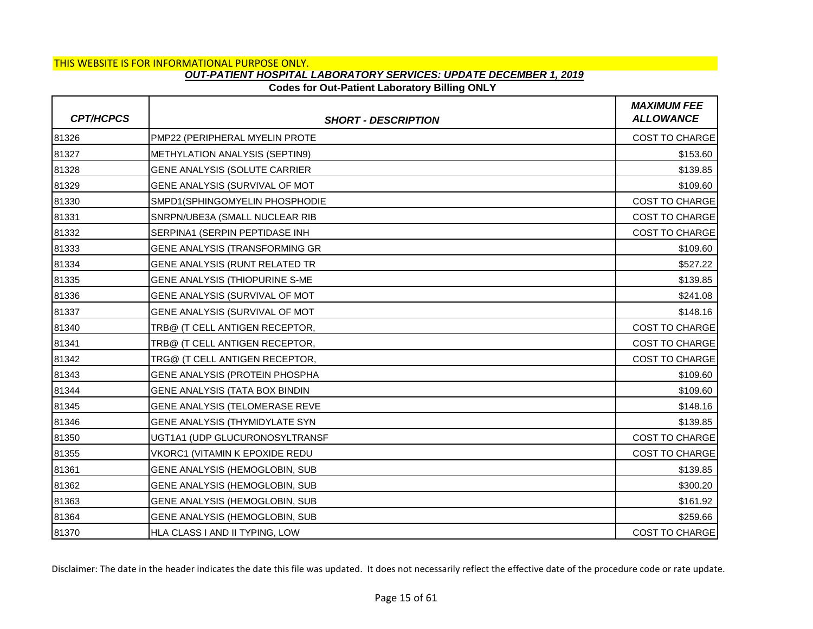### **Codes for Out-Patient Laboratory Billing ONLY**

| <b>CPT/HCPCS</b> | <b>SHORT - DESCRIPTION</b>     | <b>MAXIMUM FEE</b><br><b>ALLOWANCE</b> |
|------------------|--------------------------------|----------------------------------------|
| 81326            | PMP22 (PERIPHERAL MYELIN PROTE | <b>COST TO CHARGE</b>                  |
| 81327            | METHYLATION ANALYSIS (SEPTIN9) | \$153.60                               |
| 81328            | GENE ANALYSIS (SOLUTE CARRIER  | \$139.85                               |
| 81329            | GENE ANALYSIS (SURVIVAL OF MOT | \$109.60                               |
| 81330            | SMPD1(SPHINGOMYELIN PHOSPHODIE | COST TO CHARGE                         |
| 81331            | SNRPN/UBE3A (SMALL NUCLEAR RIB | <b>COST TO CHARGE</b>                  |
| 81332            | SERPINA1 (SERPIN PEPTIDASE INH | <b>COST TO CHARGE</b>                  |
| 81333            | GENE ANALYSIS (TRANSFORMING GR | \$109.60                               |
| 81334            | GENE ANALYSIS (RUNT RELATED TR | \$527.22                               |
| 81335            | GENE ANALYSIS (THIOPURINE S-ME | \$139.85                               |
| 81336            | GENE ANALYSIS (SURVIVAL OF MOT | \$241.08                               |
| 81337            | GENE ANALYSIS (SURVIVAL OF MOT | \$148.16                               |
| 81340            | TRB@ (T CELL ANTIGEN RECEPTOR, | COST TO CHARGE                         |
| 81341            | TRB@ (T CELL ANTIGEN RECEPTOR, | COST TO CHARGE                         |
| 81342            | TRG@ (T CELL ANTIGEN RECEPTOR, | <b>COST TO CHARGE</b>                  |
| 81343            | GENE ANALYSIS (PROTEIN PHOSPHA | \$109.60                               |
| 81344            | GENE ANALYSIS (TATA BOX BINDIN | \$109.60                               |
| 81345            | GENE ANALYSIS (TELOMERASE REVE | \$148.16                               |
| 81346            | GENE ANALYSIS (THYMIDYLATE SYN | \$139.85                               |
| 81350            | UGT1A1 (UDP GLUCURONOSYLTRANSF | COST TO CHARGE                         |
| 81355            | VKORC1 (VITAMIN K EPOXIDE REDU | <b>COST TO CHARGE</b>                  |
| 81361            | GENE ANALYSIS (HEMOGLOBIN, SUB | \$139.85                               |
| 81362            | GENE ANALYSIS (HEMOGLOBIN, SUB | \$300.20                               |
| 81363            | GENE ANALYSIS (HEMOGLOBIN, SUB | \$161.92                               |
| 81364            | GENE ANALYSIS (HEMOGLOBIN, SUB | \$259.66                               |
| 81370            | HLA CLASS I AND II TYPING, LOW | <b>COST TO CHARGE</b>                  |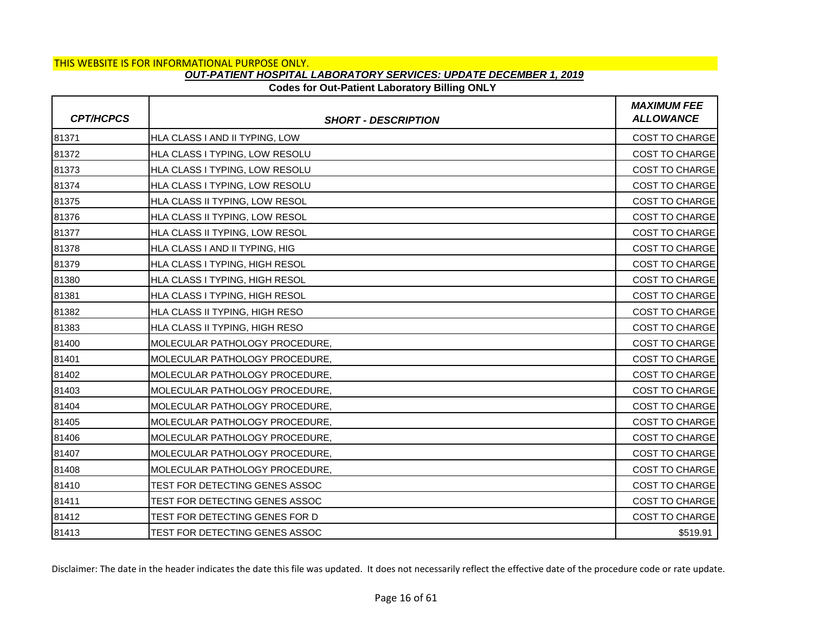## **Codes for Out-Patient Laboratory Billing ONLY**

| <b>CPT/HCPCS</b> | <b>SHORT - DESCRIPTION</b>     | <b>MAXIMUM FEE</b><br><b>ALLOWANCE</b> |
|------------------|--------------------------------|----------------------------------------|
| 81371            | HLA CLASS I AND II TYPING, LOW | COST TO CHARGE                         |
| 81372            | HLA CLASS I TYPING, LOW RESOLU | COST TO CHARGE                         |
| 81373            | HLA CLASS I TYPING, LOW RESOLU | <b>COST TO CHARGE</b>                  |
| 81374            | HLA CLASS I TYPING, LOW RESOLU | COST TO CHARGE                         |
| 81375            | HLA CLASS II TYPING, LOW RESOL | COST TO CHARGE                         |
| 81376            | HLA CLASS II TYPING, LOW RESOL | <b>COST TO CHARGE</b>                  |
| 81377            | HLA CLASS II TYPING, LOW RESOL | <b>COST TO CHARGE</b>                  |
| 81378            | HLA CLASS I AND II TYPING, HIG | COST TO CHARGE                         |
| 81379            | HLA CLASS I TYPING, HIGH RESOL | <b>COST TO CHARGE</b>                  |
| 81380            | HLA CLASS I TYPING, HIGH RESOL | <b>COST TO CHARGE</b>                  |
| 81381            | HLA CLASS I TYPING, HIGH RESOL | COST TO CHARGE                         |
| 81382            | HLA CLASS II TYPING, HIGH RESO | <b>COST TO CHARGE</b>                  |
| 81383            | HLA CLASS II TYPING, HIGH RESO | <b>COST TO CHARGE</b>                  |
| 81400            | MOLECULAR PATHOLOGY PROCEDURE, | COST TO CHARGE                         |
| 81401            | MOLECULAR PATHOLOGY PROCEDURE, | <b>COST TO CHARGE</b>                  |
| 81402            | MOLECULAR PATHOLOGY PROCEDURE, | <b>COST TO CHARGE</b>                  |
| 81403            | MOLECULAR PATHOLOGY PROCEDURE, | COST TO CHARGE                         |
| 81404            | MOLECULAR PATHOLOGY PROCEDURE, | <b>COST TO CHARGE</b>                  |
| 81405            | MOLECULAR PATHOLOGY PROCEDURE, | <b>COST TO CHARGE</b>                  |
| 81406            | MOLECULAR PATHOLOGY PROCEDURE, | COST TO CHARGE                         |
| 81407            | MOLECULAR PATHOLOGY PROCEDURE, | <b>COST TO CHARGE</b>                  |
| 81408            | MOLECULAR PATHOLOGY PROCEDURE, | <b>COST TO CHARGE</b>                  |
| 81410            | TEST FOR DETECTING GENES ASSOC | <b>COST TO CHARGE</b>                  |
| 81411            | TEST FOR DETECTING GENES ASSOC | COST TO CHARGE                         |
| 81412            | TEST FOR DETECTING GENES FOR D | COST TO CHARGE                         |
| 81413            | TEST FOR DETECTING GENES ASSOC | \$519.91                               |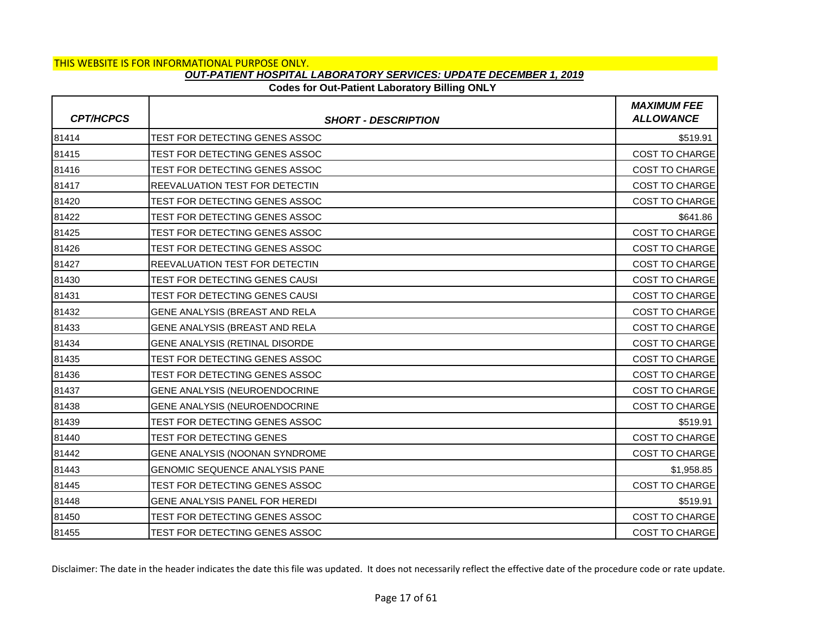# **Codes for Out-Patient Laboratory Billing ONLY**

| <b>CPT/HCPCS</b> | <b>SHORT - DESCRIPTION</b>            | <b>MAXIMUM FEE</b><br><b>ALLOWANCE</b> |
|------------------|---------------------------------------|----------------------------------------|
| 81414            | TEST FOR DETECTING GENES ASSOC        | \$519.91                               |
| 81415            | TEST FOR DETECTING GENES ASSOC        | COST TO CHARGE                         |
| 81416            | TEST FOR DETECTING GENES ASSOC        | <b>COST TO CHARGE</b>                  |
| 81417            | REEVALUATION TEST FOR DETECTIN        | <b>COST TO CHARGE</b>                  |
| 81420            | TEST FOR DETECTING GENES ASSOC        | COST TO CHARGE                         |
| 81422            | TEST FOR DETECTING GENES ASSOC        | \$641.86                               |
| 81425            | TEST FOR DETECTING GENES ASSOC        | COST TO CHARGE                         |
| 81426            | TEST FOR DETECTING GENES ASSOC        | COST TO CHARGE                         |
| 81427            | REEVALUATION TEST FOR DETECTIN        | <b>COST TO CHARGE</b>                  |
| 81430            | TEST FOR DETECTING GENES CAUSI        | <b>COST TO CHARGE</b>                  |
| 81431            | TEST FOR DETECTING GENES CAUSI        | COST TO CHARGE                         |
| 81432            | GENE ANALYSIS (BREAST AND RELA        | <b>COST TO CHARGE</b>                  |
| 81433            | GENE ANALYSIS (BREAST AND RELA        | <b>COST TO CHARGE</b>                  |
| 81434            | GENE ANALYSIS (RETINAL DISORDE        | COST TO CHARGE                         |
| 81435            | TEST FOR DETECTING GENES ASSOC        | <b>COST TO CHARGE</b>                  |
| 81436            | TEST FOR DETECTING GENES ASSOC        | <b>COST TO CHARGE</b>                  |
| 81437            | GENE ANALYSIS (NEUROENDOCRINE         | COST TO CHARGE                         |
| 81438            | GENE ANALYSIS (NEUROENDOCRINE         | <b>COST TO CHARGE</b>                  |
| 81439            | TEST FOR DETECTING GENES ASSOC        | \$519.91                               |
| 81440            | TEST FOR DETECTING GENES              | <b>COST TO CHARGE</b>                  |
| 81442            | GENE ANALYSIS (NOONAN SYNDROME        | <b>COST TO CHARGE</b>                  |
| 81443            | <b>GENOMIC SEQUENCE ANALYSIS PANE</b> | \$1,958.85                             |
| 81445            | TEST FOR DETECTING GENES ASSOC        | COST TO CHARGE                         |
| 81448            | GENE ANALYSIS PANEL FOR HEREDI        | \$519.91                               |
| 81450            | TEST FOR DETECTING GENES ASSOC        | <b>COST TO CHARGE</b>                  |
| 81455            | TEST FOR DETECTING GENES ASSOC        | <b>COST TO CHARGE</b>                  |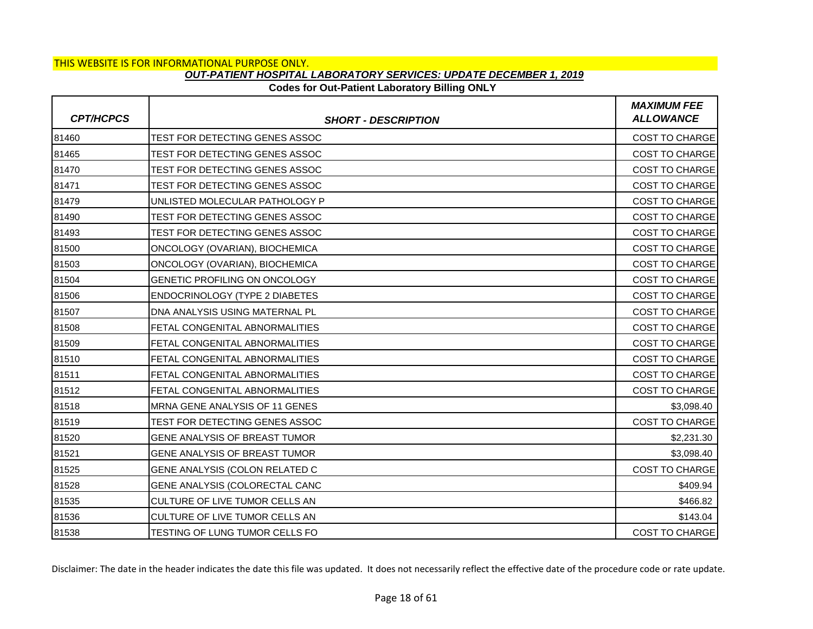# **Codes for Out-Patient Laboratory Billing ONLY**

| <b>CPT/HCPCS</b> | <b>SHORT - DESCRIPTION</b>           | <b>MAXIMUM FEE</b><br><b>ALLOWANCE</b> |
|------------------|--------------------------------------|----------------------------------------|
| 81460            | TEST FOR DETECTING GENES ASSOC       | COST TO CHARGE                         |
| 81465            | TEST FOR DETECTING GENES ASSOC       | <b>COST TO CHARGE</b>                  |
| 81470            | TEST FOR DETECTING GENES ASSOC       | <b>COST TO CHARGE</b>                  |
| 81471            | TEST FOR DETECTING GENES ASSOC       | <b>COST TO CHARGE</b>                  |
| 81479            | UNLISTED MOLECULAR PATHOLOGY P       | COST TO CHARGE                         |
| 81490            | TEST FOR DETECTING GENES ASSOC       | <b>COST TO CHARGE</b>                  |
| 81493            | TEST FOR DETECTING GENES ASSOC       | <b>COST TO CHARGE</b>                  |
| 81500            | ONCOLOGY (OVARIAN), BIOCHEMICA       | COST TO CHARGE                         |
| 81503            | ONCOLOGY (OVARIAN), BIOCHEMICA       | <b>COST TO CHARGE</b>                  |
| 81504            | GENETIC PROFILING ON ONCOLOGY        | <b>COST TO CHARGE</b>                  |
| 81506            | ENDOCRINOLOGY (TYPE 2 DIABETES       | <b>COST TO CHARGE</b>                  |
| 81507            | DNA ANALYSIS USING MATERNAL PL       | <b>COST TO CHARGE</b>                  |
| 81508            | FETAL CONGENITAL ABNORMALITIES       | <b>COST TO CHARGE</b>                  |
| 81509            | FETAL CONGENITAL ABNORMALITIES       | COST TO CHARGE                         |
| 81510            | FETAL CONGENITAL ABNORMALITIES       | <b>COST TO CHARGE</b>                  |
| 81511            | FETAL CONGENITAL ABNORMALITIES       | <b>COST TO CHARGE</b>                  |
| 81512            | FETAL CONGENITAL ABNORMALITIES       | COST TO CHARGE                         |
| 81518            | MRNA GENE ANALYSIS OF 11 GENES       | \$3,098.40                             |
| 81519            | TEST FOR DETECTING GENES ASSOC       | <b>COST TO CHARGE</b>                  |
| 81520            | GENE ANALYSIS OF BREAST TUMOR        | \$2,231.30                             |
| 81521            | <b>GENE ANALYSIS OF BREAST TUMOR</b> | \$3,098.40                             |
| 81525            | GENE ANALYSIS (COLON RELATED C       | COST TO CHARGE                         |
| 81528            | GENE ANALYSIS (COLORECTAL CANC       | \$409.94                               |
| 81535            | CULTURE OF LIVE TUMOR CELLS AN       | \$466.82                               |
| 81536            | CULTURE OF LIVE TUMOR CELLS AN       | \$143.04                               |
| 81538            | TESTING OF LUNG TUMOR CELLS FO       | <b>COST TO CHARGE</b>                  |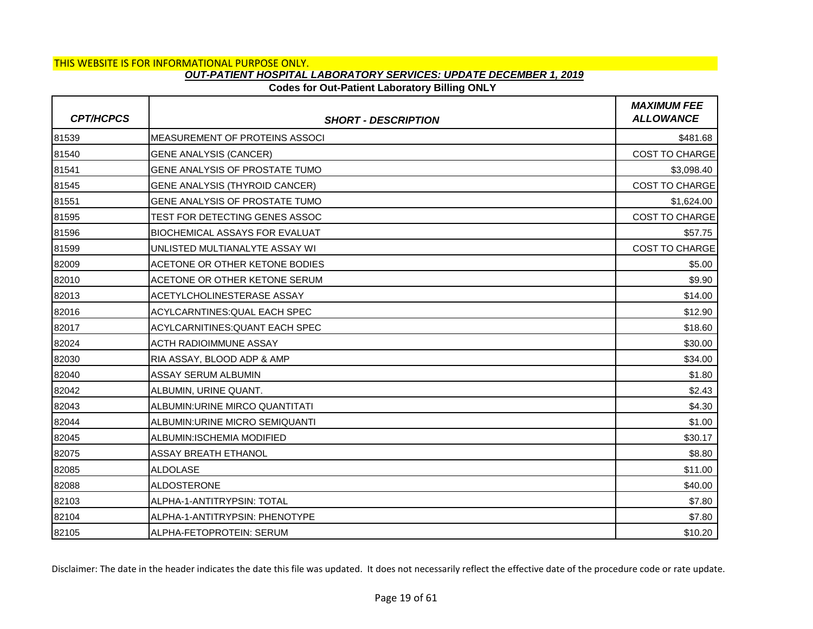# **Codes for Out-Patient Laboratory Billing ONLY**

| <b>CPT/HCPCS</b> | <b>SHORT - DESCRIPTION</b>             | <b>MAXIMUM FEE</b><br><b>ALLOWANCE</b> |
|------------------|----------------------------------------|----------------------------------------|
| 81539            | <b>MEASUREMENT OF PROTEINS ASSOCI</b>  | \$481.68                               |
| 81540            | <b>GENE ANALYSIS (CANCER)</b>          | COST TO CHARGE                         |
| 81541            | <b>GENE ANALYSIS OF PROSTATE TUMO</b>  | \$3,098.40                             |
| 81545            | <b>GENE ANALYSIS (THYROID CANCER)</b>  | <b>COST TO CHARGE</b>                  |
| 81551            | GENE ANALYSIS OF PROSTATE TUMO         | \$1,624.00                             |
| 81595            | TEST FOR DETECTING GENES ASSOC         | <b>COST TO CHARGE</b>                  |
| 81596            | <b>BIOCHEMICAL ASSAYS FOR EVALUAT</b>  | \$57.75                                |
| 81599            | UNLISTED MULTIANALYTE ASSAY WI         | <b>COST TO CHARGE</b>                  |
| 82009            | ACETONE OR OTHER KETONE BODIES         | \$5.00                                 |
| 82010            | ACETONE OR OTHER KETONE SERUM          | \$9.90                                 |
| 82013            | ACETYLCHOLINESTERASE ASSAY             | \$14.00                                |
| 82016            | ACYLCARNTINES: QUAL EACH SPEC          | \$12.90                                |
| 82017            | <b>ACYLCARNITINES: QUANT EACH SPEC</b> | \$18.60                                |
| 82024            | <b>ACTH RADIOIMMUNE ASSAY</b>          | \$30.00                                |
| 82030            | RIA ASSAY, BLOOD ADP & AMP             | \$34.00                                |
| 82040            | ASSAY SERUM ALBUMIN                    | \$1.80                                 |
| 82042            | ALBUMIN, URINE QUANT.                  | \$2.43                                 |
| 82043            | ALBUMIN: URINE MIRCO QUANTITATI        | \$4.30                                 |
| 82044            | ALBUMIN: URINE MICRO SEMIQUANTI        | \$1.00                                 |
| 82045            | ALBUMIN:ISCHEMIA MODIFIED              | \$30.17                                |
| 82075            | <b>ASSAY BREATH ETHANOL</b>            | \$8.80                                 |
| 82085            | <b>ALDOLASE</b>                        | \$11.00                                |
| 82088            | <b>ALDOSTERONE</b>                     | \$40.00                                |
| 82103            | ALPHA-1-ANTITRYPSIN: TOTAL             | \$7.80                                 |
| 82104            | ALPHA-1-ANTITRYPSIN: PHENOTYPE         | \$7.80                                 |
| 82105            | ALPHA-FETOPROTEIN: SERUM               | \$10.20                                |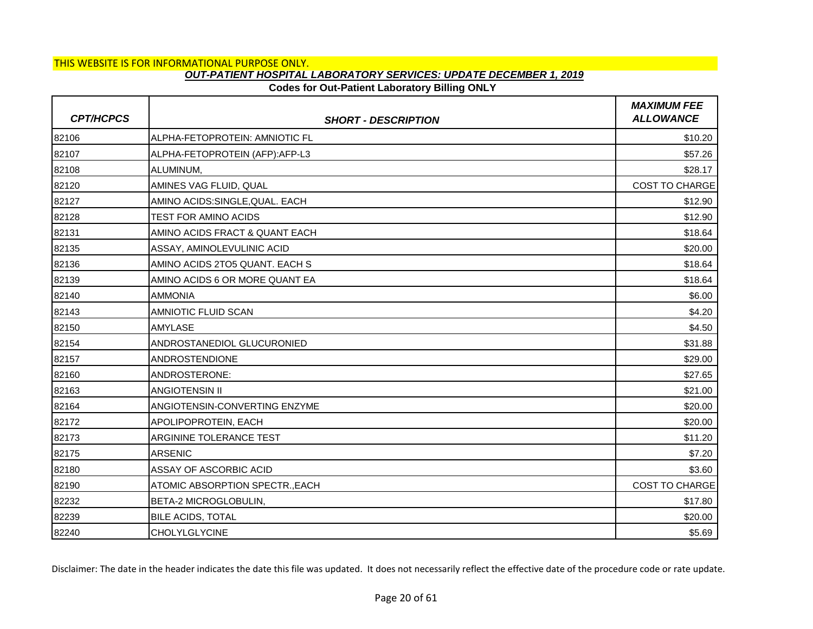### **Codes for Out-Patient Laboratory Billing ONLY**

| <b>CPT/HCPCS</b> | <b>SHORT - DESCRIPTION</b>      | <b>MAXIMUM FEE</b><br><b>ALLOWANCE</b> |
|------------------|---------------------------------|----------------------------------------|
| 82106            | ALPHA-FETOPROTEIN: AMNIOTIC FL  | \$10.20                                |
| 82107            | ALPHA-FETOPROTEIN (AFP):AFP-L3  | \$57.26                                |
| 82108            | ALUMINUM,                       | \$28.17                                |
| 82120            | AMINES VAG FLUID, QUAL          | <b>COST TO CHARGE</b>                  |
| 82127            | AMINO ACIDS: SINGLE, QUAL. EACH | \$12.90                                |
| 82128            | <b>TEST FOR AMINO ACIDS</b>     | \$12.90                                |
| 82131            | AMINO ACIDS FRACT & QUANT EACH  | \$18.64                                |
| 82135            | ASSAY, AMINOLEVULINIC ACID      | \$20.00                                |
| 82136            | AMINO ACIDS 2TO5 QUANT. EACH S  | \$18.64                                |
| 82139            | AMINO ACIDS 6 OR MORE QUANT EA  | \$18.64                                |
| 82140            | <b>AMMONIA</b>                  | \$6.00                                 |
| 82143            | AMNIOTIC FLUID SCAN             | \$4.20                                 |
| 82150            | <b>AMYLASE</b>                  | \$4.50                                 |
| 82154            | ANDROSTANEDIOL GLUCURONIED      | \$31.88                                |
| 82157            | <b>ANDROSTENDIONE</b>           | \$29.00                                |
| 82160            | ANDROSTERONE:                   | \$27.65                                |
| 82163            | <b>ANGIOTENSIN II</b>           | \$21.00                                |
| 82164            | ANGIOTENSIN-CONVERTING ENZYME   | \$20.00                                |
| 82172            | APOLIPOPROTEIN, EACH            | \$20.00                                |
| 82173            | ARGININE TOLERANCE TEST         | \$11.20                                |
| 82175            | <b>ARSENIC</b>                  | \$7.20                                 |
| 82180            | <b>ASSAY OF ASCORBIC ACID</b>   | \$3.60                                 |
| 82190            | ATOMIC ABSORPTION SPECTR., EACH | <b>COST TO CHARGE</b>                  |
| 82232            | BETA-2 MICROGLOBULIN,           | \$17.80                                |
| 82239            | <b>BILE ACIDS, TOTAL</b>        | \$20.00                                |
| 82240            | <b>CHOLYLGLYCINE</b>            | \$5.69                                 |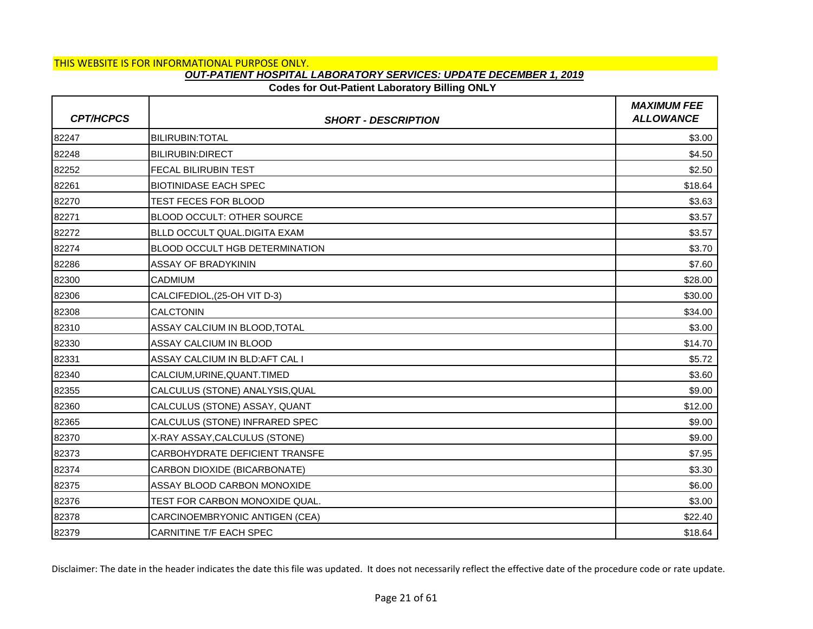# **Codes for Out-Patient Laboratory Billing ONLY**

| <b>CPT/HCPCS</b> | <b>SHORT - DESCRIPTION</b>        | <b>MAXIMUM FEE</b><br><b>ALLOWANCE</b> |
|------------------|-----------------------------------|----------------------------------------|
| 82247            | <b>BILIRUBIN: TOTAL</b>           | \$3.00                                 |
| 82248            | <b>BILIRUBIN:DIRECT</b>           | \$4.50                                 |
| 82252            | <b>FECAL BILIRUBIN TEST</b>       | \$2.50                                 |
| 82261            | <b>BIOTINIDASE EACH SPEC</b>      | \$18.64                                |
| 82270            | <b>TEST FECES FOR BLOOD</b>       | \$3.63                                 |
| 82271            | <b>BLOOD OCCULT: OTHER SOURCE</b> | \$3.57                                 |
| 82272            | BLLD OCCULT QUAL.DIGITA EXAM      | \$3.57                                 |
| 82274            | BLOOD OCCULT HGB DETERMINATION    | \$3.70                                 |
| 82286            | <b>ASSAY OF BRADYKININ</b>        | \$7.60                                 |
| 82300            | <b>CADMIUM</b>                    | \$28.00                                |
| 82306            | CALCIFEDIOL, (25-OH VIT D-3)      | \$30.00                                |
| 82308            | <b>CALCTONIN</b>                  | \$34.00                                |
| 82310            | ASSAY CALCIUM IN BLOOD,TOTAL      | \$3.00                                 |
| 82330            | ASSAY CALCIUM IN BLOOD            | \$14.70                                |
| 82331            | ASSAY CALCIUM IN BLD:AFT CAL I    | \$5.72                                 |
| 82340            | CALCIUM, URINE, QUANT. TIMED      | \$3.60                                 |
| 82355            | CALCULUS (STONE) ANALYSIS, QUAL   | \$9.00                                 |
| 82360            | CALCULUS (STONE) ASSAY, QUANT     | \$12.00                                |
| 82365            | CALCULUS (STONE) INFRARED SPEC    | \$9.00                                 |
| 82370            | X-RAY ASSAY, CALCULUS (STONE)     | \$9.00                                 |
| 82373            | CARBOHYDRATE DEFICIENT TRANSFE    | \$7.95                                 |
| 82374            | CARBON DIOXIDE (BICARBONATE)      | \$3.30                                 |
| 82375            | ASSAY BLOOD CARBON MONOXIDE       | \$6.00                                 |
| 82376            | TEST FOR CARBON MONOXIDE QUAL.    | \$3.00                                 |
| 82378            | CARCINOEMBRYONIC ANTIGEN (CEA)    | \$22.40                                |
| 82379            | CARNITINE T/F EACH SPEC           | \$18.64                                |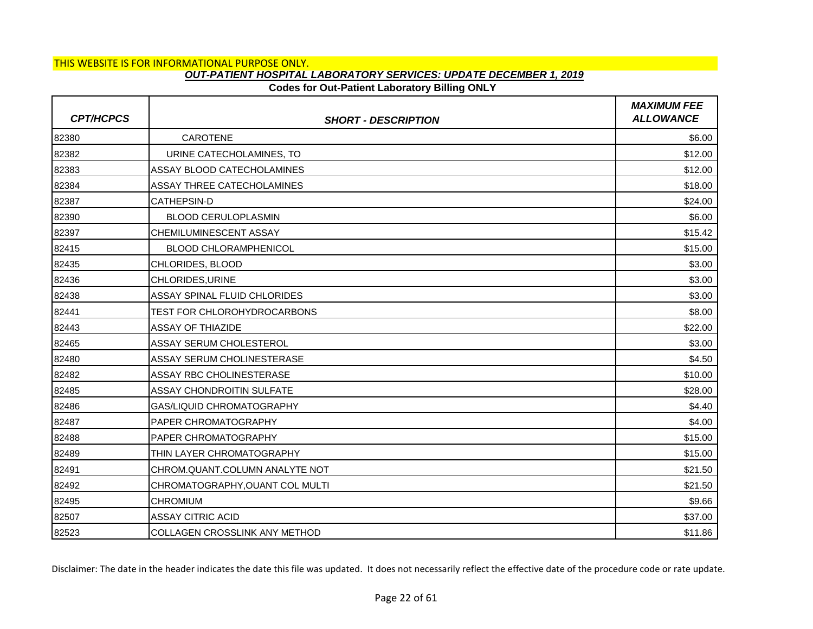### **Codes for Out-Patient Laboratory Billing ONLY**

| <b>CPT/HCPCS</b> | <b>SHORT - DESCRIPTION</b>           | <b>MAXIMUM FEE</b><br><b>ALLOWANCE</b> |
|------------------|--------------------------------------|----------------------------------------|
| 82380            | CAROTENE                             | \$6.00                                 |
| 82382            | URINE CATECHOLAMINES, TO             | \$12.00                                |
| 82383            | ASSAY BLOOD CATECHOLAMINES           | \$12.00                                |
| 82384            | ASSAY THREE CATECHOLAMINES           | \$18.00                                |
| 82387            | <b>CATHEPSIN-D</b>                   | \$24.00                                |
| 82390            | <b>BLOOD CERULOPLASMIN</b>           | \$6.00                                 |
| 82397            | CHEMILUMINESCENT ASSAY               | \$15.42                                |
| 82415            | <b>BLOOD CHLORAMPHENICOL</b>         | \$15.00                                |
| 82435            | CHLORIDES, BLOOD                     | \$3.00                                 |
| 82436            | CHLORIDES, URINE                     | \$3.00                                 |
| 82438            | <b>ASSAY SPINAL FLUID CHLORIDES</b>  | \$3.00                                 |
| 82441            | <b>TEST FOR CHLOROHYDROCARBONS</b>   | \$8.00                                 |
| 82443            | <b>ASSAY OF THIAZIDE</b>             | \$22.00                                |
| 82465            | <b>ASSAY SERUM CHOLESTEROL</b>       | \$3.00                                 |
| 82480            | <b>ASSAY SERUM CHOLINESTERASE</b>    | \$4.50                                 |
| 82482            | <b>ASSAY RBC CHOLINESTERASE</b>      | \$10.00                                |
| 82485            | <b>ASSAY CHONDROITIN SULFATE</b>     | \$28.00                                |
| 82486            | <b>GAS/LIQUID CHROMATOGRAPHY</b>     | \$4.40                                 |
| 82487            | <b>PAPER CHROMATOGRAPHY</b>          | \$4.00                                 |
| 82488            | <b>PAPER CHROMATOGRAPHY</b>          | \$15.00                                |
| 82489            | THIN LAYER CHROMATOGRAPHY            | \$15.00                                |
| 82491            | CHROM.QUANT.COLUMN ANALYTE NOT       | \$21.50                                |
| 82492            | CHROMATOGRAPHY, OUANT COL MULTI      | \$21.50                                |
| 82495            | <b>CHROMIUM</b>                      | \$9.66                                 |
| 82507            | <b>ASSAY CITRIC ACID</b>             | \$37.00                                |
| 82523            | <b>COLLAGEN CROSSLINK ANY METHOD</b> | \$11.86                                |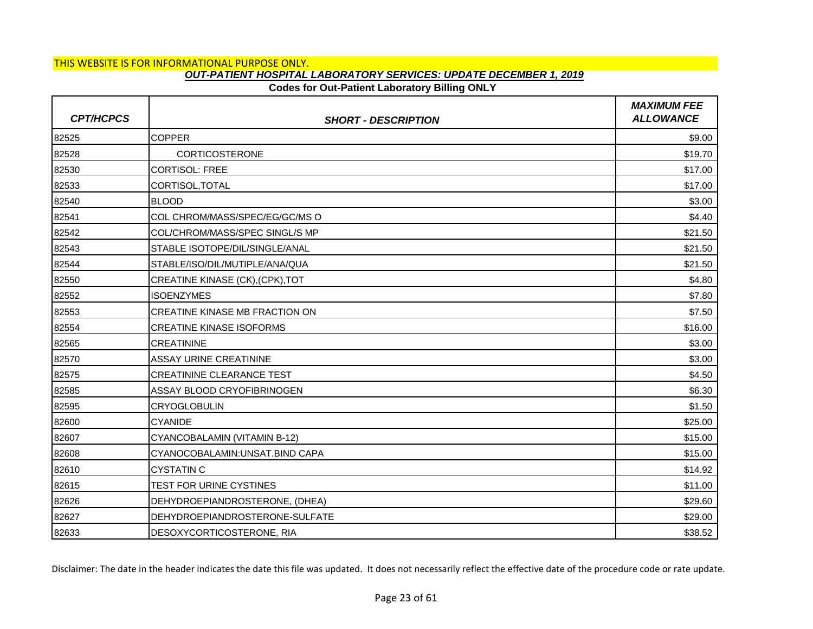# **Codes for Out-Patient Laboratory Billing ONLY**

| <b>CPT/HCPCS</b> | <b>SHORT - DESCRIPTION</b>            | <b>MAXIMUM FEE</b><br><b>ALLOWANCE</b> |
|------------------|---------------------------------------|----------------------------------------|
| 82525            | <b>COPPER</b>                         | \$9.00                                 |
| 82528            | CORTICOSTERONE                        | \$19.70                                |
| 82530            | <b>CORTISOL: FREE</b>                 | \$17.00                                |
| 82533            | CORTISOL, TOTAL                       | \$17.00                                |
| 82540            | <b>BLOOD</b>                          | \$3.00                                 |
| 82541            | COL CHROM/MASS/SPEC/EG/GC/MS O        | \$4.40                                 |
| 82542            | COL/CHROM/MASS/SPEC SINGL/S MP        | \$21.50                                |
| 82543            | STABLE ISOTOPE/DIL/SINGLE/ANAL        | \$21.50                                |
| 82544            | STABLE/ISO/DIL/MUTIPLE/ANA/QUA        | \$21.50                                |
| 82550            | CREATINE KINASE (CK), (CPK), TOT      | \$4.80                                 |
| 82552            | <b>ISOENZYMES</b>                     | \$7.80                                 |
| 82553            | <b>CREATINE KINASE MB FRACTION ON</b> | \$7.50                                 |
| 82554            | <b>CREATINE KINASE ISOFORMS</b>       | \$16.00                                |
| 82565            | <b>CREATININE</b>                     | \$3.00                                 |
| 82570            | <b>ASSAY URINE CREATININE</b>         | \$3.00                                 |
| 82575            | <b>CREATININE CLEARANCE TEST</b>      | \$4.50                                 |
| 82585            | ASSAY BLOOD CRYOFIBRINOGEN            | \$6.30                                 |
| 82595            | <b>CRYOGLOBULIN</b>                   | \$1.50                                 |
| 82600            | <b>CYANIDE</b>                        | \$25.00                                |
| 82607            | CYANCOBALAMIN (VITAMIN B-12)          | \$15.00                                |
| 82608            | CYANOCOBALAMIN: UNSAT. BIND CAPA      | \$15.00                                |
| 82610            | <b>CYSTATIN C</b>                     | \$14.92                                |
| 82615            | TEST FOR URINE CYSTINES               | \$11.00                                |
| 82626            | DEHYDROEPIANDROSTERONE, (DHEA)        | \$29.60                                |
| 82627            | DEHYDROEPIANDROSTERONE-SULFATE        | \$29.00                                |
| 82633            | DESOXYCORTICOSTERONE, RIA             | \$38.52                                |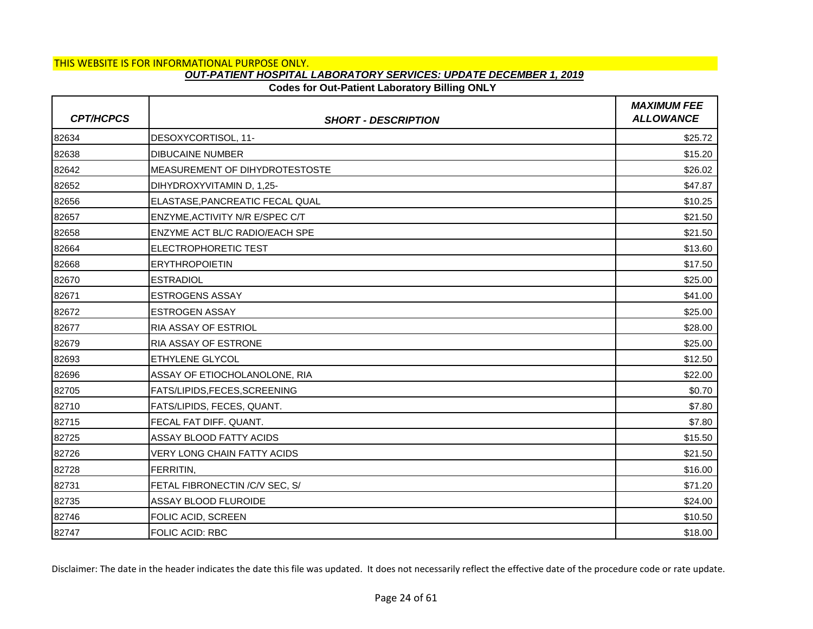# **Codes for Out-Patient Laboratory Billing ONLY**

| <b>CPT/HCPCS</b> | <b>SHORT - DESCRIPTION</b>             | <b>MAXIMUM FEE</b><br><b>ALLOWANCE</b> |
|------------------|----------------------------------------|----------------------------------------|
| 82634            | DESOXYCORTISOL, 11-                    | \$25.72                                |
| 82638            | <b>DIBUCAINE NUMBER</b>                | \$15.20                                |
| 82642            | IMEASUREMENT OF DIHYDROTESTOSTE        | \$26.02                                |
| 82652            | DIHYDROXYVITAMIN D, 1,25-              | \$47.87                                |
| 82656            | ELASTASE, PANCREATIC FECAL QUAL        | \$10.25                                |
| 82657            | <b>ENZYME, ACTIVITY N/R E/SPEC C/T</b> | \$21.50                                |
| 82658            | ENZYME ACT BL/C RADIO/EACH SPE         | \$21.50                                |
| 82664            | <b>ELECTROPHORETIC TEST</b>            | \$13.60                                |
| 82668            | <b>IERYTHROPOIETIN</b>                 | \$17.50                                |
| 82670            | <b>ESTRADIOL</b>                       | \$25.00                                |
| 82671            | <b>ESTROGENS ASSAY</b>                 | \$41.00                                |
| 82672            | <b>ESTROGEN ASSAY</b>                  | \$25.00                                |
| 82677            | RIA ASSAY OF ESTRIOL                   | \$28.00                                |
| 82679            | RIA ASSAY OF ESTRONE                   | \$25.00                                |
| 82693            | <b>ETHYLENE GLYCOL</b>                 | \$12.50                                |
| 82696            | ASSAY OF ETIOCHOLANOLONE, RIA          | \$22.00                                |
| 82705            | FATS/LIPIDS, FECES, SCREENING          | \$0.70                                 |
| 82710            | FATS/LIPIDS, FECES, QUANT.             | \$7.80                                 |
| 82715            | FECAL FAT DIFF. QUANT.                 | \$7.80                                 |
| 82725            | ASSAY BLOOD FATTY ACIDS                | \$15.50                                |
| 82726            | VERY LONG CHAIN FATTY ACIDS            | \$21.50                                |
| 82728            | FERRITIN,                              | \$16.00                                |
| 82731            | FETAL FIBRONECTIN / C/V SEC, S/        | \$71.20                                |
| 82735            | ASSAY BLOOD FLUROIDE                   | \$24.00                                |
| 82746            | FOLIC ACID, SCREEN                     | \$10.50                                |
| 82747            | <b>FOLIC ACID: RBC</b>                 | \$18.00                                |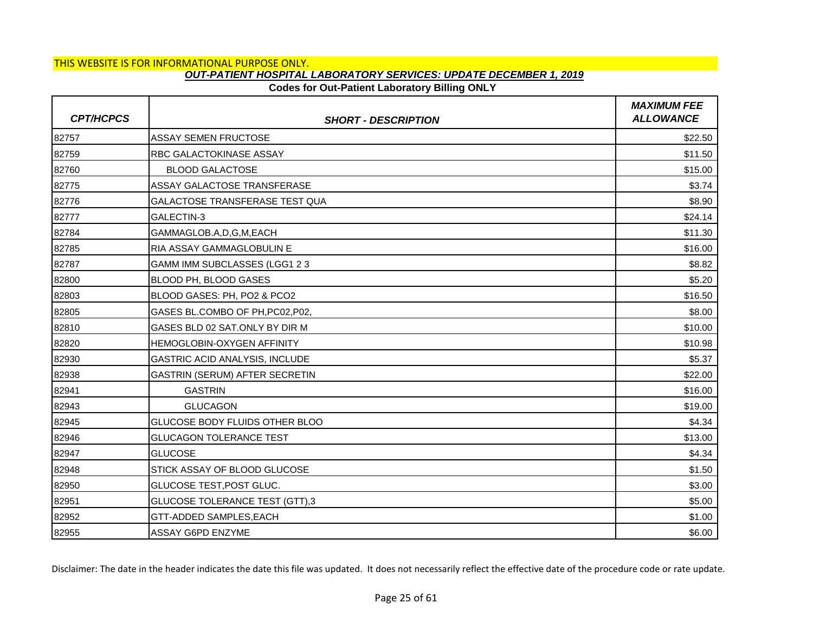# **Codes for Out-Patient Laboratory Billing ONLY**

| <b>CPT/HCPCS</b> | <b>SHORT - DESCRIPTION</b>            | <b>MAXIMUM FEE</b><br><b>ALLOWANCE</b> |
|------------------|---------------------------------------|----------------------------------------|
| 82757            | <b>ASSAY SEMEN FRUCTOSE</b>           | \$22.50                                |
| 82759            | RBC GALACTOKINASE ASSAY               | \$11.50                                |
| 82760            | <b>BLOOD GALACTOSE</b>                | \$15.00                                |
| 82775            | ASSAY GALACTOSE TRANSFERASE           | \$3.74                                 |
| 82776            | GALACTOSE TRANSFERASE TEST QUA        | \$8.90                                 |
| 82777            | GALECTIN-3                            | \$24.14                                |
| 82784            | GAMMAGLOB.A,D,G,M,EACH                | \$11.30                                |
| 82785            | RIA ASSAY GAMMAGLOBULIN E             | \$16.00                                |
| 82787            | GAMM IMM SUBCLASSES (LGG1 2 3         | \$8.82                                 |
| 82800            | BLOOD PH, BLOOD GASES                 | \$5.20                                 |
| 82803            | BLOOD GASES: PH, PO2 & PCO2           | \$16.50                                |
| 82805            | GASES BL.COMBO OF PH, PC02, P02,      | \$8.00                                 |
| 82810            | GASES BLD 02 SAT.ONLY BY DIR M        | \$10.00                                |
| 82820            | HEMOGLOBIN-OXYGEN AFFINITY            | \$10.98                                |
| 82930            | <b>GASTRIC ACID ANALYSIS, INCLUDE</b> | \$5.37                                 |
| 82938            | GASTRIN (SERUM) AFTER SECRETIN        | \$22.00                                |
| 82941            | <b>GASTRIN</b>                        | \$16.00                                |
| 82943            | <b>GLUCAGON</b>                       | \$19.00                                |
| 82945            | GLUCOSE BODY FLUIDS OTHER BLOO        | \$4.34                                 |
| 82946            | <b>GLUCAGON TOLERANCE TEST</b>        | \$13.00                                |
| 82947            | <b>GLUCOSE</b>                        | \$4.34                                 |
| 82948            | STICK ASSAY OF BLOOD GLUCOSE          | \$1.50                                 |
| 82950            | GLUCOSE TEST, POST GLUC.              | \$3.00                                 |
| 82951            | <b>GLUCOSE TOLERANCE TEST (GTT),3</b> | \$5.00                                 |
| 82952            | GTT-ADDED SAMPLES, EACH               | \$1.00                                 |
| 82955            | <b>ASSAY G6PD ENZYME</b>              | \$6.00                                 |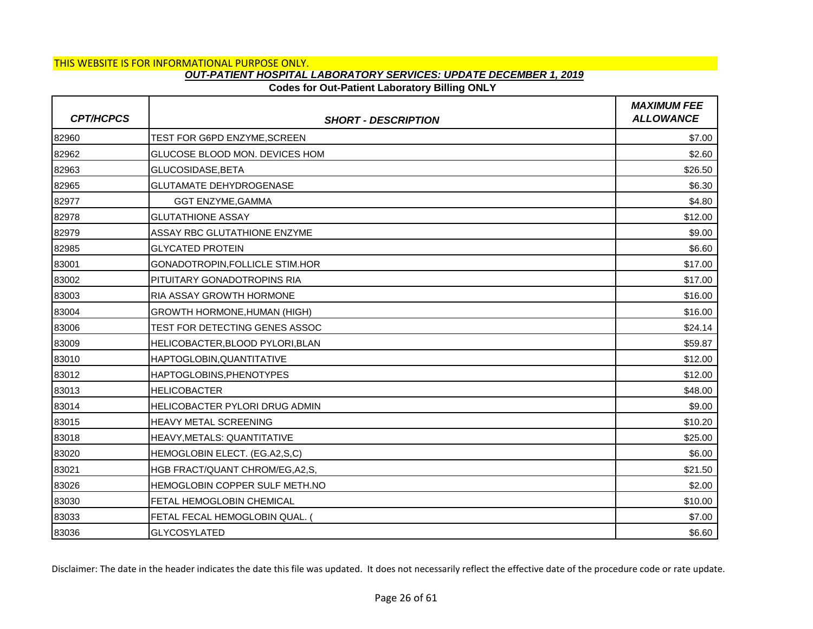# **Codes for Out-Patient Laboratory Billing ONLY**

| <b>CPT/HCPCS</b> | <b>SHORT - DESCRIPTION</b>            | <b>MAXIMUM FEE</b><br><b>ALLOWANCE</b> |
|------------------|---------------------------------------|----------------------------------------|
| 82960            | TEST FOR G6PD ENZYME, SCREEN          | \$7.00                                 |
| 82962            | GLUCOSE BLOOD MON. DEVICES HOM        | \$2.60                                 |
| 82963            | GLUCOSIDASE.BETA                      | \$26.50                                |
| 82965            | <b>GLUTAMATE DEHYDROGENASE</b>        | \$6.30                                 |
| 82977            | <b>GGT ENZYME, GAMMA</b>              | \$4.80                                 |
| 82978            | <b>GLUTATHIONE ASSAY</b>              | \$12.00                                |
| 82979            | ASSAY RBC GLUTATHIONE ENZYME          | \$9.00                                 |
| 82985            | <b>GLYCATED PROTEIN</b>               | \$6.60                                 |
| 83001            | <b>GONADOTROPIN.FOLLICLE STIM.HOR</b> | \$17.00                                |
| 83002            | PITUITARY GONADOTROPINS RIA           | \$17.00                                |
| 83003            | <b>RIA ASSAY GROWTH HORMONE</b>       | \$16.00                                |
| 83004            | <b>GROWTH HORMONE, HUMAN (HIGH)</b>   | \$16.00                                |
| 83006            | TEST FOR DETECTING GENES ASSOC        | \$24.14                                |
| 83009            | HELICOBACTER, BLOOD PYLORI, BLAN      | \$59.87                                |
| 83010            | HAPTOGLOBIN, QUANTITATIVE             | \$12.00                                |
| 83012            | HAPTOGLOBINS, PHENOTYPES              | \$12.00                                |
| 83013            | <b>HELICOBACTER</b>                   | \$48.00                                |
| 83014            | HELICOBACTER PYLORI DRUG ADMIN        | \$9.00                                 |
| 83015            | HEAVY METAL SCREENING                 | \$10.20                                |
| 83018            | HEAVY, METALS: QUANTITATIVE           | \$25.00                                |
| 83020            | HEMOGLOBIN ELECT. (EG.A2,S,C)         | \$6.00                                 |
| 83021            | HGB FRACT/QUANT CHROM/EG, A2, S,      | \$21.50                                |
| 83026            | HEMOGLOBIN COPPER SULF METH.NO        | \$2.00                                 |
| 83030            | FETAL HEMOGLOBIN CHEMICAL             | \$10.00                                |
| 83033            | FETAL FECAL HEMOGLOBIN QUAL.          | \$7.00                                 |
| 83036            | <b>GLYCOSYLATED</b>                   | \$6.60                                 |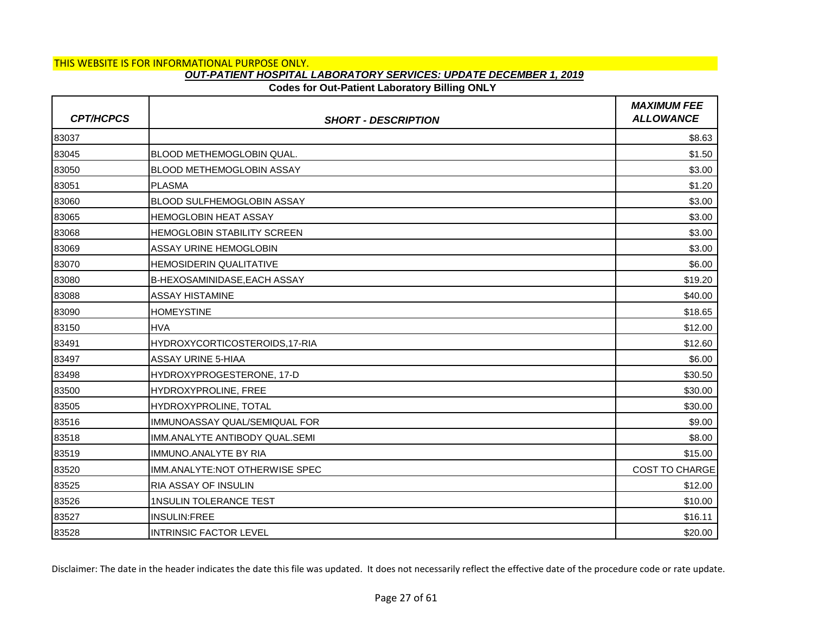### **Codes for Out-Patient Laboratory Billing ONLY**

| <b>CPT/HCPCS</b> | <b>SHORT - DESCRIPTION</b>          | <b>MAXIMUM FEE</b><br><b>ALLOWANCE</b> |
|------------------|-------------------------------------|----------------------------------------|
| 83037            |                                     | \$8.63                                 |
| 83045            | BLOOD METHEMOGLOBIN QUAL.           | \$1.50                                 |
| 83050            | <b>BLOOD METHEMOGLOBIN ASSAY</b>    | \$3.00                                 |
| 83051            | <b>PLASMA</b>                       | \$1.20                                 |
| 83060            | <b>BLOOD SULFHEMOGLOBIN ASSAY</b>   | \$3.00                                 |
| 83065            | <b>HEMOGLOBIN HEAT ASSAY</b>        | \$3.00                                 |
| 83068            | <b>HEMOGLOBIN STABILITY SCREEN</b>  | \$3.00                                 |
| 83069            | ASSAY URINE HEMOGLOBIN              | \$3.00                                 |
| 83070            | <b>HEMOSIDERIN QUALITATIVE</b>      | \$6.00                                 |
| 83080            | <b>B-HEXOSAMINIDASE, EACH ASSAY</b> | \$19.20                                |
| 83088            | <b>ASSAY HISTAMINE</b>              | \$40.00                                |
| 83090            | <b>HOMEYSTINE</b>                   | \$18.65                                |
| 83150            | <b>HVA</b>                          | \$12.00                                |
| 83491            | HYDROXYCORTICOSTEROIDS,17-RIA       | \$12.60                                |
| 83497            | <b>ASSAY URINE 5-HIAA</b>           | \$6.00                                 |
| 83498            | HYDROXYPROGESTERONE, 17-D           | \$30.50                                |
| 83500            | HYDROXYPROLINE, FREE                | \$30.00                                |
| 83505            | HYDROXYPROLINE, TOTAL               | \$30.00                                |
| 83516            | IMMUNOASSAY QUAL/SEMIQUAL FOR       | \$9.00                                 |
| 83518            | IMM.ANALYTE ANTIBODY QUAL.SEMI      | \$8.00                                 |
| 83519            | IMMUNO.ANALYTE BY RIA               | \$15.00                                |
| 83520            | IMM.ANALYTE:NOT OTHERWISE SPEC      | <b>COST TO CHARGE</b>                  |
| 83525            | <b>RIA ASSAY OF INSULIN</b>         | \$12.00                                |
| 83526            | 1NSULIN TOLERANCE TEST              | \$10.00                                |
| 83527            | <b>INSULIN:FREE</b>                 | \$16.11                                |
| 83528            | <b>INTRINSIC FACTOR LEVEL</b>       | \$20.00                                |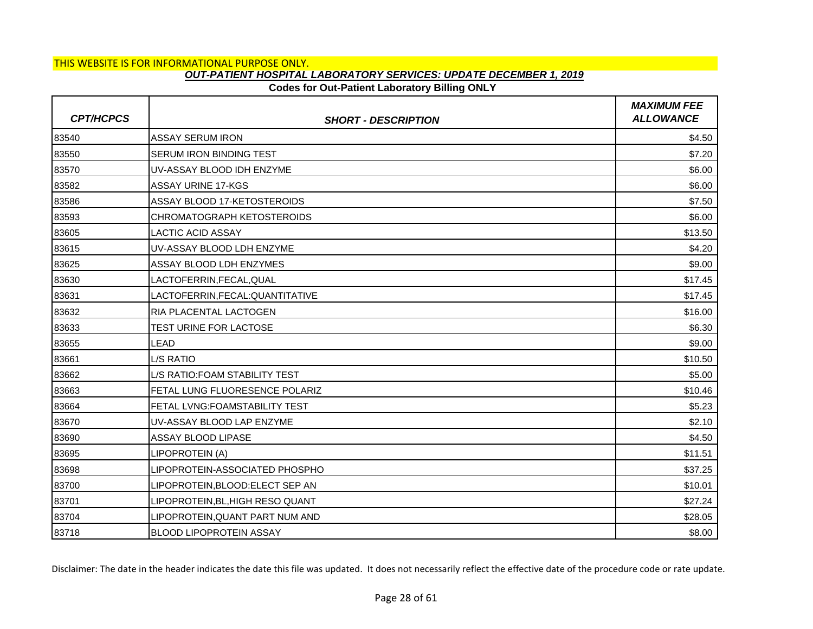## **Codes for Out-Patient Laboratory Billing ONLY**

| <b>CPT/HCPCS</b> | <b>SHORT - DESCRIPTION</b>           | <b>MAXIMUM FEE</b><br><b>ALLOWANCE</b> |
|------------------|--------------------------------------|----------------------------------------|
| 83540            | <b>ASSAY SERUM IRON</b>              | \$4.50                                 |
| 83550            | SERUM IRON BINDING TEST              | \$7.20                                 |
| 83570            | UV-ASSAY BLOOD IDH ENZYME            | \$6.00                                 |
| 83582            | <b>ASSAY URINE 17-KGS</b>            | \$6.00                                 |
| 83586            | ASSAY BLOOD 17-KETOSTEROIDS          | \$7.50                                 |
| 83593            | <b>CHROMATOGRAPH KETOSTEROIDS</b>    | \$6.00                                 |
| 83605            | <b>LACTIC ACID ASSAY</b>             | \$13.50                                |
| 83615            | UV-ASSAY BLOOD LDH ENZYME            | \$4.20                                 |
| 83625            | ASSAY BLOOD LDH ENZYMES              | \$9.00                                 |
| 83630            | LACTOFERRIN, FECAL, QUAL             | \$17.45                                |
| 83631            | LACTOFERRIN, FECAL: QUANTITATIVE     | \$17.45                                |
| 83632            | RIA PLACENTAL LACTOGEN               | \$16.00                                |
| 83633            | TEST URINE FOR LACTOSE               | \$6.30                                 |
| 83655            | <b>LEAD</b>                          | \$9.00                                 |
| 83661            | <b>L/S RATIO</b>                     | \$10.50                                |
| 83662            | L/S RATIO: FOAM STABILITY TEST       | \$5.00                                 |
| 83663            | FETAL LUNG FLUORESENCE POLARIZ       | \$10.46                                |
| 83664            | <b>FETAL LVNG:FOAMSTABILITY TEST</b> | \$5.23                                 |
| 83670            | UV-ASSAY BLOOD LAP ENZYME            | \$2.10                                 |
| 83690            | ASSAY BLOOD LIPASE                   | \$4.50                                 |
| 83695            | LIPOPROTEIN (A)                      | \$11.51                                |
| 83698            | LIPOPROTEIN-ASSOCIATED PHOSPHO       | \$37.25                                |
| 83700            | LIPOPROTEIN, BLOOD: ELECT SEP AN     | \$10.01                                |
| 83701            | LIPOPROTEIN, BL, HIGH RESO QUANT     | \$27.24                                |
| 83704            | LIPOPROTEIN, QUANT PART NUM AND      | \$28.05                                |
| 83718            | <b>BLOOD LIPOPROTEIN ASSAY</b>       | \$8.00                                 |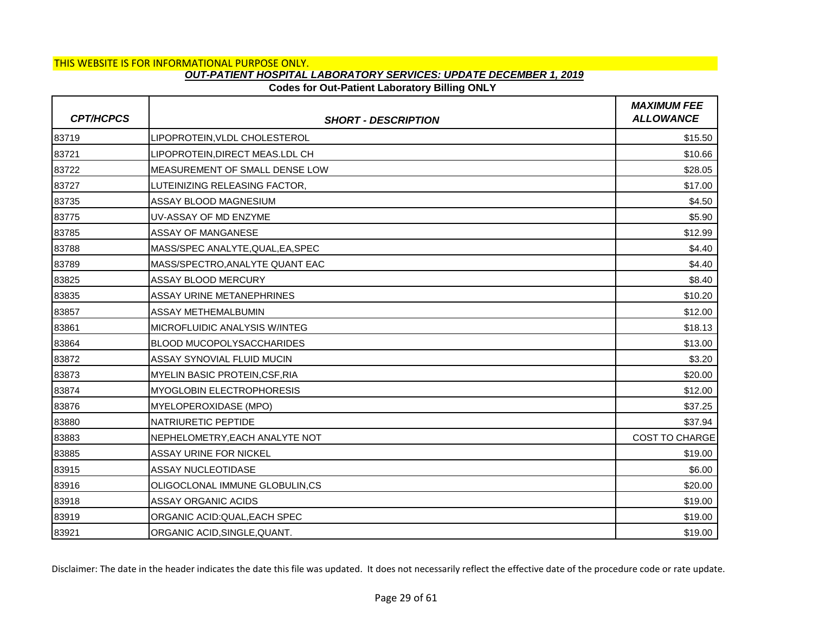# **Codes for Out-Patient Laboratory Billing ONLY**

| <b>CPT/HCPCS</b> | <b>SHORT - DESCRIPTION</b>        | <b>MAXIMUM FEE</b><br><b>ALLOWANCE</b> |
|------------------|-----------------------------------|----------------------------------------|
| 83719            | LIPOPROTEIN, VLDL CHOLESTEROL     | \$15.50                                |
| 83721            | LIPOPROTEIN, DIRECT MEAS.LDL CH   | \$10.66                                |
| 83722            | MEASUREMENT OF SMALL DENSE LOW    | \$28.05                                |
| 83727            | LUTEINIZING RELEASING FACTOR,     | \$17.00                                |
| 83735            | ASSAY BLOOD MAGNESIUM             | \$4.50                                 |
| 83775            | UV-ASSAY OF MD ENZYME             | \$5.90                                 |
| 83785            | <b>ASSAY OF MANGANESE</b>         | \$12.99                                |
| 83788            | MASS/SPEC ANALYTE, QUAL, EA, SPEC | \$4.40                                 |
| 83789            | MASS/SPECTRO, ANALYTE QUANT EAC   | \$4.40                                 |
| 83825            | <b>ASSAY BLOOD MERCURY</b>        | \$8.40                                 |
| 83835            | <b>ASSAY URINE METANEPHRINES</b>  | \$10.20                                |
| 83857            | <b>ASSAY METHEMALBUMIN</b>        | \$12.00                                |
| 83861            | MICROFLUIDIC ANALYSIS W/INTEG     | \$18.13                                |
| 83864            | <b>BLOOD MUCOPOLYSACCHARIDES</b>  | \$13.00                                |
| 83872            | ASSAY SYNOVIAL FLUID MUCIN        | \$3.20                                 |
| 83873            | MYELIN BASIC PROTEIN, CSF, RIA    | \$20.00                                |
| 83874            | <b>MYOGLOBIN ELECTROPHORESIS</b>  | \$12.00                                |
| 83876            | <b>MYELOPEROXIDASE (MPO)</b>      | \$37.25                                |
| 83880            | <b>NATRIURETIC PEPTIDE</b>        | \$37.94                                |
| 83883            | NEPHELOMETRY, EACH ANALYTE NOT    | <b>COST TO CHARGE</b>                  |
| 83885            | <b>ASSAY URINE FOR NICKEL</b>     | \$19.00                                |
| 83915            | <b>ASSAY NUCLEOTIDASE</b>         | \$6.00                                 |
| 83916            | OLIGOCLONAL IMMUNE GLOBULIN,CS    | \$20.00                                |
| 83918            | <b>ASSAY ORGANIC ACIDS</b>        | \$19.00                                |
| 83919            | ORGANIC ACID:QUAL, EACH SPEC      | \$19.00                                |
| 83921            | ORGANIC ACID, SINGLE, QUANT.      | \$19.00                                |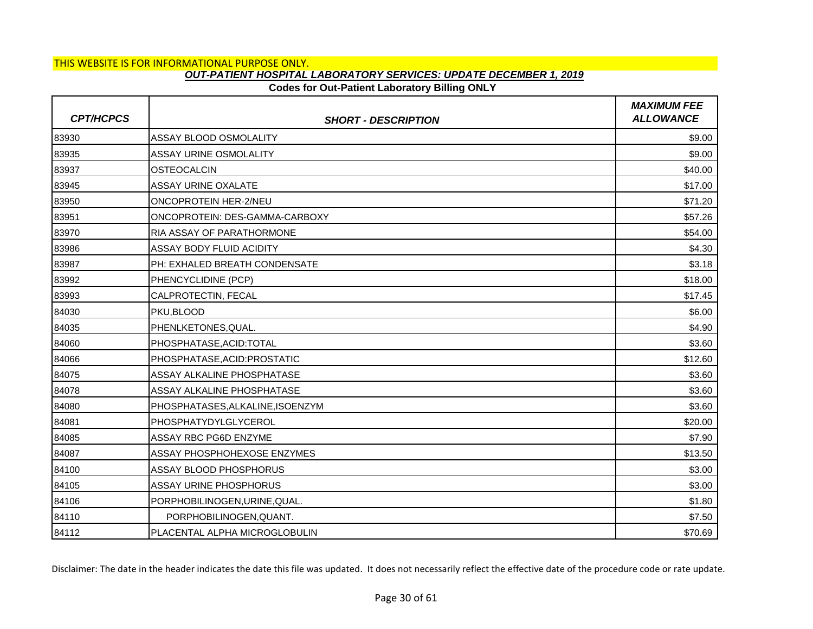### **Codes for Out-Patient Laboratory Billing ONLY**

| <b>CPT/HCPCS</b> | <b>SHORT - DESCRIPTION</b>       | <b>MAXIMUM FEE</b><br><b>ALLOWANCE</b> |
|------------------|----------------------------------|----------------------------------------|
| 83930            | ASSAY BLOOD OSMOLALITY           | \$9.00                                 |
| 83935            | <b>ASSAY URINE OSMOLALITY</b>    | \$9.00                                 |
| 83937            | <b>OSTEOCALCIN</b>               | \$40.00                                |
| 83945            | <b>ASSAY URINE OXALATE</b>       | \$17.00                                |
| 83950            | ONCOPROTEIN HER-2/NEU            | \$71.20                                |
| 83951            | ONCOPROTEIN: DES-GAMMA-CARBOXY   | \$57.26                                |
| 83970            | RIA ASSAY OF PARATHORMONE        | \$54.00                                |
| 83986            | ASSAY BODY FLUID ACIDITY         | \$4.30                                 |
| 83987            | PH: EXHALED BREATH CONDENSATE    | \$3.18                                 |
| 83992            | PHENCYCLIDINE (PCP)              | \$18.00                                |
| 83993            | CALPROTECTIN, FECAL              | \$17.45                                |
| 84030            | PKU,BLOOD                        | \$6.00                                 |
| 84035            | PHENLKETONES, QUAL.              | \$4.90                                 |
| 84060            | PHOSPHATASE, ACID: TOTAL         | \$3.60                                 |
| 84066            | PHOSPHATASE.ACID:PROSTATIC       | \$12.60                                |
| 84075            | ASSAY ALKALINE PHOSPHATASE       | \$3.60                                 |
| 84078            | ASSAY ALKALINE PHOSPHATASE       | \$3.60                                 |
| 84080            | PHOSPHATASES, ALKALINE, ISOENZYM | \$3.60                                 |
| 84081            | PHOSPHATYDYLGLYCEROL             | \$20.00                                |
| 84085            | ASSAY RBC PG6D ENZYME            | \$7.90                                 |
| 84087            | ASSAY PHOSPHOHEXOSE ENZYMES      | \$13.50                                |
| 84100            | <b>ASSAY BLOOD PHOSPHORUS</b>    | \$3.00                                 |
| 84105            | ASSAY URINE PHOSPHORUS           | \$3.00                                 |
| 84106            | PORPHOBILINOGEN, URINE, QUAL.    | \$1.80                                 |
| 84110            | PORPHOBILINOGEN, QUANT.          | \$7.50                                 |
| 84112            | PLACENTAL ALPHA MICROGLOBULIN    | \$70.69                                |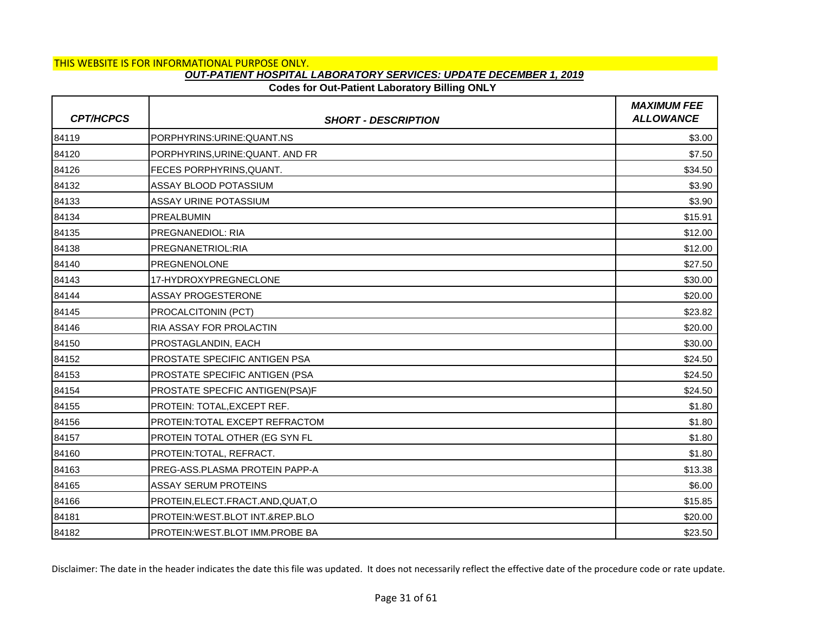# **Codes for Out-Patient Laboratory Billing ONLY**

| <b>CPT/HCPCS</b> | <b>SHORT - DESCRIPTION</b>            | <b>MAXIMUM FEE</b><br><b>ALLOWANCE</b> |
|------------------|---------------------------------------|----------------------------------------|
| 84119            | PORPHYRINS: URINE: QUANT.NS           | \$3.00                                 |
| 84120            | PORPHYRINS, URINE: QUANT. AND FR      | \$7.50                                 |
| 84126            | FECES PORPHYRINS, QUANT.              | \$34.50                                |
| 84132            | ASSAY BLOOD POTASSIUM                 | \$3.90                                 |
| 84133            | ASSAY URINE POTASSIUM                 | \$3.90                                 |
| 84134            | <b>PREALBUMIN</b>                     | \$15.91                                |
| 84135            | <b>PREGNANEDIOL: RIA</b>              | \$12.00                                |
| 84138            | PREGNANETRIOL:RIA                     | \$12.00                                |
| 84140            | <b>PREGNENOLONE</b>                   | \$27.50                                |
| 84143            | 17-HYDROXYPREGNECLONE                 | \$30.00                                |
| 84144            | <b>ASSAY PROGESTERONE</b>             | \$20.00                                |
| 84145            | PROCALCITONIN (PCT)                   | \$23.82                                |
| 84146            | <b>RIA ASSAY FOR PROLACTIN</b>        | \$20.00                                |
| 84150            | PROSTAGLANDIN, EACH                   | \$30.00                                |
| 84152            | <b>PROSTATE SPECIFIC ANTIGEN PSA</b>  | \$24.50                                |
| 84153            | <b>PROSTATE SPECIFIC ANTIGEN (PSA</b> | \$24.50                                |
| 84154            | PROSTATE SPECFIC ANTIGEN(PSA)F        | \$24.50                                |
| 84155            | PROTEIN: TOTAL, EXCEPT REF.           | \$1.80                                 |
| 84156            | PROTEIN: TOTAL EXCEPT REFRACTOM       | \$1.80                                 |
| 84157            | PROTEIN TOTAL OTHER (EG SYN FL        | \$1.80                                 |
| 84160            | PROTEIN: TOTAL, REFRACT.              | \$1.80                                 |
| 84163            | PREG-ASS.PLASMA PROTEIN PAPP-A        | \$13.38                                |
| 84165            | <b>ASSAY SERUM PROTEINS</b>           | \$6.00                                 |
| 84166            | PROTEIN, ELECT. FRACT. AND, QUAT, O   | \$15.85                                |
| 84181            | PROTEIN: WEST.BLOT INT.&REP.BLO       | \$20.00                                |
| 84182            | IPROTEIN:WEST.BLOT IMM.PROBE BA       | \$23.50                                |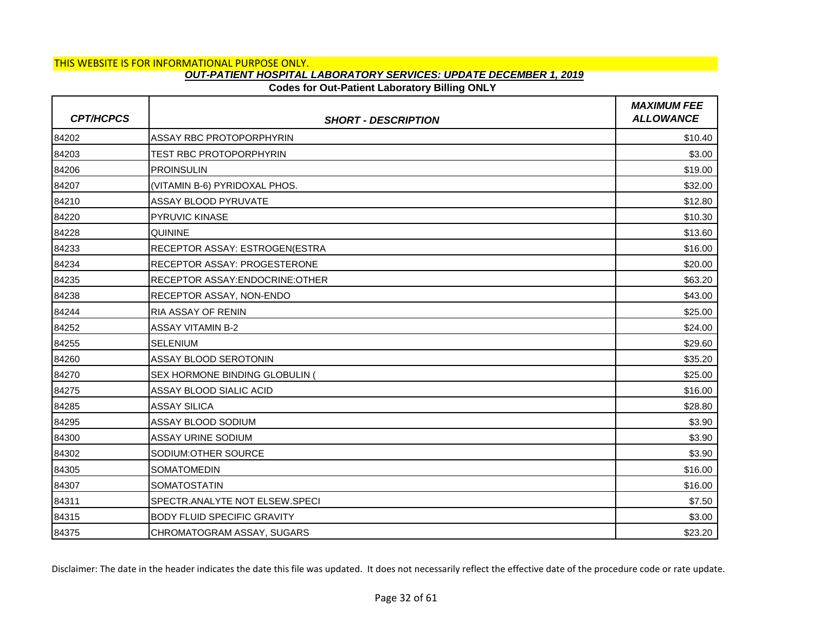# **Codes for Out-Patient Laboratory Billing ONLY**

| <b>CPT/HCPCS</b> | <b>SHORT - DESCRIPTION</b>          | <b>MAXIMUM FEE</b><br><b>ALLOWANCE</b> |
|------------------|-------------------------------------|----------------------------------------|
| 84202            | ASSAY RBC PROTOPORPHYRIN            | \$10.40                                |
| 84203            | TEST RBC PROTOPORPHYRIN             | \$3.00                                 |
| 84206            | <b>PROINSULIN</b>                   | \$19.00                                |
| 84207            | (VITAMIN B-6) PYRIDOXAL PHOS.       | \$32.00                                |
| 84210            | <b>ASSAY BLOOD PYRUVATE</b>         | \$12.80                                |
| 84220            | <b>PYRUVIC KINASE</b>               | \$10.30                                |
| 84228            | <b>QUININE</b>                      | \$13.60                                |
| 84233            | RECEPTOR ASSAY: ESTROGEN(ESTRA      | \$16.00                                |
| 84234            | <b>RECEPTOR ASSAY: PROGESTERONE</b> | \$20.00                                |
| 84235            | RECEPTOR ASSAY:ENDOCRINE:OTHER      | \$63.20                                |
| 84238            | RECEPTOR ASSAY, NON-ENDO            | \$43.00                                |
| 84244            | <b>RIA ASSAY OF RENIN</b>           | \$25.00                                |
| 84252            | <b>ASSAY VITAMIN B-2</b>            | \$24.00                                |
| 84255            | <b>SELENIUM</b>                     | \$29.60                                |
| 84260            | ASSAY BLOOD SEROTONIN               | \$35.20                                |
| 84270            | SEX HORMONE BINDING GLOBULIN (      | \$25.00                                |
| 84275            | ASSAY BLOOD SIALIC ACID             | \$16.00                                |
| 84285            | <b>ASSAY SILICA</b>                 | \$28.80                                |
| 84295            | ASSAY BLOOD SODIUM                  | \$3.90                                 |
| 84300            | <b>ASSAY URINE SODIUM</b>           | \$3.90                                 |
| 84302            | SODIUM: OTHER SOURCE                | \$3.90                                 |
| 84305            | <b>SOMATOMEDIN</b>                  | \$16.00                                |
| 84307            | <b>SOMATOSTATIN</b>                 | \$16.00                                |
| 84311            | SPECTR.ANALYTE NOT ELSEW.SPECI      | \$7.50                                 |
| 84315            | <b>BODY FLUID SPECIFIC GRAVITY</b>  | \$3.00                                 |
| 84375            | CHROMATOGRAM ASSAY, SUGARS          | \$23.20                                |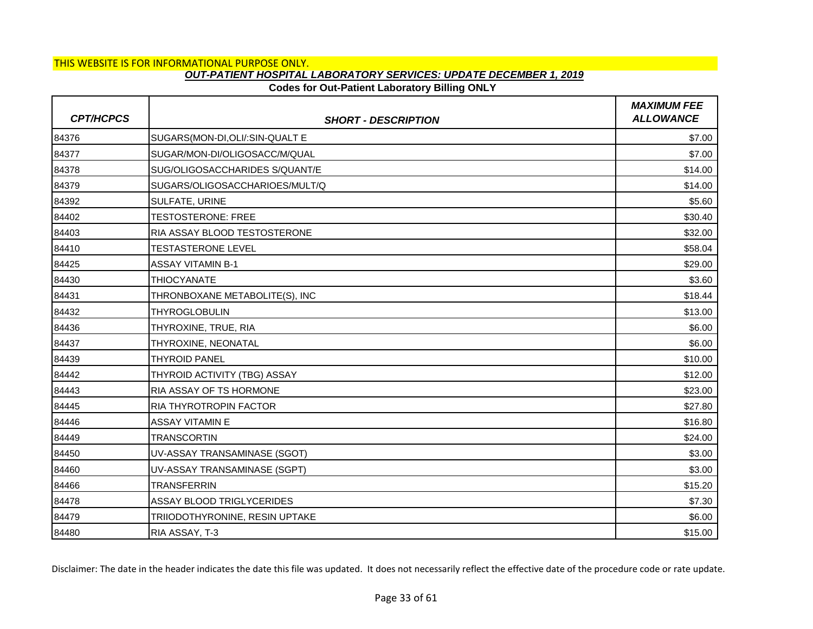# **Codes for Out-Patient Laboratory Billing ONLY**

| <b>CPT/HCPCS</b> | <b>SHORT - DESCRIPTION</b>       | <b>MAXIMUM FEE</b><br><b>ALLOWANCE</b> |
|------------------|----------------------------------|----------------------------------------|
| 84376            | SUGARS(MON-DI, OLI/: SIN-QUALT E | \$7.00                                 |
| 84377            | SUGAR/MON-DI/OLIGOSACC/M/QUAL    | \$7.00                                 |
| 84378            | SUG/OLIGOSACCHARIDES S/QUANT/E   | \$14.00                                |
| 84379            | SUGARS/OLIGOSACCHARIOES/MULT/Q   | \$14.00                                |
| 84392            | SULFATE, URINE                   | \$5.60                                 |
| 84402            | <b>TESTOSTERONE: FREE</b>        | \$30.40                                |
| 84403            | RIA ASSAY BLOOD TESTOSTERONE     | \$32.00                                |
| 84410            | <b>TESTASTERONE LEVEL</b>        | \$58.04                                |
| 84425            | <b>ASSAY VITAMIN B-1</b>         | \$29.00                                |
| 84430            | <b>THIOCYANATE</b>               | \$3.60                                 |
| 84431            | THRONBOXANE METABOLITE(S), INC   | \$18.44                                |
| 84432            | <b>THYROGLOBULIN</b>             | \$13.00                                |
| 84436            | THYROXINE, TRUE, RIA             | \$6.00                                 |
| 84437            | THYROXINE, NEONATAL              | \$6.00                                 |
| 84439            | <b>THYROID PANEL</b>             | \$10.00                                |
| 84442            | THYROID ACTIVITY (TBG) ASSAY     | \$12.00                                |
| 84443            | RIA ASSAY OF TS HORMONE          | \$23.00                                |
| 84445            | <b>RIA THYROTROPIN FACTOR</b>    | \$27.80                                |
| 84446            | <b>ASSAY VITAMIN E</b>           | \$16.80                                |
| 84449            | <b>TRANSCORTIN</b>               | \$24.00                                |
| 84450            | UV-ASSAY TRANSAMINASE (SGOT)     | \$3.00                                 |
| 84460            | UV-ASSAY TRANSAMINASE (SGPT)     | \$3.00                                 |
| 84466            | <b>TRANSFERRIN</b>               | \$15.20                                |
| 84478            | <b>ASSAY BLOOD TRIGLYCERIDES</b> | \$7.30                                 |
| 84479            | TRIIODOTHYRONINE, RESIN UPTAKE   | \$6.00                                 |
| 84480            | RIA ASSAY, T-3                   | \$15.00                                |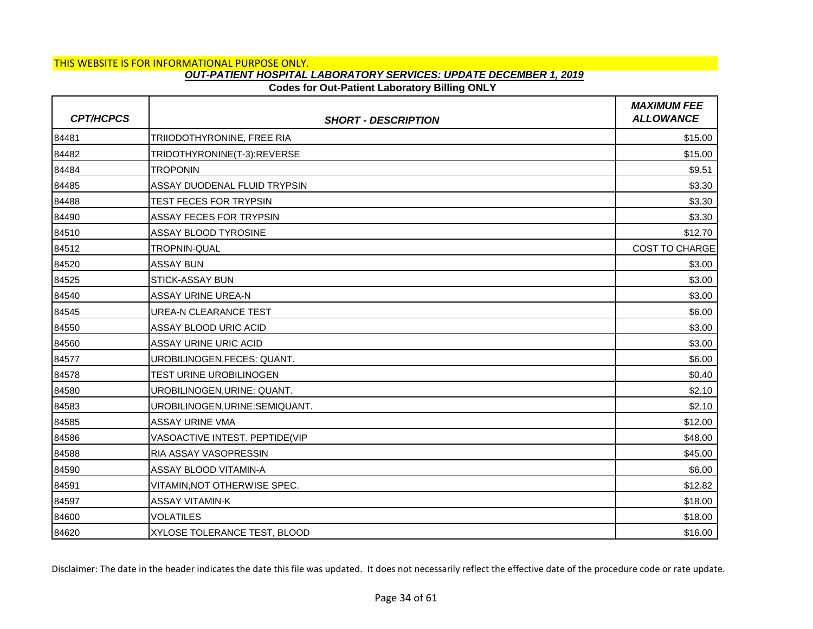### **Codes for Out-Patient Laboratory Billing ONLY**

| <b>CPT/HCPCS</b> | <b>SHORT - DESCRIPTION</b>      | <b>MAXIMUM FEE</b><br><b>ALLOWANCE</b> |
|------------------|---------------------------------|----------------------------------------|
| 84481            | TRIIODOTHYRONINE, FREE RIA      | \$15.00                                |
| 84482            | TRIDOTHYRONINE(T-3):REVERSE     | \$15.00                                |
| 84484            | TROPONIN                        | \$9.51                                 |
| 84485            | ASSAY DUODENAL FLUID TRYPSIN    | \$3.30                                 |
| 84488            | TEST FECES FOR TRYPSIN          | \$3.30                                 |
| 84490            | <b>ASSAY FECES FOR TRYPSIN</b>  | \$3.30                                 |
| 84510            | <b>ASSAY BLOOD TYROSINE</b>     | \$12.70                                |
| 84512            | TROPNIN-QUAL                    | COST TO CHARGE                         |
| 84520            | <b>ASSAY BUN</b>                | \$3.00                                 |
| 84525            | <b>STICK-ASSAY BUN</b>          | \$3.00                                 |
| 84540            | <b>ASSAY URINE UREA-N</b>       | \$3.00                                 |
| 84545            | <b>UREA-N CLEARANCE TEST</b>    | \$6.00                                 |
| 84550            | ASSAY BLOOD URIC ACID           | \$3.00                                 |
| 84560            | ASSAY URINE URIC ACID           | \$3.00                                 |
| 84577            | UROBILINOGEN, FECES: QUANT.     | \$6.00                                 |
| 84578            | TEST URINE UROBILINOGEN         | \$0.40                                 |
| 84580            | UROBILINOGEN, URINE: QUANT.     | \$2.10                                 |
| 84583            | UROBILINOGEN, URINE: SEMIQUANT. | \$2.10                                 |
| 84585            | <b>ASSAY URINE VMA</b>          | \$12.00                                |
| 84586            | VASOACTIVE INTEST. PEPTIDE(VIP  | \$48.00                                |
| 84588            | RIA ASSAY VASOPRESSIN           | \$45.00                                |
| 84590            | ASSAY BLOOD VITAMIN-A           | \$6.00                                 |
| 84591            | VITAMIN, NOT OTHERWISE SPEC.    | \$12.82                                |
| 84597            | <b>ASSAY VITAMIN-K</b>          | \$18.00                                |
| 84600            | <b>VOLATILES</b>                | \$18.00                                |
| 84620            | XYLOSE TOLERANCE TEST, BLOOD    | \$16.00                                |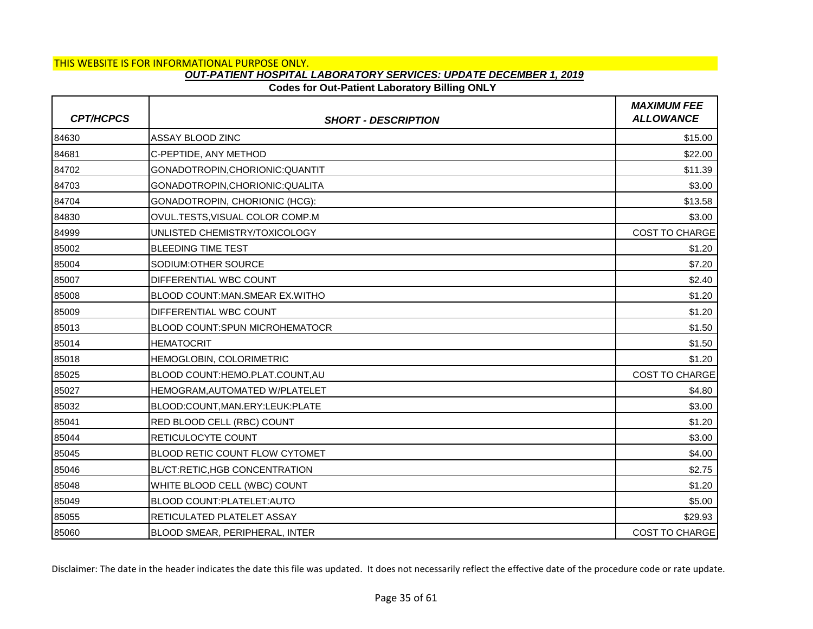# **Codes for Out-Patient Laboratory Billing ONLY**

| <b>CPT/HCPCS</b> | <b>SHORT - DESCRIPTION</b>            | <b>MAXIMUM FEE</b><br><b>ALLOWANCE</b> |
|------------------|---------------------------------------|----------------------------------------|
| 84630            | ASSAY BLOOD ZINC                      | \$15.00                                |
| 84681            | C-PEPTIDE, ANY METHOD                 | \$22.00                                |
| 84702            | GONADOTROPIN,CHORIONIC:QUANTIT        | \$11.39                                |
| 84703            | GONADOTROPIN, CHORIONIC: QUALITA      | \$3.00                                 |
| 84704            | GONADOTROPIN, CHORIONIC (HCG):        | \$13.58                                |
| 84830            | OVUL.TESTS.VISUAL COLOR COMP.M        | \$3.00                                 |
| 84999            | UNLISTED CHEMISTRY/TOXICOLOGY         | <b>COST TO CHARGE</b>                  |
| 85002            | <b>BLEEDING TIME TEST</b>             | \$1.20                                 |
| 85004            | SODIUM: OTHER SOURCE                  | \$7.20                                 |
| 85007            | <b>DIFFERENTIAL WBC COUNT</b>         | \$2.40                                 |
| 85008            | BLOOD COUNT: MAN. SMEAR EX. WITHO     | \$1.20                                 |
| 85009            | <b>DIFFERENTIAL WBC COUNT</b>         | \$1.20                                 |
| 85013            | <b>BLOOD COUNT:SPUN MICROHEMATOCR</b> | \$1.50                                 |
| 85014            | <b>HEMATOCRIT</b>                     | \$1.50                                 |
| 85018            | HEMOGLOBIN, COLORIMETRIC              | \$1.20                                 |
| 85025            | BLOOD COUNT:HEMO.PLAT.COUNT,AU        | COST TO CHARGE                         |
| 85027            | HEMOGRAM, AUTOMATED W/PLATELET        | \$4.80                                 |
| 85032            | BLOOD:COUNT, MAN.ERY:LEUK: PLATE      | \$3.00                                 |
| 85041            | RED BLOOD CELL (RBC) COUNT            | \$1.20                                 |
| 85044            | <b>RETICULOCYTE COUNT</b>             | \$3.00                                 |
| 85045            | BLOOD RETIC COUNT FLOW CYTOMET        | \$4.00                                 |
| 85046            | <b>BL/CT:RETIC, HGB CONCENTRATION</b> | \$2.75                                 |
| 85048            | WHITE BLOOD CELL (WBC) COUNT          | \$1.20                                 |
| 85049            | BLOOD COUNT: PLATELET: AUTO           | \$5.00                                 |
| 85055            | RETICULATED PLATELET ASSAY            | \$29.93                                |
| 85060            | BLOOD SMEAR, PERIPHERAL, INTER        | <b>COST TO CHARGE</b>                  |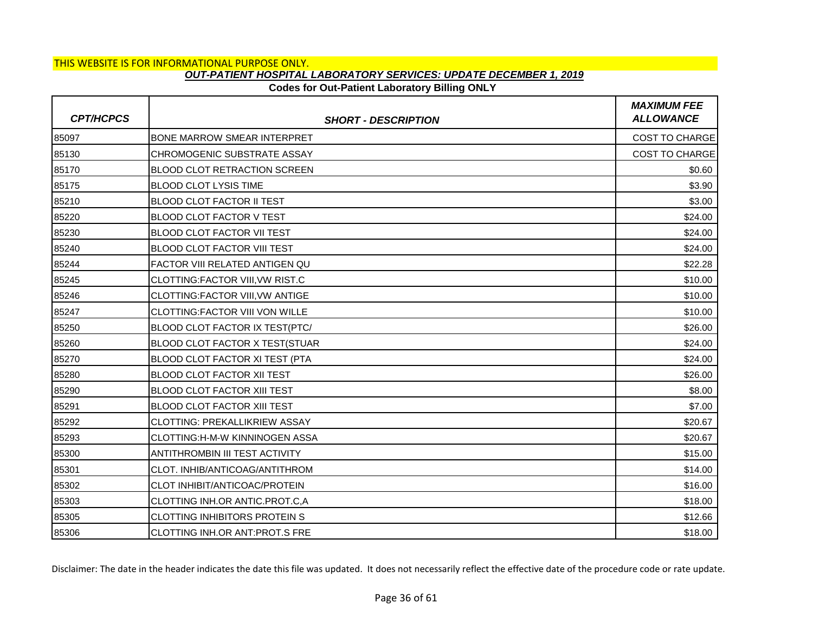# **Codes for Out-Patient Laboratory Billing ONLY**

| <b>CPT/HCPCS</b> | <b>SHORT - DESCRIPTION</b>            | <b>MAXIMUM FEE</b><br><b>ALLOWANCE</b> |
|------------------|---------------------------------------|----------------------------------------|
| 85097            | <b>BONE MARROW SMEAR INTERPRET</b>    | <b>COST TO CHARGE</b>                  |
| 85130            | CHROMOGENIC SUBSTRATE ASSAY           | <b>COST TO CHARGE</b>                  |
| 85170            | <b>BLOOD CLOT RETRACTION SCREEN</b>   | \$0.60                                 |
| 85175            | <b>BLOOD CLOT LYSIS TIME</b>          | \$3.90                                 |
| 85210            | <b>BLOOD CLOT FACTOR II TEST</b>      | \$3.00                                 |
| 85220            | <b>BLOOD CLOT FACTOR V TEST</b>       | \$24.00                                |
| 85230            | <b>BLOOD CLOT FACTOR VII TEST</b>     | \$24.00                                |
| 85240            | <b>BLOOD CLOT FACTOR VIII TEST</b>    | \$24.00                                |
| 85244            | FACTOR VIII RELATED ANTIGEN QU        | \$22.28                                |
| 85245            | CLOTTING:FACTOR VIII, VW RIST.C       | \$10.00                                |
| 85246            | CLOTTING:FACTOR VIII, VW ANTIGE       | \$10.00                                |
| 85247            | <b>CLOTTING:FACTOR VIII VON WILLE</b> | \$10.00                                |
| 85250            | <b>BLOOD CLOT FACTOR IX TEST(PTC/</b> | \$26.00                                |
| 85260            | BLOOD CLOT FACTOR X TEST(STUAR        | \$24.00                                |
| 85270            | BLOOD CLOT FACTOR XI TEST (PTA        | \$24.00                                |
| 85280            | <b>BLOOD CLOT FACTOR XII TEST</b>     | \$26.00                                |
| 85290            | <b>BLOOD CLOT FACTOR XIII TEST</b>    | \$8.00                                 |
| 85291            | <b>BLOOD CLOT FACTOR XIII TEST</b>    | \$7.00                                 |
| 85292            | <b>CLOTTING: PREKALLIKRIEW ASSAY</b>  | \$20.67                                |
| 85293            | CLOTTING:H-M-W KINNINOGEN ASSA        | \$20.67                                |
| 85300            | ANTITHROMBIN III TEST ACTIVITY        | \$15.00                                |
| 85301            | CLOT. INHIB/ANTICOAG/ANTITHROM        | \$14.00                                |
| 85302            | CLOT INHIBIT/ANTICOAC/PROTEIN         | \$16.00                                |
| 85303            | ICLOTTING INH.OR ANTIC.PROT.C.A       | \$18.00                                |
| 85305            | <b>CLOTTING INHIBITORS PROTEIN S</b>  | \$12.66                                |
| 85306            | <b>CLOTTING INH.OR ANT:PROT.S FRE</b> | \$18.00                                |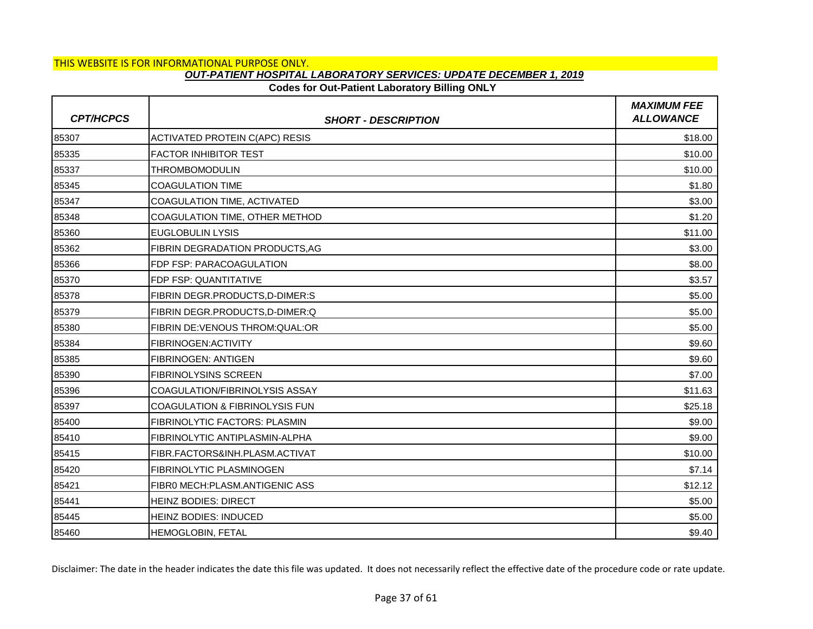### **Codes for Out-Patient Laboratory Billing ONLY**

| <b>CPT/HCPCS</b> | <b>SHORT - DESCRIPTION</b>                | <b>MAXIMUM FEE</b><br><b>ALLOWANCE</b> |
|------------------|-------------------------------------------|----------------------------------------|
| 85307            | <b>ACTIVATED PROTEIN C(APC) RESIS</b>     | \$18.00                                |
| 85335            | <b>FACTOR INHIBITOR TEST</b>              | \$10.00                                |
| 85337            | <b>THROMBOMODULIN</b>                     | \$10.00                                |
| 85345            | <b>COAGULATION TIME</b>                   | \$1.80                                 |
| 85347            | COAGULATION TIME, ACTIVATED               | \$3.00                                 |
| 85348            | COAGULATION TIME, OTHER METHOD            | \$1.20                                 |
| 85360            | <b>EUGLOBULIN LYSIS</b>                   | \$11.00                                |
| 85362            | FIBRIN DEGRADATION PRODUCTS, AG           | \$3.00                                 |
| 85366            | FDP FSP: PARACOAGULATION                  | \$8.00                                 |
| 85370            | FDP FSP: QUANTITATIVE                     | \$3.57                                 |
| 85378            | FIBRIN DEGR.PRODUCTS, D-DIMER:S           | \$5.00                                 |
| 85379            | FIBRIN DEGR.PRODUCTS, D-DIMER:Q           | \$5.00                                 |
| 85380            | FIBRIN DE: VENOUS THROM: QUAL: OR         | \$5.00                                 |
| 85384            | FIBRINOGEN: ACTIVITY                      | \$9.60                                 |
| 85385            | <b>FIBRINOGEN: ANTIGEN</b>                | \$9.60                                 |
| 85390            | <b>FIBRINOLYSINS SCREEN</b>               | \$7.00                                 |
| 85396            | COAGULATION/FIBRINOLYSIS ASSAY            | \$11.63                                |
| 85397            | <b>COAGULATION &amp; FIBRINOLYSIS FUN</b> | \$25.18                                |
| 85400            | FIBRINOLYTIC FACTORS: PLASMIN             | \$9.00                                 |
| 85410            | FIBRINOLYTIC ANTIPLASMIN-ALPHA            | \$9.00                                 |
| 85415            | FIBR.FACTORS&INH.PLASM.ACTIVAT            | \$10.00                                |
| 85420            | FIBRINOLYTIC PLASMINOGEN                  | \$7.14                                 |
| 85421            | FIBRO MECH: PLASM. ANTIGENIC ASS          | \$12.12                                |
| 85441            | <b>HEINZ BODIES: DIRECT</b>               | \$5.00                                 |
| 85445            | HEINZ BODIES: INDUCED                     | \$5.00                                 |
| 85460            | <b>HEMOGLOBIN, FETAL</b>                  | \$9.40                                 |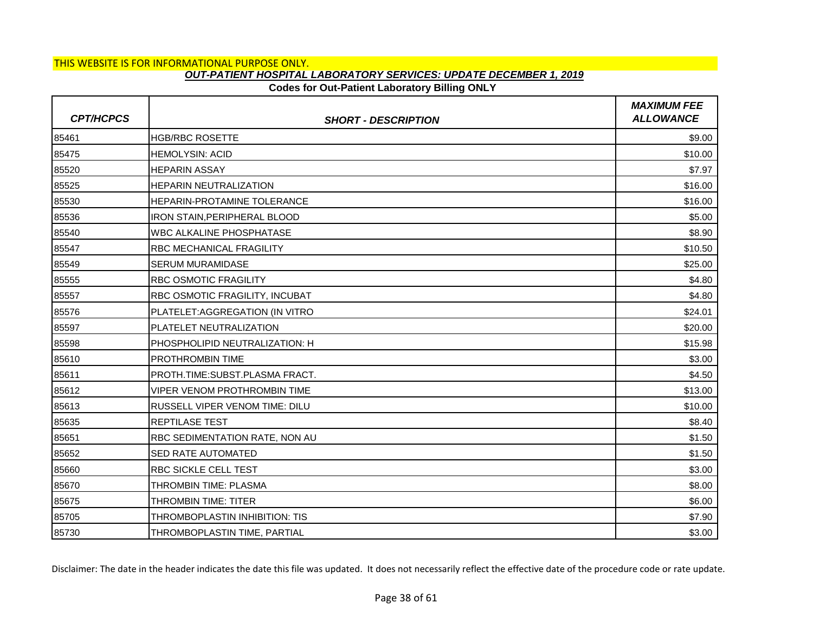## **Codes for Out-Patient Laboratory Billing ONLY**

| <b>CPT/HCPCS</b> | <b>SHORT - DESCRIPTION</b>            | <b>MAXIMUM FEE</b><br><b>ALLOWANCE</b> |
|------------------|---------------------------------------|----------------------------------------|
| 85461            | <b>HGB/RBC ROSETTE</b>                | \$9.00                                 |
| 85475            | <b>HEMOLYSIN: ACID</b>                | \$10.00                                |
| 85520            | <b>HEPARIN ASSAY</b>                  | \$7.97                                 |
| 85525            | <b>HEPARIN NEUTRALIZATION</b>         | \$16.00                                |
| 85530            | <b>HEPARIN-PROTAMINE TOLERANCE</b>    | \$16.00                                |
| 85536            | <b>IRON STAIN, PERIPHERAL BLOOD</b>   | \$5.00                                 |
| 85540            | <b>WBC ALKALINE PHOSPHATASE</b>       | \$8.90                                 |
| 85547            | <b>RBC MECHANICAL FRAGILITY</b>       | \$10.50                                |
| 85549            | <b>SERUM MURAMIDASE</b>               | \$25.00                                |
| 85555            | <b>RBC OSMOTIC FRAGILITY</b>          | \$4.80                                 |
| 85557            | RBC OSMOTIC FRAGILITY, INCUBAT        | \$4.80                                 |
| 85576            | PLATELET: AGGREGATION (IN VITRO       | \$24.01                                |
| 85597            | PLATELET NEUTRALIZATION               | \$20.00                                |
| 85598            | PHOSPHOLIPID NEUTRALIZATION: H        | \$15.98                                |
| 85610            | <b>PROTHROMBIN TIME</b>               | \$3.00                                 |
| 85611            | PROTH.TIME:SUBST.PLASMA FRACT.        | \$4.50                                 |
| 85612            | VIPER VENOM PROTHROMBIN TIME          | \$13.00                                |
| 85613            | <b>RUSSELL VIPER VENOM TIME: DILU</b> | \$10.00                                |
| 85635            | <b>REPTILASE TEST</b>                 | \$8.40                                 |
| 85651            | RBC SEDIMENTATION RATE, NON AU        | \$1.50                                 |
| 85652            | <b>SED RATE AUTOMATED</b>             | \$1.50                                 |
| 85660            | <b>RBC SICKLE CELL TEST</b>           | \$3.00                                 |
| 85670            | THROMBIN TIME: PLASMA                 | \$8.00                                 |
| 85675            | <b>THROMBIN TIME: TITER</b>           | \$6.00                                 |
| 85705            | THROMBOPLASTIN INHIBITION: TIS        | \$7.90                                 |
| 85730            | THROMBOPLASTIN TIME, PARTIAL          | \$3.00                                 |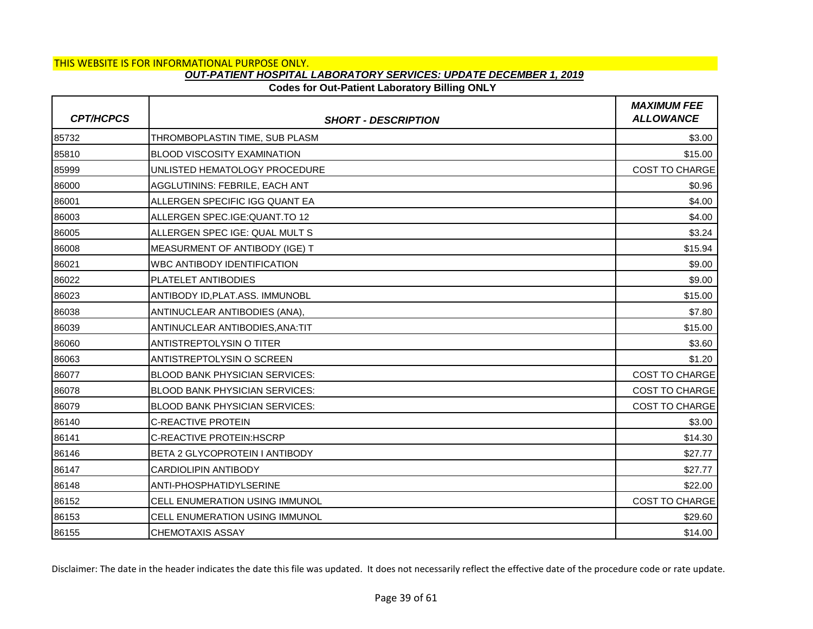# **Codes for Out-Patient Laboratory Billing ONLY**

| <b>CPT/HCPCS</b> | <b>SHORT - DESCRIPTION</b>            | <b>MAXIMUM FEE</b><br><b>ALLOWANCE</b> |
|------------------|---------------------------------------|----------------------------------------|
| 85732            | THROMBOPLASTIN TIME, SUB PLASM        | \$3.00                                 |
| 85810            | <b>BLOOD VISCOSITY EXAMINATION</b>    | \$15.00                                |
| 85999            | UNLISTED HEMATOLOGY PROCEDURE         | <b>COST TO CHARGE</b>                  |
| 86000            | AGGLUTININS: FEBRILE, EACH ANT        | \$0.96                                 |
| 86001            | ALLERGEN SPECIFIC IGG QUANT EA        | \$4.00                                 |
| 86003            | ALLERGEN SPEC.IGE: QUANT.TO 12        | \$4.00                                 |
| 86005            | ALLERGEN SPEC IGE: QUAL MULT S        | \$3.24                                 |
| 86008            | MEASURMENT OF ANTIBODY (IGE) T        | \$15.94                                |
| 86021            | <b>WBC ANTIBODY IDENTIFICATION</b>    | \$9.00                                 |
| 86022            | <b>PLATELET ANTIBODIES</b>            | \$9.00                                 |
| 86023            | ANTIBODY ID, PLAT.ASS. IMMUNOBL       | \$15.00                                |
| 86038            | ANTINUCLEAR ANTIBODIES (ANA),         | \$7.80                                 |
| 86039            | ANTINUCLEAR ANTIBODIES, ANA: TIT      | \$15.00                                |
| 86060            | <b>ANTISTREPTOLYSIN O TITER</b>       | \$3.60                                 |
| 86063            | <b>ANTISTREPTOLYSIN O SCREEN</b>      | \$1.20                                 |
| 86077            | <b>BLOOD BANK PHYSICIAN SERVICES:</b> | COST TO CHARGE                         |
| 86078            | <b>BLOOD BANK PHYSICIAN SERVICES:</b> | COST TO CHARGE                         |
| 86079            | <b>BLOOD BANK PHYSICIAN SERVICES:</b> | <b>COST TO CHARGE</b>                  |
| 86140            | <b>C-REACTIVE PROTEIN</b>             | \$3.00                                 |
| 86141            | C-REACTIVE PROTEIN: HSCRP             | \$14.30                                |
| 86146            | IBETA 2 GLYCOPROTEIN I ANTIBODY       | \$27.77                                |
| 86147            | <b>CARDIOLIPIN ANTIBODY</b>           | \$27.77                                |
| 86148            | ANTI-PHOSPHATIDYLSERINE               | \$22.00                                |
| 86152            | CELL ENUMERATION USING IMMUNOL        | <b>COST TO CHARGE</b>                  |
| 86153            | CELL ENUMERATION USING IMMUNOL        | \$29.60                                |
| 86155            | <b>CHEMOTAXIS ASSAY</b>               | \$14.00                                |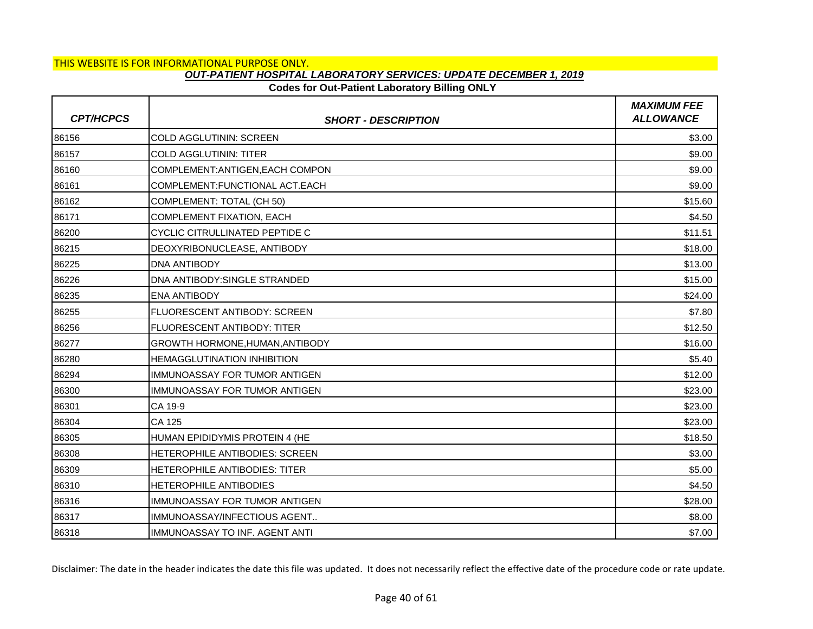# **Codes for Out-Patient Laboratory Billing ONLY**

| <b>CPT/HCPCS</b> | <b>SHORT - DESCRIPTION</b>            | <b>MAXIMUM FEE</b><br><b>ALLOWANCE</b> |
|------------------|---------------------------------------|----------------------------------------|
| 86156            | COLD AGGLUTININ: SCREEN               | \$3.00                                 |
| 86157            | <b>COLD AGGLUTININ: TITER</b>         | \$9.00                                 |
| 86160            | COMPLEMENT: ANTIGEN, EACH COMPON      | \$9.00                                 |
| 86161            | COMPLEMENT:FUNCTIONAL ACT.EACH        | \$9.00                                 |
| 86162            | COMPLEMENT: TOTAL (CH 50)             | \$15.60                                |
| 86171            | COMPLEMENT FIXATION, EACH             | \$4.50                                 |
| 86200            | CYCLIC CITRULLINATED PEPTIDE C        | \$11.51                                |
| 86215            | DEOXYRIBONUCLEASE, ANTIBODY           | \$18.00                                |
| 86225            | <b>DNA ANTIBODY</b>                   | \$13.00                                |
| 86226            | DNA ANTIBODY: SINGLE STRANDED         | \$15.00                                |
| 86235            | <b>ENA ANTIBODY</b>                   | \$24.00                                |
| 86255            | <b>FLUORESCENT ANTIBODY: SCREEN</b>   | \$7.80                                 |
| 86256            | FLUORESCENT ANTIBODY: TITER           | \$12.50                                |
| 86277            | GROWTH HORMONE, HUMAN, ANTIBODY       | \$16.00                                |
| 86280            | <b>HEMAGGLUTINATION INHIBITION</b>    | \$5.40                                 |
| 86294            | IMMUNOASSAY FOR TUMOR ANTIGEN         | \$12.00                                |
| 86300            | IMMUNOASSAY FOR TUMOR ANTIGEN         | \$23.00                                |
| 86301            | CA 19-9                               | \$23.00                                |
| 86304            | CA 125                                | \$23.00                                |
| 86305            | HUMAN EPIDIDYMIS PROTEIN 4 (HE        | \$18.50                                |
| 86308            | <b>HETEROPHILE ANTIBODIES: SCREEN</b> | \$3.00                                 |
| 86309            | HETEROPHILE ANTIBODIES: TITER         | \$5.00                                 |
| 86310            | HETEROPHILE ANTIBODIES                | \$4.50                                 |
| 86316            | <b>IMMUNOASSAY FOR TUMOR ANTIGEN</b>  | \$28.00                                |
| 86317            | IMMUNOASSAY/INFECTIOUS AGENT          | \$8.00                                 |
| 86318            | IMMUNOASSAY TO INF. AGENT ANTI        | \$7.00                                 |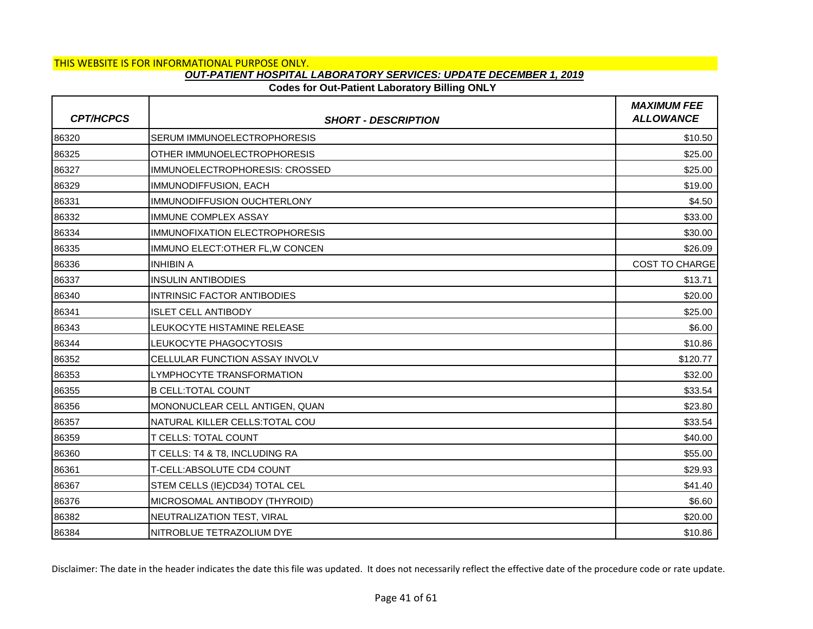### **Codes for Out-Patient Laboratory Billing ONLY**

| <b>CPT/HCPCS</b> | <b>SHORT - DESCRIPTION</b>            | <b>MAXIMUM FEE</b><br><b>ALLOWANCE</b> |
|------------------|---------------------------------------|----------------------------------------|
| 86320            | SERUM IMMUNOELECTROPHORESIS           | \$10.50                                |
| 86325            | OTHER IMMUNOELECTROPHORESIS           | \$25.00                                |
| 86327            | IMMUNOELECTROPHORESIS: CROSSED        | \$25.00                                |
| 86329            | IMMUNODIFFUSION, EACH                 | \$19.00                                |
| 86331            | IMMUNODIFFUSION OUCHTERLONY           | \$4.50                                 |
| 86332            | <b>IMMUNE COMPLEX ASSAY</b>           | \$33.00                                |
| 86334            | <b>IMMUNOFIXATION ELECTROPHORESIS</b> | \$30.00                                |
| 86335            | IMMUNO ELECT: OTHER FL, W CONCEN      | \$26.09                                |
| 86336            | <b>INHIBIN A</b>                      | <b>COST TO CHARGE</b>                  |
| 86337            | <b>INSULIN ANTIBODIES</b>             | \$13.71                                |
| 86340            | <b>INTRINSIC FACTOR ANTIBODIES</b>    | \$20.00                                |
| 86341            | <b>ISLET CELL ANTIBODY</b>            | \$25.00                                |
| 86343            | LEUKOCYTE HISTAMINE RELEASE           | \$6.00                                 |
| 86344            | LEUKOCYTE PHAGOCYTOSIS                | \$10.86                                |
| 86352            | <b>CELLULAR FUNCTION ASSAY INVOLV</b> | \$120.77                               |
| 86353            | LYMPHOCYTE TRANSFORMATION             | \$32.00                                |
| 86355            | <b>B CELL: TOTAL COUNT</b>            | \$33.54                                |
| 86356            | MONONUCLEAR CELL ANTIGEN, QUAN        | \$23.80                                |
| 86357            | NATURAL KILLER CELLS: TOTAL COU       | \$33.54                                |
| 86359            | <b>T CELLS: TOTAL COUNT</b>           | \$40.00                                |
| 86360            | T CELLS: T4 & T8, INCLUDING RA        | \$55.00                                |
| 86361            | T-CELL: ABSOLUTE CD4 COUNT            | \$29.93                                |
| 86367            | STEM CELLS (IE)CD34) TOTAL CEL        | \$41.40                                |
| 86376            | MICROSOMAL ANTIBODY (THYROID)         | \$6.60                                 |
| 86382            | NEUTRALIZATION TEST, VIRAL            | \$20.00                                |
| 86384            | NITROBLUE TETRAZOLIUM DYE             | \$10.86                                |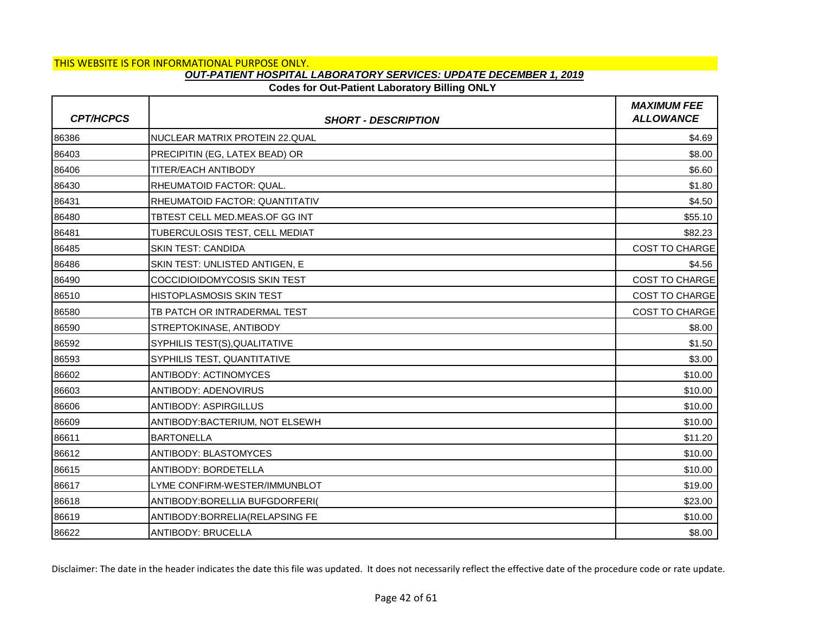### **Codes for Out-Patient Laboratory Billing ONLY**

| <b>CPT/HCPCS</b> | <b>SHORT - DESCRIPTION</b>       | <b>MAXIMUM FEE</b><br><b>ALLOWANCE</b> |
|------------------|----------------------------------|----------------------------------------|
| 86386            | NUCLEAR MATRIX PROTEIN 22.QUAL   | \$4.69                                 |
| 86403            | PRECIPITIN (EG, LATEX BEAD) OR   | \$8.00                                 |
| 86406            | <b>TITER/EACH ANTIBODY</b>       | \$6.60                                 |
| 86430            | RHEUMATOID FACTOR: QUAL.         | \$1.80                                 |
| 86431            | RHEUMATOID FACTOR: QUANTITATIV   | \$4.50                                 |
| 86480            | TBTEST CELL MED.MEAS.OF GG INT   | \$55.10                                |
| 86481            | TUBERCULOSIS TEST, CELL MEDIAT   | \$82.23                                |
| 86485            | <b>SKIN TEST: CANDIDA</b>        | COST TO CHARGE                         |
| 86486            | SKIN TEST: UNLISTED ANTIGEN. E   | \$4.56                                 |
| 86490            | COCCIDIOIDOMYCOSIS SKIN TEST     | <b>COST TO CHARGE</b>                  |
| 86510            | <b>HISTOPLASMOSIS SKIN TEST</b>  | COST TO CHARGE                         |
| 86580            | TB PATCH OR INTRADERMAL TEST     | <b>COST TO CHARGE</b>                  |
| 86590            | STREPTOKINASE, ANTIBODY          | \$8.00                                 |
| 86592            | SYPHILIS TEST(S), QUALITATIVE    | \$1.50                                 |
| 86593            | SYPHILIS TEST, QUANTITATIVE      | \$3.00                                 |
| 86602            | <b>ANTIBODY: ACTINOMYCES</b>     | \$10.00                                |
| 86603            | <b>ANTIBODY: ADENOVIRUS</b>      | \$10.00                                |
| 86606            | <b>ANTIBODY: ASPIRGILLUS</b>     | \$10.00                                |
| 86609            | ANTIBODY: BACTERIUM, NOT ELSEWH  | \$10.00                                |
| 86611            | <b>BARTONELLA</b>                | \$11.20                                |
| 86612            | <b>ANTIBODY: BLASTOMYCES</b>     | \$10.00                                |
| 86615            | ANTIBODY: BORDETELLA             | \$10.00                                |
| 86617            | LYME CONFIRM-WESTER/IMMUNBLOT    | \$19.00                                |
| 86618            | ANTIBODY: BORELLIA BUFGDORFERI(  | \$23.00                                |
| 86619            | ANTIBODY: BORRELIA (RELAPSING FE | \$10.00                                |
| 86622            | <b>ANTIBODY: BRUCELLA</b>        | \$8.00                                 |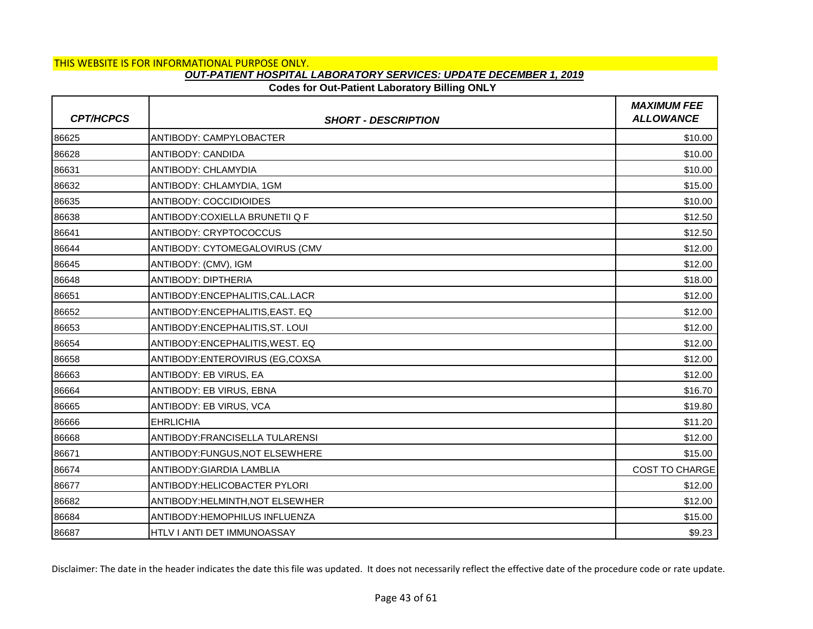# **Codes for Out-Patient Laboratory Billing ONLY**

| <b>CPT/HCPCS</b> | <b>SHORT - DESCRIPTION</b>         | <b>MAXIMUM FEE</b><br><b>ALLOWANCE</b> |
|------------------|------------------------------------|----------------------------------------|
| 86625            | ANTIBODY: CAMPYLOBACTER            | \$10.00                                |
| 86628            | ANTIBODY: CANDIDA                  | \$10.00                                |
| 86631            | <b>ANTIBODY: CHLAMYDIA</b>         | \$10.00                                |
| 86632            | ANTIBODY: CHLAMYDIA, 1GM           | \$15.00                                |
| 86635            | <b>ANTIBODY: COCCIDIOIDES</b>      | \$10.00                                |
| 86638            | ANTIBODY:COXIELLA BRUNETII Q F     | \$12.50                                |
| 86641            | ANTIBODY: CRYPTOCOCCUS             | \$12.50                                |
| 86644            | ANTIBODY: CYTOMEGALOVIRUS (CMV     | \$12.00                                |
| 86645            | ANTIBODY: (CMV), IGM               | \$12.00                                |
| 86648            | ANTIBODY: DIPTHERIA                | \$18.00                                |
| 86651            | ANTIBODY:ENCEPHALITIS, CAL. LACR   | \$12.00                                |
| 86652            | ANTIBODY:ENCEPHALITIS, EAST. EQ    | \$12.00                                |
| 86653            | ANTIBODY: ENCEPHALITIS, ST. LOUI   | \$12.00                                |
| 86654            | ANTIBODY: ENCEPHALITIS, WEST. EQ   | \$12.00                                |
| 86658            | ANTIBODY: ENTEROVIRUS (EG, COXSA   | \$12.00                                |
| 86663            | ANTIBODY: EB VIRUS, EA             | \$12.00                                |
| 86664            | ANTIBODY: EB VIRUS, EBNA           | \$16.70                                |
| 86665            | ANTIBODY: EB VIRUS, VCA            | \$19.80                                |
| 86666            | <b>EHRLICHIA</b>                   | \$11.20                                |
| 86668            | ANTIBODY: FRANCISELLA TULARENSI    | \$12.00                                |
| 86671            | ANTIBODY:FUNGUS.NOT ELSEWHERE      | \$15.00                                |
| 86674            | ANTIBODY: GIARDIA LAMBLIA          | COST TO CHARGE                         |
| 86677            | ANTIBODY: HELICOBACTER PYLORI      | \$12.00                                |
| 86682            | ANTIBODY:HELMINTH, NOT ELSEWHER    | \$12.00                                |
| 86684            | ANTIBODY: HEMOPHILUS INFLUENZA     | \$15.00                                |
| 86687            | <b>HTLV I ANTI DET IMMUNOASSAY</b> | \$9.23                                 |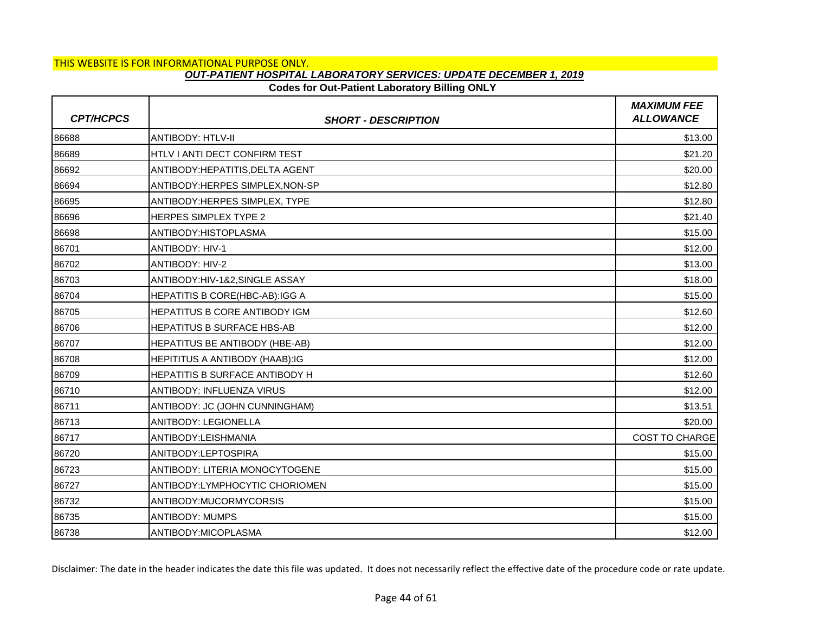### **Codes for Out-Patient Laboratory Billing ONLY**

| <b>CPT/HCPCS</b> | <b>SHORT - DESCRIPTION</b>            | <b>MAXIMUM FEE</b><br><b>ALLOWANCE</b> |
|------------------|---------------------------------------|----------------------------------------|
| 86688            | <b>ANTIBODY: HTLV-II</b>              | \$13.00                                |
| 86689            | HTLV I ANTI DECT CONFIRM TEST         | \$21.20                                |
| 86692            | ANTIBODY: HEPATITIS, DELTA AGENT      | \$20.00                                |
| 86694            | ANTIBODY: HERPES SIMPLEX, NON-SP      | \$12.80                                |
| 86695            | ANTIBODY: HERPES SIMPLEX, TYPE        | \$12.80                                |
| 86696            | <b>HERPES SIMPLEX TYPE 2</b>          | \$21.40                                |
| 86698            | ANTIBODY: HISTOPLASMA                 | \$15.00                                |
| 86701            | <b>ANTIBODY: HIV-1</b>                | \$12.00                                |
| 86702            | ANTIBODY: HIV-2                       | \$13.00                                |
| 86703            | ANTIBODY:HIV-1&2, SINGLE ASSAY        | \$18.00                                |
| 86704            | HEPATITIS B CORE(HBC-AB):IGG A        | \$15.00                                |
| 86705            | HEPATITUS B CORE ANTIBODY IGM         | \$12.60                                |
| 86706            | HEPATITUS B SURFACE HBS-AB            | \$12.00                                |
| 86707            | HEPATITUS BE ANTIBODY (HBE-AB)        | \$12.00                                |
| 86708            | <b>HEPITITUS A ANTIBODY (HAAB):IG</b> | \$12.00                                |
| 86709            | <b>HEPATITIS B SURFACE ANTIBODY H</b> | \$12.60                                |
| 86710            | ANTIBODY: INFLUENZA VIRUS             | \$12.00                                |
| 86711            | ANTIBODY: JC (JOHN CUNNINGHAM)        | \$13.51                                |
| 86713            | ANITBODY: LEGIONELLA                  | \$20.00                                |
| 86717            | ANTIBODY:LEISHMANIA                   | <b>COST TO CHARGE</b>                  |
| 86720            | ANITBODY:LEPTOSPIRA                   | \$15.00                                |
| 86723            | ANTIBODY: LITERIA MONOCYTOGENE        | \$15.00                                |
| 86727            | ANTIBODY:LYMPHOCYTIC CHORIOMEN        | \$15.00                                |
| 86732            | ANTIBODY:MUCORMYCORSIS                | \$15.00                                |
| 86735            | <b>ANTIBODY: MUMPS</b>                | \$15.00                                |
| 86738            | ANTIBODY:MICOPLASMA                   | \$12.00                                |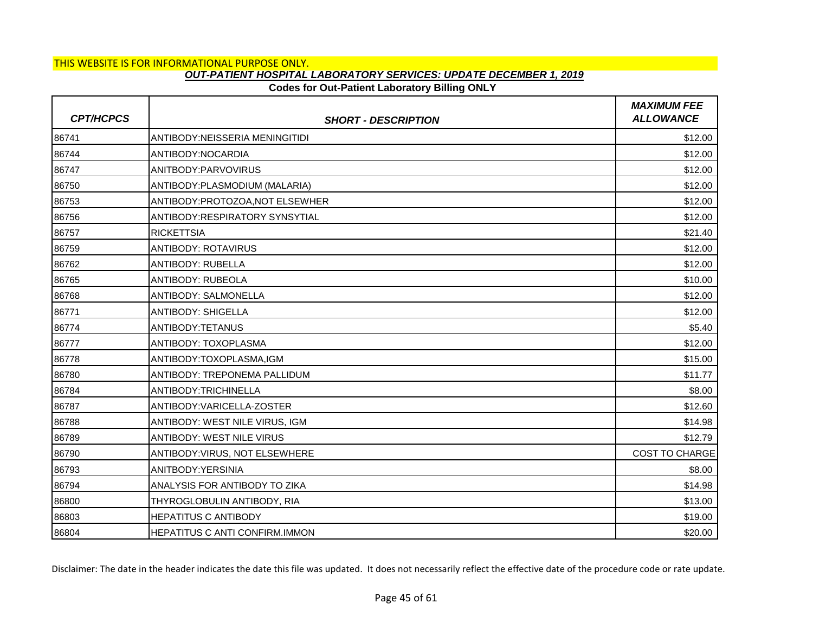# **Codes for Out-Patient Laboratory Billing ONLY**

| <b>CPT/HCPCS</b> | <b>SHORT - DESCRIPTION</b>       | <b>MAXIMUM FEE</b><br><b>ALLOWANCE</b> |
|------------------|----------------------------------|----------------------------------------|
| 86741            | ANTIBODY:NEISSERIA MENINGITIDI   | \$12.00                                |
| 86744            | ANTIBODY:NOCARDIA                | \$12.00                                |
| 86747            | ANITBODY:PARVOVIRUS              | \$12.00                                |
| 86750            | ANTIBODY: PLASMODIUM (MALARIA)   | \$12.00                                |
| 86753            | ANTIBODY: PROTOZOA, NOT ELSEWHER | \$12.00                                |
| 86756            | ANTIBODY:RESPIRATORY SYNSYTIAL   | \$12.00                                |
| 86757            | <b>RICKETTSIA</b>                | \$21.40                                |
| 86759            | <b>ANTIBODY: ROTAVIRUS</b>       | \$12.00                                |
| 86762            | <b>ANTIBODY: RUBELLA</b>         | \$12.00                                |
| 86765            | ANTIBODY: RUBEOLA                | \$10.00                                |
| 86768            | ANTIBODY: SALMONELLA             | \$12.00                                |
| 86771            | <b>ANTIBODY: SHIGELLA</b>        | \$12.00                                |
| 86774            | ANTIBODY:TETANUS                 | \$5.40                                 |
| 86777            | ANTIBODY: TOXOPLASMA             | \$12.00                                |
| 86778            | ANTIBODY:TOXOPLASMA,IGM          | \$15.00                                |
| 86780            | ANTIBODY: TREPONEMA PALLIDUM     | \$11.77                                |
| 86784            | ANTIBODY:TRICHINELLA             | \$8.00                                 |
| 86787            | ANTIBODY: VARICELLA-ZOSTER       | \$12.60                                |
| 86788            | ANTIBODY: WEST NILE VIRUS, IGM   | \$14.98                                |
| 86789            | <b>ANTIBODY: WEST NILE VIRUS</b> | \$12.79                                |
| 86790            | ANTIBODY: VIRUS, NOT ELSEWHERE   | <b>COST TO CHARGE</b>                  |
| 86793            | ANITBODY: YERSINIA               | \$8.00                                 |
| 86794            | ANALYSIS FOR ANTIBODY TO ZIKA    | \$14.98                                |
| 86800            | THYROGLOBULIN ANTIBODY, RIA      | \$13.00                                |
| 86803            | <b>HEPATITUS C ANTIBODY</b>      | \$19.00                                |
| 86804            | HEPATITUS C ANTI CONFIRM.IMMON   | \$20.00                                |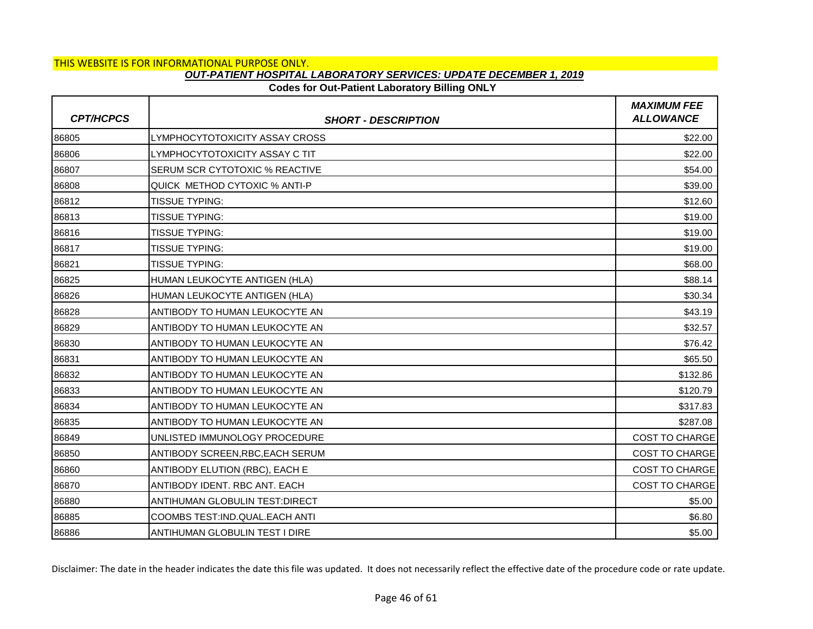# **Codes for Out-Patient Laboratory Billing ONLY**

| <b>CPT/HCPCS</b> | <b>SHORT - DESCRIPTION</b>            | <b>MAXIMUM FEE</b><br><b>ALLOWANCE</b> |
|------------------|---------------------------------------|----------------------------------------|
| 86805            | LYMPHOCYTOTOXICITY ASSAY CROSS        | \$22.00                                |
| 86806            | LYMPHOCYTOTOXICITY ASSAY C TIT        | \$22.00                                |
| 86807            | <b>SERUM SCR CYTOTOXIC % REACTIVE</b> | \$54.00                                |
| 86808            | QUICK METHOD CYTOXIC % ANTI-P         | \$39.00                                |
| 86812            | <b>TISSUE TYPING:</b>                 | \$12.60                                |
| 86813            | <b>TISSUE TYPING:</b>                 | \$19.00                                |
| 86816            | <b>TISSUE TYPING:</b>                 | \$19.00                                |
| 86817            | <b>TISSUE TYPING:</b>                 | \$19.00                                |
| 86821            | <b>TISSUE TYPING:</b>                 | \$68.00                                |
| 86825            | HUMAN LEUKOCYTE ANTIGEN (HLA)         | \$88.14                                |
| 86826            | HUMAN LEUKOCYTE ANTIGEN (HLA)         | \$30.34                                |
| 86828            | ANTIBODY TO HUMAN LEUKOCYTE AN        | \$43.19                                |
| 86829            | ANTIBODY TO HUMAN LEUKOCYTE AN        | \$32.57                                |
| 86830            | ANTIBODY TO HUMAN LEUKOCYTE AN        | \$76.42                                |
| 86831            | ANTIBODY TO HUMAN LEUKOCYTE AN        | \$65.50                                |
| 86832            | ANTIBODY TO HUMAN LEUKOCYTE AN        | \$132.86                               |
| 86833            | ANTIBODY TO HUMAN LEUKOCYTE AN        | \$120.79                               |
| 86834            | ANTIBODY TO HUMAN LEUKOCYTE AN        | \$317.83                               |
| 86835            | ANTIBODY TO HUMAN LEUKOCYTE AN        | \$287.08                               |
| 86849            | UNLISTED IMMUNOLOGY PROCEDURE         | <b>COST TO CHARGE</b>                  |
| 86850            | ANTIBODY SCREEN,RBC,EACH SERUM        | <b>COST TO CHARGE</b>                  |
| 86860            | ANTIBODY ELUTION (RBC), EACH E        | <b>COST TO CHARGE</b>                  |
| 86870            | ANTIBODY IDENT. RBC ANT. EACH         | <b>COST TO CHARGE</b>                  |
| 86880            | ANTIHUMAN GLOBULIN TEST:DIRECT        | \$5.00                                 |
| 86885            | COOMBS TEST:IND.QUAL.EACH ANTI        | \$6.80                                 |
| 86886            | <b>ANTIHUMAN GLOBULIN TEST I DIRE</b> | \$5.00                                 |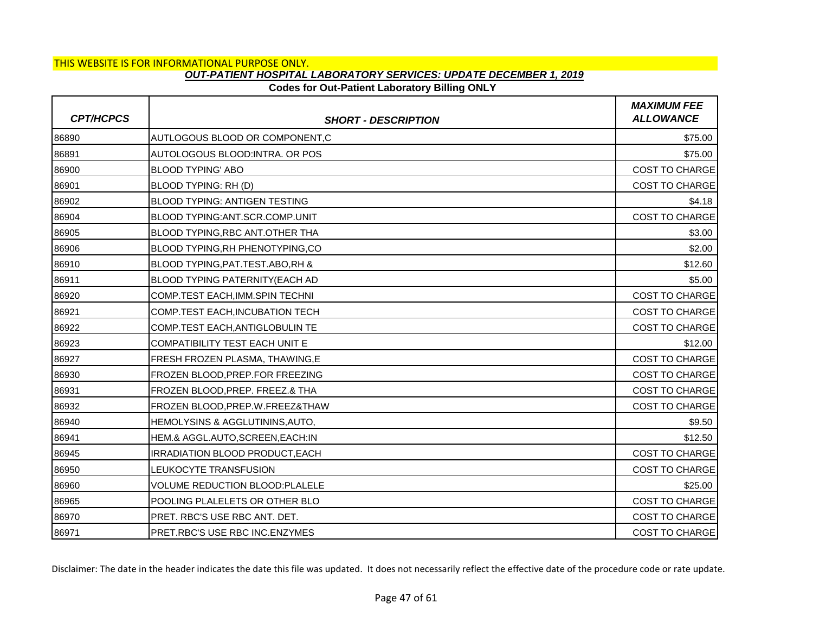### **Codes for Out-Patient Laboratory Billing ONLY**

| <b>CPT/HCPCS</b> | <b>SHORT - DESCRIPTION</b>                | <b>MAXIMUM FEE</b><br><b>ALLOWANCE</b> |
|------------------|-------------------------------------------|----------------------------------------|
| 86890            | AUTLOGOUS BLOOD OR COMPONENT,C            | \$75.00                                |
| 86891            | AUTOLOGOUS BLOOD: INTRA. OR POS           | \$75.00                                |
| 86900            | <b>BLOOD TYPING' ABO</b>                  | <b>COST TO CHARGE</b>                  |
| 86901            | BLOOD TYPING: RH (D)                      | <b>COST TO CHARGE</b>                  |
| 86902            | <b>BLOOD TYPING: ANTIGEN TESTING</b>      | \$4.18                                 |
| 86904            | <b>BLOOD TYPING: ANT. SCR. COMP. UNIT</b> | <b>COST TO CHARGE</b>                  |
| 86905            | <b>BLOOD TYPING.RBC ANT.OTHER THA</b>     | \$3.00                                 |
| 86906            | BLOOD TYPING, RH PHENOTYPING, CO          | \$2.00                                 |
| 86910            | BLOOD TYPING, PAT. TEST. ABO, RH &        | \$12.60                                |
| 86911            | <b>BLOOD TYPING PATERNITY(EACH AD</b>     | \$5.00                                 |
| 86920            | COMP.TEST EACH, IMM.SPIN TECHNI           | COST TO CHARGE                         |
| 86921            | <b>COMP.TEST EACH.INCUBATION TECH</b>     | <b>COST TO CHARGE</b>                  |
| 86922            | COMP.TEST EACH, ANTIGLOBULIN TE           | <b>COST TO CHARGE</b>                  |
| 86923            | COMPATIBILITY TEST EACH UNIT E            | \$12.00                                |
| 86927            | FRESH FROZEN PLASMA, THAWING, E           | <b>COST TO CHARGE</b>                  |
| 86930            | FROZEN BLOOD, PREP. FOR FREEZING          | <b>COST TO CHARGE</b>                  |
| 86931            | FROZEN BLOOD, PREP. FREEZ.& THA           | <b>COST TO CHARGE</b>                  |
| 86932            | FROZEN BLOOD.PREP.W.FREEZ&THAW            | <b>COST TO CHARGE</b>                  |
| 86940            | HEMOLYSINS & AGGLUTININS, AUTO,           | \$9.50                                 |
| 86941            | HEM.& AGGL.AUTO, SCREEN, EACH: IN         | \$12.50                                |
| 86945            | IRRADIATION BLOOD PRODUCT, EACH           | <b>COST TO CHARGE</b>                  |
| 86950            | LEUKOCYTE TRANSFUSION                     | <b>COST TO CHARGE</b>                  |
| 86960            | <b>VOLUME REDUCTION BLOOD:PLALELE</b>     | \$25.00                                |
| 86965            | POOLING PLALELETS OR OTHER BLO            | <b>COST TO CHARGE</b>                  |
| 86970            | PRET. RBC'S USE RBC ANT. DET.             | <b>COST TO CHARGE</b>                  |
| 86971            | PRET.RBC'S USE RBC INC.ENZYMES            | <b>COST TO CHARGE</b>                  |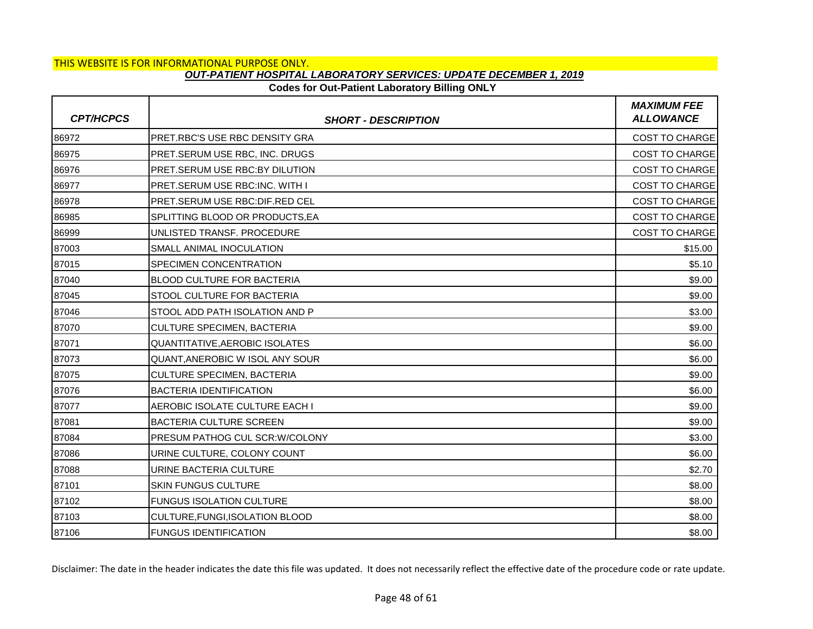# **Codes for Out-Patient Laboratory Billing ONLY**

| <b>CPT/HCPCS</b> | <b>SHORT - DESCRIPTION</b>            | <b>MAXIMUM FEE</b><br><b>ALLOWANCE</b> |
|------------------|---------------------------------------|----------------------------------------|
| 86972            | PRET.RBC'S USE RBC DENSITY GRA        | <b>COST TO CHARGE</b>                  |
| 86975            | PRET.SERUM USE RBC, INC. DRUGS        | COST TO CHARGE                         |
| 86976            | PRET.SERUM USE RBC:BY DILUTION        | <b>COST TO CHARGE</b>                  |
| 86977            | <b>PRET.SERUM USE RBC:INC, WITH I</b> | <b>COST TO CHARGE</b>                  |
| 86978            | PRET.SERUM USE RBC:DIF.RED CEL        | <b>COST TO CHARGE</b>                  |
| 86985            | SPLITTING BLOOD OR PRODUCTS.EA        | <b>COST TO CHARGE</b>                  |
| 86999            | UNLISTED TRANSF. PROCEDURE            | <b>COST TO CHARGE</b>                  |
| 87003            | SMALL ANIMAL INOCULATION              | \$15.00                                |
| 87015            | SPECIMEN CONCENTRATION                | \$5.10                                 |
| 87040            | <b>BLOOD CULTURE FOR BACTERIA</b>     | \$9.00                                 |
| 87045            | STOOL CULTURE FOR BACTERIA            | \$9.00                                 |
| 87046            | STOOL ADD PATH ISOLATION AND P        | \$3.00                                 |
| 87070            | <b>CULTURE SPECIMEN, BACTERIA</b>     | \$9.00                                 |
| 87071            | QUANTITATIVE, AEROBIC ISOLATES        | \$6.00                                 |
| 87073            | QUANT, ANEROBIC W ISOL ANY SOUR       | \$6.00                                 |
| 87075            | <b>CULTURE SPECIMEN, BACTERIA</b>     | \$9.00                                 |
| 87076            | <b>BACTERIA IDENTIFICATION</b>        | \$6.00                                 |
| 87077            | AEROBIC ISOLATE CULTURE EACH I        | \$9.00                                 |
| 87081            | BACTERIA CULTURE SCREEN               | \$9.00                                 |
| 87084            | PRESUM PATHOG CUL SCR: W/COLONY       | \$3.00                                 |
| 87086            | URINE CULTURE, COLONY COUNT           | \$6.00                                 |
| 87088            | URINE BACTERIA CULTURE                | \$2.70                                 |
| 87101            | <b>SKIN FUNGUS CULTURE</b>            | \$8.00                                 |
| 87102            | <b>FUNGUS ISOLATION CULTURE</b>       | \$8.00                                 |
| 87103            | CULTURE, FUNGI, ISOLATION BLOOD       | \$8.00                                 |
| 87106            | <b>FUNGUS IDENTIFICATION</b>          | \$8.00                                 |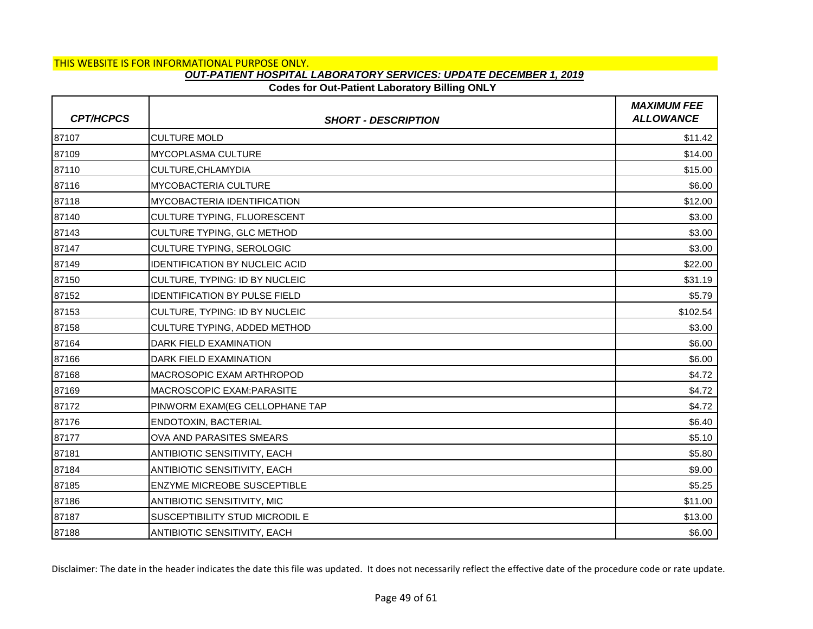# **Codes for Out-Patient Laboratory Billing ONLY**

| <b>CPT/HCPCS</b> | <b>SHORT - DESCRIPTION</b>            | <b>MAXIMUM FEE</b><br><b>ALLOWANCE</b> |
|------------------|---------------------------------------|----------------------------------------|
| 87107            | <b>CULTURE MOLD</b>                   | \$11.42                                |
| 87109            | <b>MYCOPLASMA CULTURE</b>             | \$14.00                                |
| 87110            | CULTURE, CHLAMYDIA                    | \$15.00                                |
| 87116            | <b>MYCOBACTERIA CULTURE</b>           | \$6.00                                 |
| 87118            | <b>MYCOBACTERIA IDENTIFICATION</b>    | \$12.00                                |
| 87140            | CULTURE TYPING, FLUORESCENT           | \$3.00                                 |
| 87143            | CULTURE TYPING, GLC METHOD            | \$3.00                                 |
| 87147            | CULTURE TYPING, SEROLOGIC             | \$3.00                                 |
| 87149            | <b>IDENTIFICATION BY NUCLEIC ACID</b> | \$22.00                                |
| 87150            | CULTURE, TYPING: ID BY NUCLEIC        | \$31.19                                |
| 87152            | <b>IDENTIFICATION BY PULSE FIELD</b>  | \$5.79                                 |
| 87153            | CULTURE, TYPING: ID BY NUCLEIC        | \$102.54                               |
| 87158            | CULTURE TYPING, ADDED METHOD          | \$3.00                                 |
| 87164            | DARK FIELD EXAMINATION                | \$6.00                                 |
| 87166            | <b>I</b> DARK FIELD EXAMINATION       | \$6.00                                 |
| 87168            | MACROSOPIC EXAM ARTHROPOD             | \$4.72                                 |
| 87169            | <b>MACROSCOPIC EXAM:PARASITE</b>      | \$4.72                                 |
| 87172            | PINWORM EXAM(EG CELLOPHANE TAP        | \$4.72                                 |
| 87176            | ENDOTOXIN, BACTERIAL                  | \$6.40                                 |
| 87177            | OVA AND PARASITES SMEARS              | \$5.10                                 |
| 87181            | <b>ANTIBIOTIC SENSITIVITY, EACH</b>   | \$5.80                                 |
| 87184            | ANTIBIOTIC SENSITIVITY, EACH          | \$9.00                                 |
| 87185            | <b>ENZYME MICREOBE SUSCEPTIBLE</b>    | \$5.25                                 |
| 87186            | ANTIBIOTIC SENSITIVITY, MIC           | \$11.00                                |
| 87187            | SUSCEPTIBILITY STUD MICRODIL E        | \$13.00                                |
| 87188            | <b>ANTIBIOTIC SENSITIVITY, EACH</b>   | \$6.00                                 |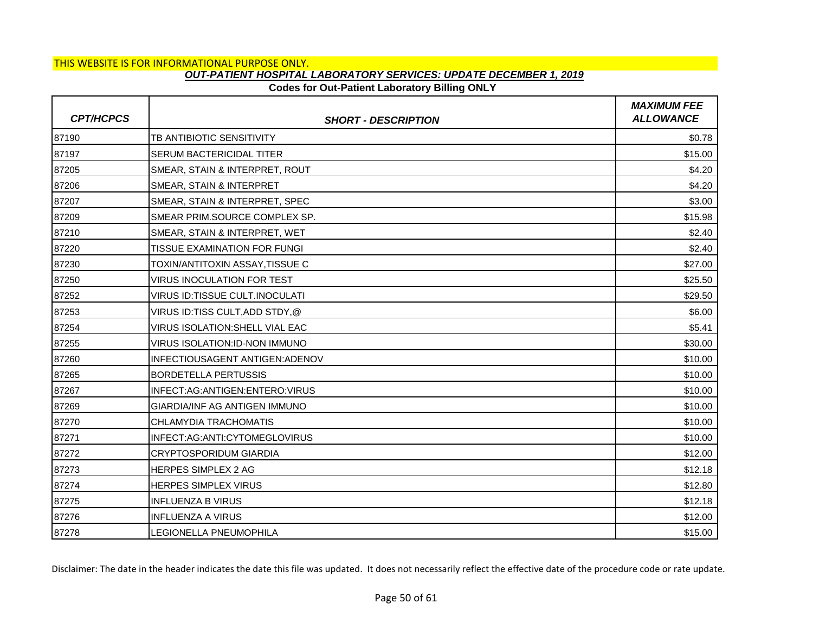### **Codes for Out-Patient Laboratory Billing ONLY**

| <b>CPT/HCPCS</b> | <b>SHORT - DESCRIPTION</b>             | <b>MAXIMUM FEE</b><br><b>ALLOWANCE</b> |
|------------------|----------------------------------------|----------------------------------------|
| 87190            | TB ANTIBIOTIC SENSITIVITY              | \$0.78                                 |
| 87197            | SERUM BACTERICIDAL TITER               | \$15.00                                |
| 87205            | SMEAR, STAIN & INTERPRET, ROUT         | \$4.20                                 |
| 87206            | SMEAR, STAIN & INTERPRET               | \$4.20                                 |
| 87207            | SMEAR, STAIN & INTERPRET, SPEC         | \$3.00                                 |
| 87209            | SMEAR PRIM.SOURCE COMPLEX SP.          | \$15.98                                |
| 87210            | SMEAR, STAIN & INTERPRET, WET          | \$2.40                                 |
| 87220            | TISSUE EXAMINATION FOR FUNGI           | \$2.40                                 |
| 87230            | TOXIN/ANTITOXIN ASSAY.TISSUE C         | \$27.00                                |
| 87250            | <b>VIRUS INOCULATION FOR TEST</b>      | \$25.50                                |
| 87252            | VIRUS ID:TISSUE CULT.INOCULATI         | \$29.50                                |
| 87253            | VIRUS ID:TISS CULT,ADD STDY,@          | \$6.00                                 |
| 87254            | <b>VIRUS ISOLATION: SHELL VIAL EAC</b> | \$5.41                                 |
| 87255            | VIRUS ISOLATION:ID-NON IMMUNO          | \$30.00                                |
| 87260            | INFECTIOUSAGENT ANTIGEN: ADENOV        | \$10.00                                |
| 87265            | <b>BORDETELLA PERTUSSIS</b>            | \$10.00                                |
| 87267            | INFECT:AG:ANTIGEN:ENTERO:VIRUS         | \$10.00                                |
| 87269            | <b>GIARDIA/INF AG ANTIGEN IMMUNO</b>   | \$10.00                                |
| 87270            | CHLAMYDIA TRACHOMATIS                  | \$10.00                                |
| 87271            | INFECT:AG:ANTI:CYTOMEGLOVIRUS          | \$10.00                                |
| 87272            | <b>CRYPTOSPORIDUM GIARDIA</b>          | \$12.00                                |
| 87273            | HERPES SIMPLEX 2 AG                    | \$12.18                                |
| 87274            | HERPES SIMPLEX VIRUS                   | \$12.80                                |
| 87275            | <b>INFLUENZA B VIRUS</b>               | \$12.18                                |
| 87276            | <b>INFLUENZA A VIRUS</b>               | \$12.00                                |
| 87278            | LEGIONELLA PNEUMOPHILA                 | \$15.00                                |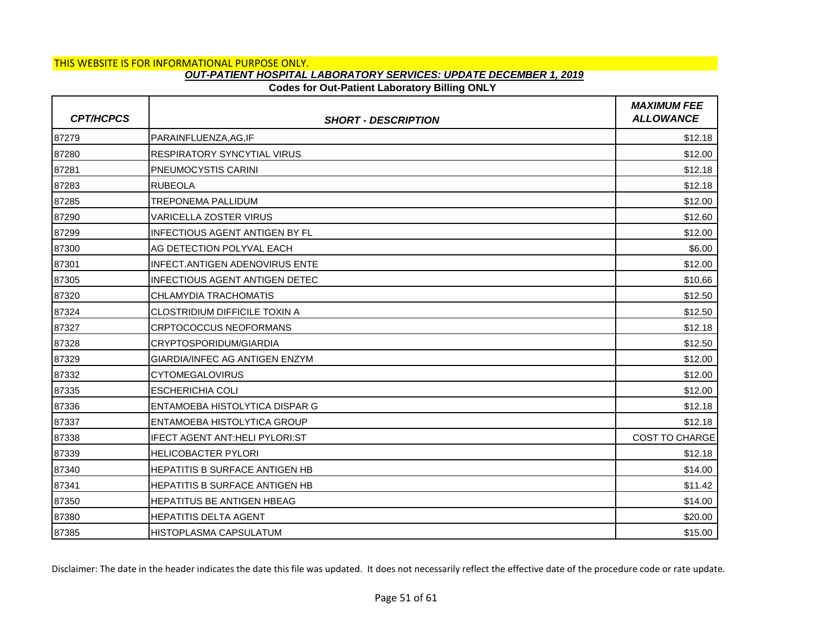### **Codes for Out-Patient Laboratory Billing ONLY**

| <b>CPT/HCPCS</b> | <b>SHORT - DESCRIPTION</b>            | <b>MAXIMUM FEE</b><br><b>ALLOWANCE</b> |
|------------------|---------------------------------------|----------------------------------------|
| 87279            | PARAINFLUENZA.AG.IF                   | \$12.18                                |
| 87280            | <b>RESPIRATORY SYNCYTIAL VIRUS</b>    | \$12.00                                |
| 87281            | <b>PNEUMOCYSTIS CARINI</b>            | \$12.18                                |
| 87283            | <b>RUBEOLA</b>                        | \$12.18                                |
| 87285            | <b>TREPONEMA PALLIDUM</b>             | \$12.00                                |
| 87290            | <b>VARICELLA ZOSTER VIRUS</b>         | \$12.60                                |
| 87299            | <b>INFECTIOUS AGENT ANTIGEN BY FL</b> | \$12.00                                |
| 87300            | AG DETECTION POLYVAL EACH             | \$6.00                                 |
| 87301            | INFECT.ANTIGEN ADENOVIRUS ENTE        | \$12.00                                |
| 87305            | <b>INFECTIOUS AGENT ANTIGEN DETEC</b> | \$10.66                                |
| 87320            | CHLAMYDIA TRACHOMATIS                 | \$12.50                                |
| 87324            | <b>CLOSTRIDIUM DIFFICILE TOXIN A</b>  | \$12.50                                |
| 87327            | <b>CRPTOCOCCUS NEOFORMANS</b>         | \$12.18                                |
| 87328            | CRYPTOSPORIDUM/GIARDIA                | \$12.50                                |
| 87329            | GIARDIA/INFEC AG ANTIGEN ENZYM        | \$12.00                                |
| 87332            | <b>CYTOMEGALOVIRUS</b>                | \$12.00                                |
| 87335            | <b>ESCHERICHIA COLI</b>               | \$12.00                                |
| 87336            | ENTAMOEBA HISTOLYTICA DISPAR G        | \$12.18                                |
| 87337            | ENTAMOEBA HISTOLYTICA GROUP           | \$12.18                                |
| 87338            | <b>IFECT AGENT ANT:HELI PYLORI:ST</b> | <b>COST TO CHARGE</b>                  |
| 87339            | <b>HELICOBACTER PYLORI</b>            | \$12.18                                |
| 87340            | HEPATITIS B SURFACE ANTIGEN HB        | \$14.00                                |
| 87341            | <b>HEPATITIS B SURFACE ANTIGEN HB</b> | \$11.42                                |
| 87350            | <b>HEPATITUS BE ANTIGEN HBEAG</b>     | \$14.00                                |
| 87380            | <b>HEPATITIS DELTA AGENT</b>          | \$20.00                                |
| 87385            | IHISTOPLASMA CAPSULATUM               | \$15.00                                |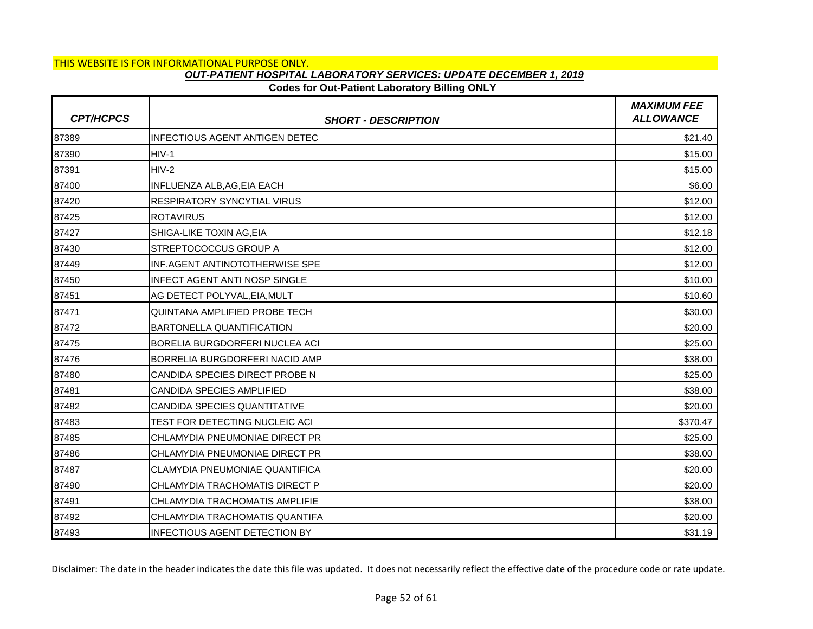## **Codes for Out-Patient Laboratory Billing ONLY**

| <b>CPT/HCPCS</b> | <b>SHORT - DESCRIPTION</b>            | <b>MAXIMUM FEE</b><br><b>ALLOWANCE</b> |
|------------------|---------------------------------------|----------------------------------------|
| 87389            | <b>INFECTIOUS AGENT ANTIGEN DETEC</b> | \$21.40                                |
| 87390            | $HIV-1$                               | \$15.00                                |
| 87391            | $HIV-2$                               | \$15.00                                |
| 87400            | INFLUENZA ALB, AG, EIA EACH           | \$6.00                                 |
| 87420            | <b>RESPIRATORY SYNCYTIAL VIRUS</b>    | \$12.00                                |
| 87425            | <b>ROTAVIRUS</b>                      | \$12.00                                |
| 87427            | SHIGA-LIKE TOXIN AG, EIA              | \$12.18                                |
| 87430            | STREPTOCOCCUS GROUP A                 | \$12.00                                |
| 87449            | INF.AGENT ANTINOTOTHERWISE SPE        | \$12.00                                |
| 87450            | <b>INFECT AGENT ANTI NOSP SINGLE</b>  | \$10.00                                |
| 87451            | AG DETECT POLYVAL, EIA, MULT          | \$10.60                                |
| 87471            | QUINTANA AMPLIFIED PROBE TECH         | \$30.00                                |
| 87472            | <b>BARTONELLA QUANTIFICATION</b>      | \$20.00                                |
| 87475            | BORELIA BURGDORFERI NUCLEA ACI        | \$25.00                                |
| 87476            | BORRELIA BURGDORFERI NACID AMP        | \$38.00                                |
| 87480            | CANDIDA SPECIES DIRECT PROBE N        | \$25.00                                |
| 87481            | CANDIDA SPECIES AMPLIFIED             | \$38.00                                |
| 87482            | CANDIDA SPECIES QUANTITATIVE          | \$20.00                                |
| 87483            | TEST FOR DETECTING NUCLEIC ACI        | \$370.47                               |
| 87485            | CHLAMYDIA PNEUMONIAE DIRECT PR        | \$25.00                                |
| 87486            | CHLAMYDIA PNEUMONIAE DIRECT PR        | \$38.00                                |
| 87487            | <b>CLAMYDIA PNEUMONIAE QUANTIFICA</b> | \$20.00                                |
| 87490            | CHLAMYDIA TRACHOMATIS DIRECT P        | \$20.00                                |
| 87491            | CHLAMYDIA TRACHOMATIS AMPLIFIE        | \$38.00                                |
| 87492            | CHLAMYDIA TRACHOMATIS QUANTIFA        | \$20.00                                |
| 87493            | INFECTIOUS AGENT DETECTION BY         | \$31.19                                |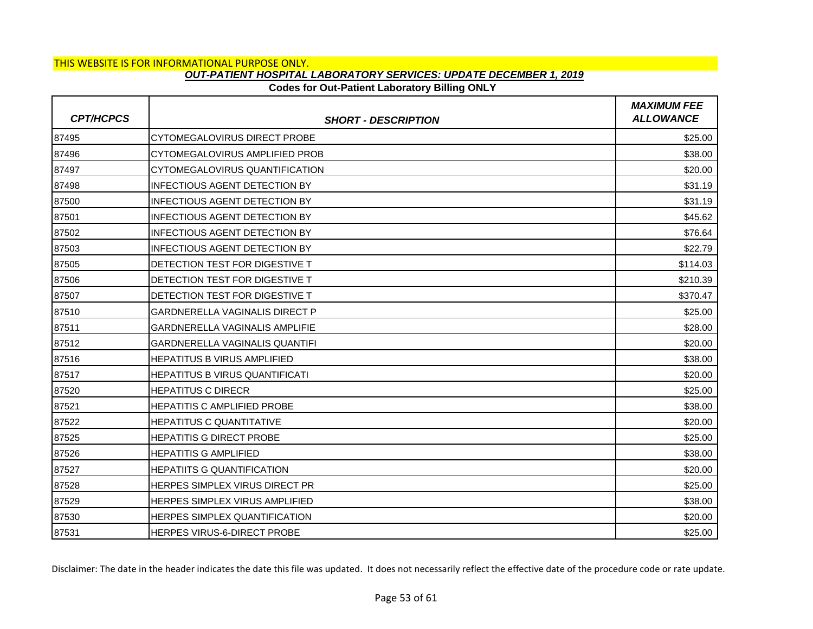### **Codes for Out-Patient Laboratory Billing ONLY**

| <b>CPT/HCPCS</b> | <b>SHORT - DESCRIPTION</b>             | <b>MAXIMUM FEE</b><br><b>ALLOWANCE</b> |
|------------------|----------------------------------------|----------------------------------------|
| 87495            | <b>CYTOMEGALOVIRUS DIRECT PROBE</b>    | \$25.00                                |
| 87496            | CYTOMEGALOVIRUS AMPLIFIED PROB         | \$38.00                                |
| 87497            | CYTOMEGALOVIRUS QUANTIFICATION         | \$20.00                                |
| 87498            | INFECTIOUS AGENT DETECTION BY          | \$31.19                                |
| 87500            | <b>INFECTIOUS AGENT DETECTION BY</b>   | \$31.19                                |
| 87501            | <b>INFECTIOUS AGENT DETECTION BY</b>   | \$45.62                                |
| 87502            | <b>INFECTIOUS AGENT DETECTION BY</b>   | \$76.64                                |
| 87503            | <b>INFECTIOUS AGENT DETECTION BY</b>   | \$22.79                                |
| 87505            | <b>IDETECTION TEST FOR DIGESTIVE T</b> | \$114.03                               |
| 87506            | IDETECTION TEST FOR DIGESTIVE T        | \$210.39                               |
| 87507            | DETECTION TEST FOR DIGESTIVE T         | \$370.47                               |
| 87510            | <b>GARDNERELLA VAGINALIS DIRECT P</b>  | \$25.00                                |
| 87511            | <b>GARDNERELLA VAGINALIS AMPLIFIE</b>  | \$28.00                                |
| 87512            | <b>GARDNERELLA VAGINALIS QUANTIFI</b>  | \$20.00                                |
| 87516            | <b>HEPATITUS B VIRUS AMPLIFIED</b>     | \$38.00                                |
| 87517            | <b>HEPATITUS B VIRUS QUANTIFICATI</b>  | \$20.00                                |
| 87520            | <b>HEPATITUS C DIRECR</b>              | \$25.00                                |
| 87521            | <b>HEPATITIS C AMPLIFIED PROBE</b>     | \$38.00                                |
| 87522            | <b>HEPATITUS C QUANTITATIVE</b>        | \$20.00                                |
| 87525            | <b>HEPATITIS G DIRECT PROBE</b>        | \$25.00                                |
| 87526            | IHEPATITIS G AMPLIFIED                 | \$38.00                                |
| 87527            | <b>HEPATIITS G QUANTIFICATION</b>      | \$20.00                                |
| 87528            | HERPES SIMPLEX VIRUS DIRECT PR         | \$25.00                                |
| 87529            | <b>HERPES SIMPLEX VIRUS AMPLIFIED</b>  | \$38.00                                |
| 87530            | HERPES SIMPLEX QUANTIFICATION          | \$20.00                                |
| 87531            | <b>HERPES VIRUS-6-DIRECT PROBE</b>     | \$25.00                                |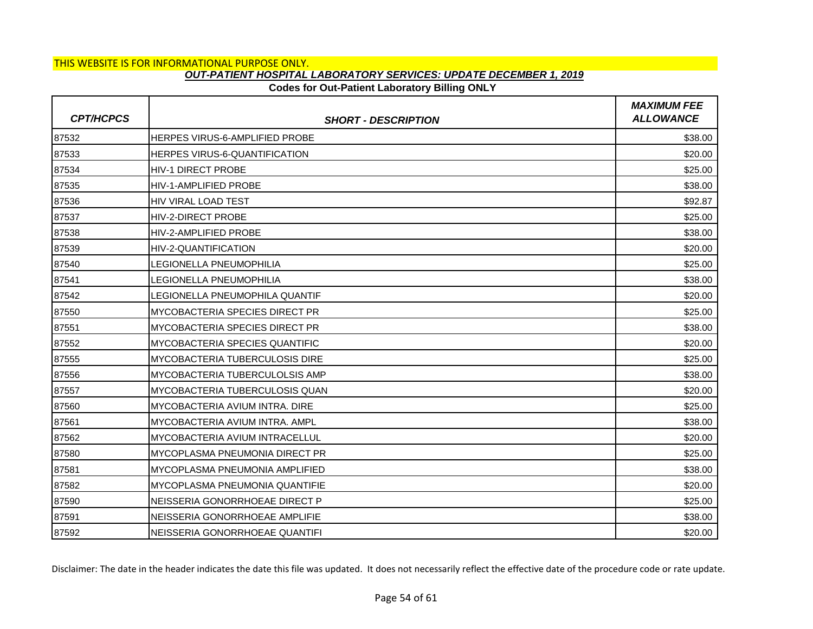# **Codes for Out-Patient Laboratory Billing ONLY**

| <b>CPT/HCPCS</b> | <b>SHORT - DESCRIPTION</b>            | <b>MAXIMUM FEE</b><br><b>ALLOWANCE</b> |
|------------------|---------------------------------------|----------------------------------------|
| 87532            | <b>HERPES VIRUS-6-AMPLIFIED PROBE</b> | \$38.00                                |
| 87533            | HERPES VIRUS-6-QUANTIFICATION         | \$20.00                                |
| 87534            | <b>HIV-1 DIRECT PROBE</b>             | \$25.00                                |
| 87535            | <b>HIV-1-AMPLIFIED PROBE</b>          | \$38.00                                |
| 87536            | <b>HIV VIRAL LOAD TEST</b>            | \$92.87                                |
| 87537            | <b>HIV-2-DIRECT PROBE</b>             | \$25.00                                |
| 87538            | <b>HIV-2-AMPLIFIED PROBE</b>          | \$38.00                                |
| 87539            | HIV-2-QUANTIFICATION                  | \$20.00                                |
| 87540            | <b>LEGIONELLA PNEUMOPHILIA</b>        | \$25.00                                |
| 87541            | <b>LEGIONELLA PNEUMOPHILIA</b>        | \$38.00                                |
| 87542            | LEGIONELLA PNEUMOPHILA QUANTIF        | \$20.00                                |
| 87550            | <b>MYCOBACTERIA SPECIES DIRECT PR</b> | \$25.00                                |
| 87551            | MYCOBACTERIA SPECIES DIRECT PR        | \$38.00                                |
| 87552            | MYCOBACTERIA SPECIES QUANTIFIC        | \$20.00                                |
| 87555            | MYCOBACTERIA TUBERCULOSIS DIRE        | \$25.00                                |
| 87556            | MYCOBACTERIA TUBERCULOLSIS AMP        | \$38.00                                |
| 87557            | MYCOBACTERIA TUBERCULOSIS QUAN        | \$20.00                                |
| 87560            | MYCOBACTERIA AVIUM INTRA. DIRE        | \$25.00                                |
| 87561            | MYCOBACTERIA AVIUM INTRA. AMPL        | \$38.00                                |
| 87562            | MYCOBACTERIA AVIUM INTRACELLUL        | \$20.00                                |
| 87580            | MYCOPLASMA PNEUMONIA DIRECT PR        | \$25.00                                |
| 87581            | MYCOPLASMA PNEUMONIA AMPLIFIED        | \$38.00                                |
| 87582            | <b>MYCOPLASMA PNEUMONIA QUANTIFIE</b> | \$20.00                                |
| 87590            | NEISSERIA GONORRHOEAE DIRECT P        | \$25.00                                |
| 87591            | NEISSERIA GONORRHOEAE AMPLIFIE        | \$38.00                                |
| 87592            | NEISSERIA GONORRHOEAE QUANTIFI        | \$20.00                                |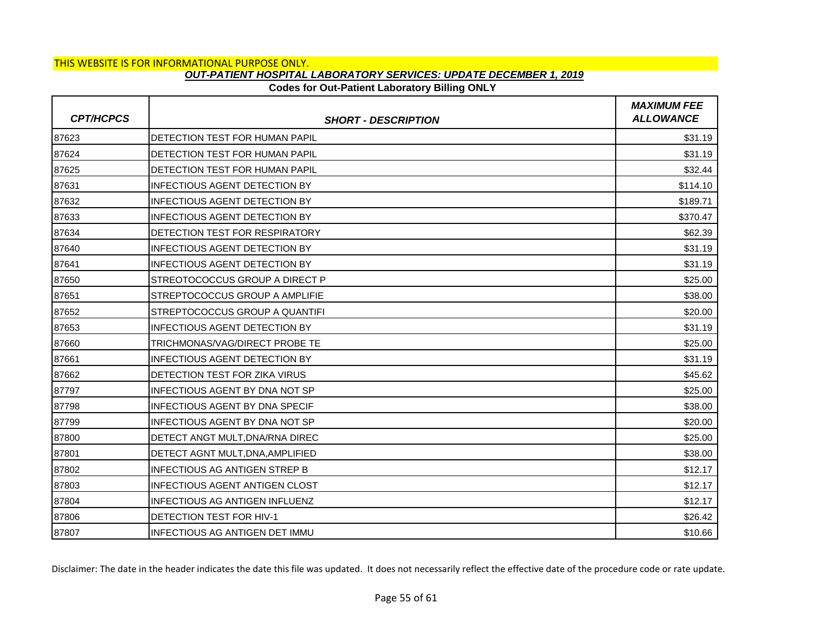## **Codes for Out-Patient Laboratory Billing ONLY**

| <b>CPT/HCPCS</b> | <b>SHORT - DESCRIPTION</b>            | <b>MAXIMUM FEE</b><br><b>ALLOWANCE</b> |
|------------------|---------------------------------------|----------------------------------------|
| 87623            | DETECTION TEST FOR HUMAN PAPIL        | \$31.19                                |
| 87624            | DETECTION TEST FOR HUMAN PAPIL        | \$31.19                                |
| 87625            | DETECTION TEST FOR HUMAN PAPIL        | \$32.44                                |
| 87631            | <b>INFECTIOUS AGENT DETECTION BY</b>  | \$114.10                               |
| 87632            | <b>INFECTIOUS AGENT DETECTION BY</b>  | \$189.71                               |
| 87633            | <b>INFECTIOUS AGENT DETECTION BY</b>  | \$370.47                               |
| 87634            | DETECTION TEST FOR RESPIRATORY        | \$62.39                                |
| 87640            | <b>INFECTIOUS AGENT DETECTION BY</b>  | \$31.19                                |
| 87641            | <b>INFECTIOUS AGENT DETECTION BY</b>  | \$31.19                                |
| 87650            | STREOTOCOCCUS GROUP A DIRECT P        | \$25.00                                |
| 87651            | STREPTOCOCCUS GROUP A AMPLIFIE        | \$38.00                                |
| 87652            | STREPTOCOCCUS GROUP A QUANTIFI        | \$20.00                                |
| 87653            | <b>INFECTIOUS AGENT DETECTION BY</b>  | \$31.19                                |
| 87660            | TRICHMONAS/VAG/DIRECT PROBE TE        | \$25.00                                |
| 87661            | <b>INFECTIOUS AGENT DETECTION BY</b>  | \$31.19                                |
| 87662            | DETECTION TEST FOR ZIKA VIRUS         | \$45.62                                |
| 87797            | <b>INFECTIOUS AGENT BY DNA NOT SP</b> | \$25.00                                |
| 87798            | <b>INFECTIOUS AGENT BY DNA SPECIF</b> | \$38.00                                |
| 87799            | <b>INFECTIOUS AGENT BY DNA NOT SP</b> | \$20.00                                |
| 87800            | DETECT ANGT MULT, DNA/RNA DIREC       | \$25.00                                |
| 87801            | DETECT AGNT MULT, DNA, AMPLIFIED      | \$38.00                                |
| 87802            | INFECTIOUS AG ANTIGEN STREP B         | \$12.17                                |
| 87803            | <b>INFECTIOUS AGENT ANTIGEN CLOST</b> | \$12.17                                |
| 87804            | <b>INFECTIOUS AG ANTIGEN INFLUENZ</b> | \$12.17                                |
| 87806            | DETECTION TEST FOR HIV-1              | \$26.42                                |
| 87807            | <b>INFECTIOUS AG ANTIGEN DET IMMU</b> | \$10.66                                |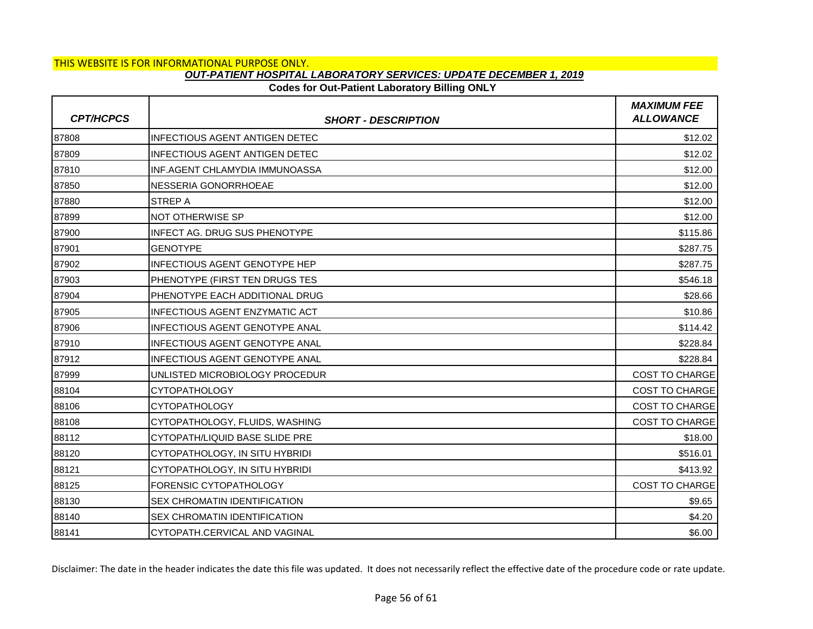# **Codes for Out-Patient Laboratory Billing ONLY**

| <b>CPT/HCPCS</b> | <b>SHORT - DESCRIPTION</b>            | <b>MAXIMUM FEE</b><br><b>ALLOWANCE</b> |
|------------------|---------------------------------------|----------------------------------------|
| 87808            | <b>INFECTIOUS AGENT ANTIGEN DETEC</b> | \$12.02                                |
| 87809            | <b>INFECTIOUS AGENT ANTIGEN DETEC</b> | \$12.02                                |
| 87810            | INF.AGENT CHLAMYDIA IMMUNOASSA        | \$12.00                                |
| 87850            | NESSERIA GONORRHOEAE                  | \$12.00                                |
| 87880            | <b>STREP A</b>                        | \$12.00                                |
| 87899            | NOT OTHERWISE SP                      | \$12.00                                |
| 87900            | <b>INFECT AG. DRUG SUS PHENOTYPE</b>  | \$115.86                               |
| 87901            | <b>GENOTYPE</b>                       | \$287.75                               |
| 87902            | <b>INFECTIOUS AGENT GENOTYPE HEP</b>  | \$287.75                               |
| 87903            | PHENOTYPE (FIRST TEN DRUGS TES        | \$546.18                               |
| 87904            | PHENOTYPE EACH ADDITIONAL DRUG        | \$28.66                                |
| 87905            | <b>INFECTIOUS AGENT ENZYMATIC ACT</b> | \$10.86                                |
| 87906            | <b>INFECTIOUS AGENT GENOTYPE ANAL</b> | \$114.42                               |
| 87910            | INFECTIOUS AGENT GENOTYPE ANAL        | \$228.84                               |
| 87912            | INFECTIOUS AGENT GENOTYPE ANAL        | \$228.84                               |
| 87999            | UNLISTED MICROBIOLOGY PROCEDUR        | <b>COST TO CHARGE</b>                  |
| 88104            | <b>CYTOPATHOLOGY</b>                  | <b>COST TO CHARGE</b>                  |
| 88106            | <b>CYTOPATHOLOGY</b>                  | <b>COST TO CHARGE</b>                  |
| 88108            | CYTOPATHOLOGY, FLUIDS, WASHING        | <b>COST TO CHARGE</b>                  |
| 88112            | CYTOPATH/LIQUID BASE SLIDE PRE        | \$18.00                                |
| 88120            | CYTOPATHOLOGY, IN SITU HYBRIDI        | \$516.01                               |
| 88121            | CYTOPATHOLOGY, IN SITU HYBRIDI        | \$413.92                               |
| 88125            | FORENSIC CYTOPATHOLOGY                | <b>COST TO CHARGE</b>                  |
| 88130            | SEX CHROMATIN IDENTIFICATION          | \$9.65                                 |
| 88140            | SEX CHROMATIN IDENTIFICATION          | \$4.20                                 |
| 88141            | CYTOPATH.CERVICAL AND VAGINAL         | \$6.00                                 |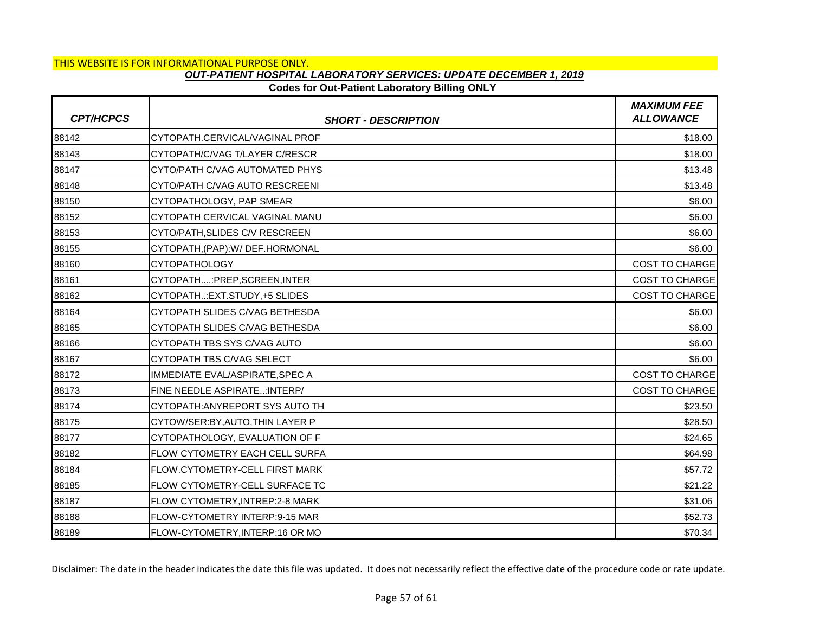# **Codes for Out-Patient Laboratory Billing ONLY**

| <b>CPT/HCPCS</b> | <b>SHORT - DESCRIPTION</b>            | <b>MAXIMUM FEE</b><br><b>ALLOWANCE</b> |
|------------------|---------------------------------------|----------------------------------------|
| 88142            | CYTOPATH.CERVICAL/VAGINAL PROF        | \$18.00                                |
| 88143            | CYTOPATH/C/VAG T/LAYER C/RESCR        | \$18.00                                |
| 88147            | CYTO/PATH C/VAG AUTOMATED PHYS        | \$13.48                                |
| 88148            | CYTO/PATH C/VAG AUTO RESCREENI        | \$13.48                                |
| 88150            | CYTOPATHOLOGY, PAP SMEAR              | \$6.00                                 |
| 88152            | CYTOPATH CERVICAL VAGINAL MANU        | \$6.00                                 |
| 88153            | CYTO/PATH, SLIDES C/V RESCREEN        | \$6.00                                 |
| 88155            | CYTOPATH, (PAP): W/ DEF.HORMONAL      | \$6.00                                 |
| 88160            | <b>CYTOPATHOLOGY</b>                  | <b>COST TO CHARGE</b>                  |
| 88161            | CYTOPATH:PREP,SCREEN,INTER            | <b>COST TO CHARGE</b>                  |
| 88162            | CYTOPATH: EXT.STUDY, +5 SLIDES        | COST TO CHARGE                         |
| 88164            | ICYTOPATH SLIDES C/VAG BETHESDA       | \$6.00                                 |
| 88165            | CYTOPATH SLIDES C/VAG BETHESDA        | \$6.00                                 |
| 88166            | CYTOPATH TBS SYS C/VAG AUTO           | \$6.00                                 |
| 88167            | CYTOPATH TBS C/VAG SELECT             | \$6.00                                 |
| 88172            | IMMEDIATE EVAL/ASPIRATE, SPEC A       | COST TO CHARGE                         |
| 88173            | FINE NEEDLE ASPIRATE: INTERP/         | <b>COST TO CHARGE</b>                  |
| 88174            | CYTOPATH: ANYREPORT SYS AUTO TH       | \$23.50                                |
| 88175            | CYTOW/SER:BY, AUTO, THIN LAYER P      | \$28.50                                |
| 88177            | CYTOPATHOLOGY, EVALUATION OF F        | \$24.65                                |
| 88182            | <b>FLOW CYTOMETRY EACH CELL SURFA</b> | \$64.98                                |
| 88184            | FLOW.CYTOMETRY-CELL FIRST MARK        | \$57.72                                |
| 88185            | FLOW CYTOMETRY-CELL SURFACE TC        | \$21.22                                |
| 88187            | FLOW CYTOMETRY, INTREP:2-8 MARK       | \$31.06                                |
| 88188            | FLOW-CYTOMETRY INTERP:9-15 MAR        | \$52.73                                |
| 88189            | FLOW-CYTOMETRY, INTERP:16 OR MO       | \$70.34                                |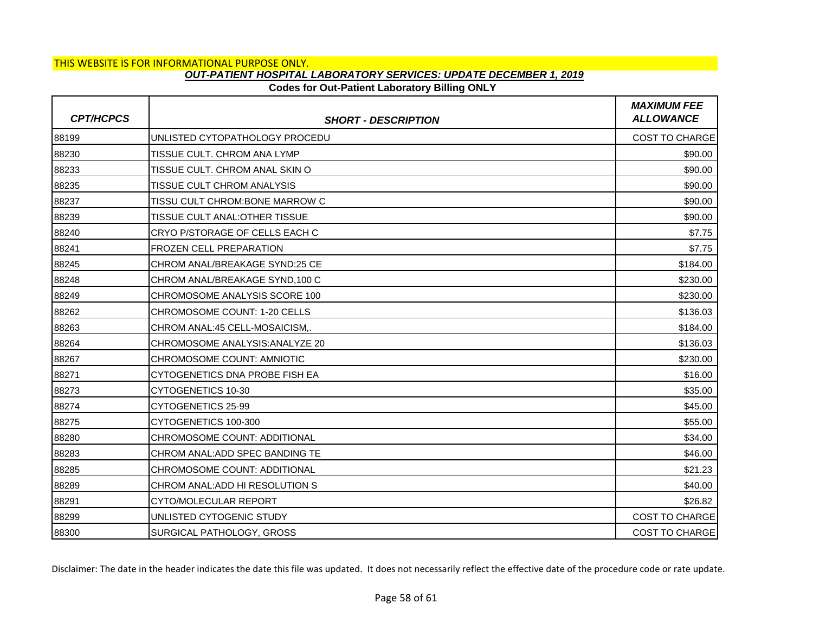# **Codes for Out-Patient Laboratory Billing ONLY**

| <b>CPT/HCPCS</b> | <b>SHORT - DESCRIPTION</b>      | <b>MAXIMUM FEE</b><br><b>ALLOWANCE</b> |
|------------------|---------------------------------|----------------------------------------|
| 88199            | UNLISTED CYTOPATHOLOGY PROCEDU  | <b>COST TO CHARGE</b>                  |
| 88230            | TISSUE CULT. CHROM ANA LYMP     | \$90.00                                |
| 88233            | TISSUE CULT. CHROM ANAL SKIN O  | \$90.00                                |
| 88235            | TISSUE CULT CHROM ANALYSIS      | \$90.00                                |
| 88237            | TISSU CULT CHROM: BONE MARROW C | \$90.00                                |
| 88239            | TISSUE CULT ANAL:OTHER TISSUE   | \$90.00                                |
| 88240            | CRYO P/STORAGE OF CELLS EACH C  | \$7.75                                 |
| 88241            | FROZEN CELL PREPARATION         | \$7.75                                 |
| 88245            | CHROM ANAL/BREAKAGE SYND:25 CE  | \$184.00                               |
| 88248            | CHROM ANAL/BREAKAGE SYND, 100 C | \$230.00                               |
| 88249            | CHROMOSOME ANALYSIS SCORE 100   | \$230.00                               |
| 88262            | CHROMOSOME COUNT: 1-20 CELLS    | \$136.03                               |
| 88263            | CHROM ANAL:45 CELL-MOSAICISM,.  | \$184.00                               |
| 88264            | CHROMOSOME ANALYSIS: ANALYZE 20 | \$136.03                               |
| 88267            | CHROMOSOME COUNT: AMNIOTIC      | \$230.00                               |
| 88271            | CYTOGENETICS DNA PROBE FISH EA  | \$16.00                                |
| 88273            | CYTOGENETICS 10-30              | \$35.00                                |
| 88274            | CYTOGENETICS 25-99              | \$45.00                                |
| 88275            | CYTOGENETICS 100-300            | \$55.00                                |
| 88280            | CHROMOSOME COUNT: ADDITIONAL    | \$34.00                                |
| 88283            | CHROM ANAL: ADD SPEC BANDING TE | \$46.00                                |
| 88285            | CHROMOSOME COUNT: ADDITIONAL    | \$21.23                                |
| 88289            | CHROM ANAL: ADD HI RESOLUTION S | \$40.00                                |
| 88291            | CYTO/MOLECULAR REPORT           | \$26.82                                |
| 88299            | UNLISTED CYTOGENIC STUDY        | <b>COST TO CHARGE</b>                  |
| 88300            | SURGICAL PATHOLOGY, GROSS       | <b>COST TO CHARGE</b>                  |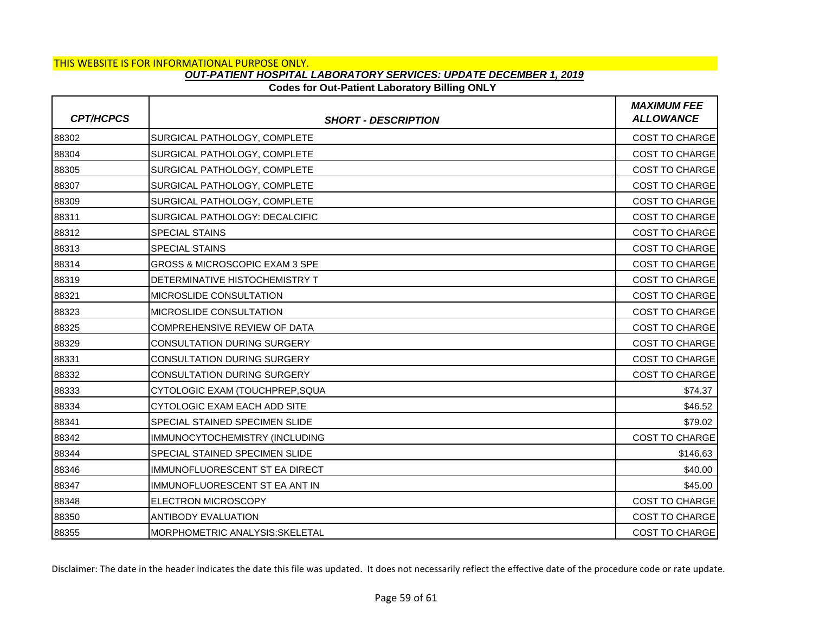### **Codes for Out-Patient Laboratory Billing ONLY**

| <b>CPT/HCPCS</b> | <b>SHORT - DESCRIPTION</b>                | <b>MAXIMUM FEE</b><br><b>ALLOWANCE</b> |
|------------------|-------------------------------------------|----------------------------------------|
| 88302            | SURGICAL PATHOLOGY, COMPLETE              | <b>COST TO CHARGE</b>                  |
| 88304            | SURGICAL PATHOLOGY, COMPLETE              | <b>COST TO CHARGE</b>                  |
| 88305            | SURGICAL PATHOLOGY, COMPLETE              | <b>COST TO CHARGE</b>                  |
| 88307            | SURGICAL PATHOLOGY, COMPLETE              | COST TO CHARGE                         |
| 88309            | SURGICAL PATHOLOGY, COMPLETE              | <b>COST TO CHARGE</b>                  |
| 88311            | SURGICAL PATHOLOGY: DECALCIFIC            | <b>COST TO CHARGE</b>                  |
| 88312            | <b>SPECIAL STAINS</b>                     | <b>COST TO CHARGE</b>                  |
| 88313            | <b>SPECIAL STAINS</b>                     | COST TO CHARGE                         |
| 88314            | <b>GROSS &amp; MICROSCOPIC EXAM 3 SPE</b> | <b>COST TO CHARGE</b>                  |
| 88319            | DETERMINATIVE HISTOCHEMISTRY T            | <b>COST TO CHARGE</b>                  |
| 88321            | <b>MICROSLIDE CONSULTATION</b>            | COST TO CHARGE                         |
| 88323            | <b>IMICROSLIDE CONSULTATION</b>           | <b>COST TO CHARGE</b>                  |
| 88325            | COMPREHENSIVE REVIEW OF DATA              | <b>COST TO CHARGE</b>                  |
| 88329            | <b>CONSULTATION DURING SURGERY</b>        | <b>COST TO CHARGE</b>                  |
| 88331            | <b>CONSULTATION DURING SURGERY</b>        | <b>COST TO CHARGE</b>                  |
| 88332            | <b>CONSULTATION DURING SURGERY</b>        | <b>COST TO CHARGE</b>                  |
| 88333            | CYTOLOGIC EXAM (TOUCHPREP, SQUA           | \$74.37                                |
| 88334            | CYTOLOGIC EXAM EACH ADD SITE              | \$46.52                                |
| 88341            | SPECIAL STAINED SPECIMEN SLIDE            | \$79.02                                |
| 88342            | IMMUNOCYTOCHEMISTRY (INCLUDING            | COST TO CHARGE                         |
| 88344            | <b>SPECIAL STAINED SPECIMEN SLIDE</b>     | \$146.63                               |
| 88346            | IMMUNOFLUORESCENT ST EA DIRECT            | \$40.00                                |
| 88347            | IMMUNOFLUORESCENT ST EA ANT IN            | \$45.00                                |
| 88348            | <b>ELECTRON MICROSCOPY</b>                | <b>COST TO CHARGE</b>                  |
| 88350            | <b>ANTIBODY EVALUATION</b>                | <b>COST TO CHARGE</b>                  |
| 88355            | <b>MORPHOMETRIC ANALYSIS:SKELETAL</b>     | <b>COST TO CHARGE</b>                  |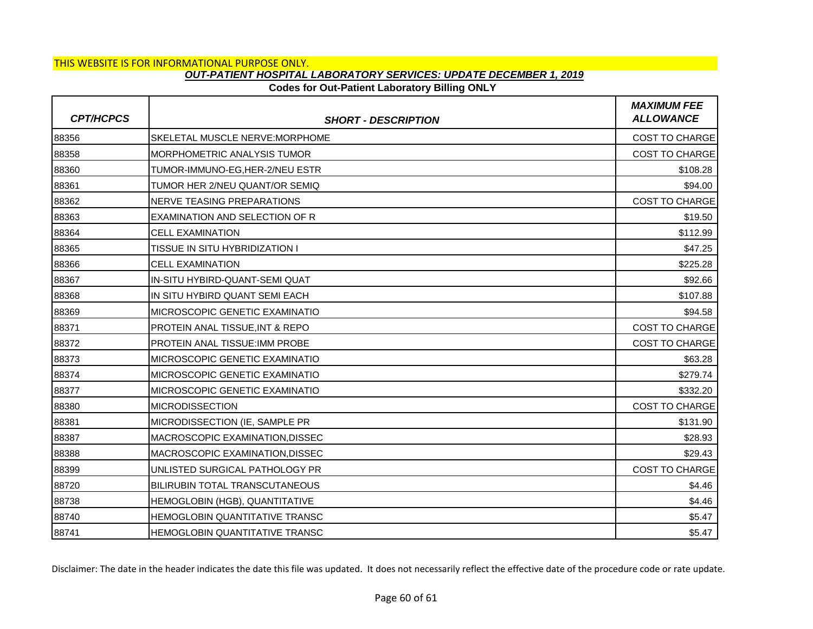# **Codes for Out-Patient Laboratory Billing ONLY**

| <b>CPT/HCPCS</b> | <b>SHORT - DESCRIPTION</b>            | <b>MAXIMUM FEE</b><br><b>ALLOWANCE</b> |
|------------------|---------------------------------------|----------------------------------------|
| 88356            | SKELETAL MUSCLE NERVE: MORPHOME       | <b>COST TO CHARGE</b>                  |
| 88358            | <b>MORPHOMETRIC ANALYSIS TUMOR</b>    | <b>COST TO CHARGE</b>                  |
| 88360            | TUMOR-IMMUNO-EG.HER-2/NEU ESTR        | \$108.28                               |
| 88361            | TUMOR HER 2/NEU QUANT/OR SEMIQ        | \$94.00                                |
| 88362            | NERVE TEASING PREPARATIONS            | <b>COST TO CHARGE</b>                  |
| 88363            | EXAMINATION AND SELECTION OF R        | \$19.50                                |
| 88364            | <b>CELL EXAMINATION</b>               | \$112.99                               |
| 88365            | TISSUE IN SITU HYBRIDIZATION I        | \$47.25                                |
| 88366            | <b>CELL EXAMINATION</b>               | \$225.28                               |
| 88367            | IN-SITU HYBIRD-QUANT-SEMI QUAT        | \$92.66                                |
| 88368            | IN SITU HYBIRD QUANT SEMI EACH        | \$107.88                               |
| 88369            | <b>MICROSCOPIC GENETIC EXAMINATIO</b> | \$94.58                                |
| 88371            | PROTEIN ANAL TISSUE, INT & REPO       | <b>COST TO CHARGE</b>                  |
| 88372            | PROTEIN ANAL TISSUE: IMM PROBE        | <b>COST TO CHARGE</b>                  |
| 88373            | MICROSCOPIC GENETIC EXAMINATIO        | \$63.28                                |
| 88374            | MICROSCOPIC GENETIC EXAMINATIO        | \$279.74                               |
| 88377            | MICROSCOPIC GENETIC EXAMINATIO        | \$332.20                               |
| 88380            | <b>MICRODISSECTION</b>                | <b>COST TO CHARGE</b>                  |
| 88381            | MICRODISSECTION (IE, SAMPLE PR        | \$131.90                               |
| 88387            | MACROSCOPIC EXAMINATION, DISSEC       | \$28.93                                |
| 88388            | MACROSCOPIC EXAMINATION, DISSEC       | \$29.43                                |
| 88399            | UNLISTED SURGICAL PATHOLOGY PR        | <b>COST TO CHARGE</b>                  |
| 88720            | BILIRUBIN TOTAL TRANSCUTANEOUS        | \$4.46                                 |
| 88738            | HEMOGLOBIN (HGB), QUANTITATIVE        | \$4.46                                 |
| 88740            | HEMOGLOBIN QUANTITATIVE TRANSC        | \$5.47                                 |
| 88741            | HEMOGLOBIN QUANTITATIVE TRANSC        | \$5.47                                 |